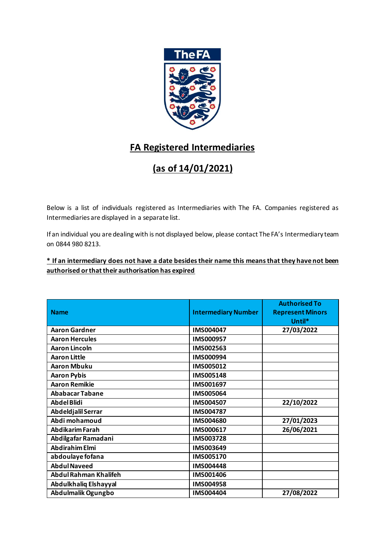

## **FA Registered Intermediaries**

## **(as of 14/01/2021)**

Below is a list of individuals registered as Intermediaries with The FA. Companies registered as Intermediaries are displayed in a separate list.

If an individual you are dealing with is not displayed below, please contact The FA's Intermediary team on 0844 980 8213.

## **\* If an intermediary does not have a date besides their name this means that they have not been authorised or that their authorisation has expired**

|                              |                            | <b>Authorised To</b>    |
|------------------------------|----------------------------|-------------------------|
| <b>Name</b>                  | <b>Intermediary Number</b> | <b>Represent Minors</b> |
|                              |                            | Until*                  |
| <b>Aaron Gardner</b>         | <b>IMS004047</b>           | 27/03/2022              |
| <b>Aaron Hercules</b>        | IMS000957                  |                         |
| <b>Aaron Lincoln</b>         | IMS002563                  |                         |
| <b>Aaron Little</b>          | IMS000994                  |                         |
| <b>Aaron Mbuku</b>           | IMS005012                  |                         |
| <b>Aaron Pybis</b>           | IMS005148                  |                         |
| <b>Aaron Remikie</b>         | IMS001697                  |                         |
| <b>Ababacar Tabane</b>       | IMS005064                  |                         |
| <b>Abdel Blidi</b>           | IMS004507                  | 22/10/2022              |
| Abdeldjalil Serrar           | IMS004787                  |                         |
| Abdi mohamoud                | IMS004680                  | 27/01/2023              |
| <b>Abdikarim Farah</b>       | IMS000617                  | 26/06/2021              |
| Abdilgafar Ramadani          | IMS003728                  |                         |
| <b>Abdirahim Elmi</b>        | IMS003649                  |                         |
| abdoulaye fofana             | IMS005170                  |                         |
| <b>Abdul Naveed</b>          | IMS004448                  |                         |
| <b>Abdul Rahman Khalifeh</b> | IMS001406                  |                         |
| Abdulkhaliq Elshayyal        | IMS004958                  |                         |
| Abdulmalik Ogungbo           | IMS004404                  | 27/08/2022              |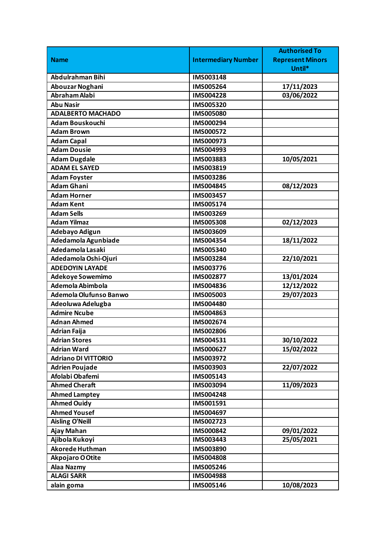|                            |                            | <b>Authorised To</b>    |
|----------------------------|----------------------------|-------------------------|
| <b>Name</b>                | <b>Intermediary Number</b> | <b>Represent Minors</b> |
|                            |                            | Until*                  |
| Abdulrahman Bihi           | <b>IMS003148</b>           |                         |
| Abouzar Noghani            | IMS005264                  | 17/11/2023              |
| Abraham Alabi              | IMS004228                  | 03/06/2022              |
| <b>Abu Nasir</b>           | IMS005320                  |                         |
| <b>ADALBERTO MACHADO</b>   | <b>IMS005080</b>           |                         |
| <b>Adam Bouskouchi</b>     | IMS000294                  |                         |
| <b>Adam Brown</b>          | IMS000572                  |                         |
| <b>Adam Capal</b>          | IMS000973                  |                         |
| <b>Adam Dousie</b>         | IMS004993                  |                         |
| <b>Adam Dugdale</b>        | IMS003883                  | 10/05/2021              |
| <b>ADAM EL SAYED</b>       | IMS003819                  |                         |
| <b>Adam Foyster</b>        | IMS003286                  |                         |
| <b>Adam Ghani</b>          | IMS004845                  | 08/12/2023              |
| <b>Adam Horner</b>         | IMS003457                  |                         |
| <b>Adam Kent</b>           | IMS005174                  |                         |
| <b>Adam Sells</b>          | IMS003269                  |                         |
| <b>Adam Yilmaz</b>         | <b>IMS005308</b>           | 02/12/2023              |
| Adebayo Adigun             | IMS003609                  |                         |
| Adedamola Agunbiade        | IMS004354                  | 18/11/2022              |
| Adedamola Lasaki           | IMS005340                  |                         |
| Adedamola Oshi-Ojuri       | IMS003284                  | 22/10/2021              |
| <b>ADEDOYIN LAYADE</b>     | <b>IMS003776</b>           |                         |
| Adekoye Sowemimo           | IMS002877                  | 13/01/2024              |
| Ademola Abimbola           | IMS004836                  | 12/12/2022              |
| Ademola Olufunso Banwo     | IMS005003                  | 29/07/2023              |
| Adeoluwa Adelugba          | IMS004480                  |                         |
| <b>Admire Ncube</b>        | IMS004863                  |                         |
| <b>Adnan Ahmed</b>         | IMS002674                  |                         |
| <b>Adrian Faija</b>        | IMS002806                  |                         |
| <b>Adrian Stores</b>       | IMS004531                  | 30/10/2022              |
| <b>Adrian Ward</b>         | IMS000627                  | 15/02/2022              |
| <b>Adriano DI VITTORIO</b> | IMS003972                  |                         |
| <b>Adrien Poujade</b>      | IMS003903                  | 22/07/2022              |
| Afolabi Obafemi            | IMS005143                  |                         |
| <b>Ahmed Cheraft</b>       | IMS003094                  | 11/09/2023              |
| <b>Ahmed Lamptey</b>       | IMS004248                  |                         |
| <b>Ahmed Ouidy</b>         | IMS001591                  |                         |
| <b>Ahmed Yousef</b>        | IMS004697                  |                         |
| <b>Aisling O'Neill</b>     | IMS002723                  |                         |
| Ajay Mahan                 | IMS000842                  | 09/01/2022              |
| Ajibola Kukoyi             | IMS003443                  | 25/05/2021              |
| Akorede Huthman            | IMS003890                  |                         |
| Akpojaro O Otite           | <b>IMS004808</b>           |                         |
| Alaa Nazmy                 | IMS005246                  |                         |
| <b>ALAGI SARR</b>          | IMS004988                  |                         |
| alain goma                 | IMS005146                  | 10/08/2023              |
|                            |                            |                         |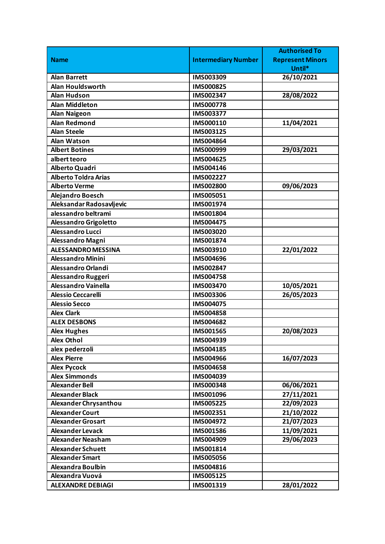|                             |                            | <b>Authorised To</b>    |
|-----------------------------|----------------------------|-------------------------|
| <b>Name</b>                 | <b>Intermediary Number</b> | <b>Represent Minors</b> |
|                             |                            | Until*                  |
| <b>Alan Barrett</b>         | IMS003309                  | 26/10/2021              |
| <b>Alan Houldsworth</b>     | IMS000825                  |                         |
| <b>Alan Hudson</b>          | IMS002347                  | 28/08/2022              |
| <b>Alan Middleton</b>       | <b>IMS000778</b>           |                         |
| <b>Alan Naigeon</b>         | IMS003377                  |                         |
| <b>Alan Redmond</b>         | IMS000110                  | 11/04/2021              |
| <b>Alan Steele</b>          | IMS003125                  |                         |
| <b>Alan Watson</b>          | IMS004864                  |                         |
| <b>Albert Botines</b>       | IMS000999                  | 29/03/2021              |
| albert teoro                | IMS004625                  |                         |
| Alberto Quadri              | IMS004146                  |                         |
| <b>Alberto Toldra Arias</b> | IMS002227                  |                         |
| <b>Alberto Verme</b>        | <b>IMS002800</b>           | 09/06/2023              |
| <b>Alejandro Boesch</b>     | IMS005051                  |                         |
| Aleksandar Radosavljevic    | IMS001974                  |                         |
| alessandro beltrami         | IMS001804                  |                         |
| Alessandro Grigoletto       | IMS004475                  |                         |
| <b>Alessandro Lucci</b>     | IMS003020                  |                         |
| Alessandro Magni            | IMS001874                  |                         |
| <b>ALESSANDRO MESSINA</b>   | IMS003910                  | 22/01/2022              |
| <b>Alessandro Minini</b>    | IMS004696                  |                         |
| Alessandro Orlandi          | IMS002847                  |                         |
| Alessandro Ruggeri          | IMS004758                  |                         |
| <b>Alessandro Vainella</b>  | IMS003470                  | 10/05/2021              |
| <b>Alessio Ceccarelli</b>   | <b>IMS003306</b>           | 26/05/2023              |
| <b>Alessio Secco</b>        | IMS004075                  |                         |
| <b>Alex Clark</b>           | <b>IMS004858</b>           |                         |
| <b>ALEX DESBONS</b>         | IMS004682                  |                         |
| <b>Alex Hughes</b>          | IMS001565                  | 20/08/2023              |
| <b>Alex Othol</b>           | IMS004939                  |                         |
| alex pederzoli              | IMS004185                  |                         |
| <b>Alex Pierre</b>          | IMS004966                  | 16/07/2023              |
| <b>Alex Pycock</b>          | <b>IMS004658</b>           |                         |
| <b>Alex Simmonds</b>        | IMS004039                  |                         |
| <b>Alexander Bell</b>       | IMS000348                  | 06/06/2021              |
| <b>Alexander Black</b>      | IMS001096                  | 27/11/2021              |
| Alexander Chrysanthou       | IMS005225                  | 22/09/2023              |
| <b>Alexander Court</b>      | IMS002351                  | 21/10/2022              |
| <b>Alexander Grosart</b>    | IMS004972                  | 21/07/2023              |
| <b>Alexander Levack</b>     | IMS001586                  | 11/09/2021              |
| <b>Alexander Neasham</b>    | IMS004909                  | 29/06/2023              |
| <b>Alexander Schuett</b>    | IMS001814                  |                         |
| <b>Alexander Smart</b>      | <b>IMS005056</b>           |                         |
| <b>Alexandra Boulbin</b>    | IMS004816                  |                         |
| Alexandra Vuová             | IMS005125                  |                         |
| <b>ALEXANDRE DEBIAGI</b>    | IMS001319                  | 28/01/2022              |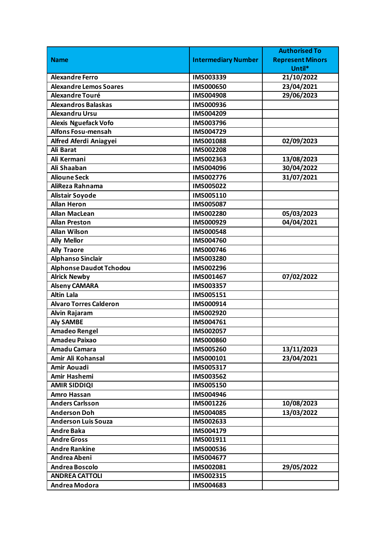|                                |                            | <b>Authorised To</b>    |
|--------------------------------|----------------------------|-------------------------|
| <b>Name</b>                    | <b>Intermediary Number</b> | <b>Represent Minors</b> |
|                                |                            | Until*                  |
| <b>Alexandre Ferro</b>         | IMS003339                  | 21/10/2022              |
| <b>Alexandre Lemos Soares</b>  | <b>IMS000650</b>           | 23/04/2021              |
| Alexandre Touré                | <b>IMS004908</b>           | 29/06/2023              |
| <b>Alexandros Balaskas</b>     | IMS000936                  |                         |
| <b>Alexandru Ursu</b>          | IMS004209                  |                         |
| <b>Alexis Nguefack Vofo</b>    | IMS003796                  |                         |
| <b>Alfons Fosu-mensah</b>      | IMS004729                  |                         |
| Alfred Aferdi Aniagyei         | IMS001088                  | 02/09/2023              |
| <b>Ali Barat</b>               | IMS002208                  |                         |
| Ali Kermani                    | IMS002363                  | 13/08/2023              |
| Ali Shaaban                    | IMS004096                  | 30/04/2022              |
| <b>Alioune Seck</b>            | IMS002776                  | 31/07/2021              |
| AliReza Rahnama                | IMS005022                  |                         |
| <b>Alistair Soyode</b>         | IMS005110                  |                         |
| <b>Allan Heron</b>             | IMS005087                  |                         |
| <b>Allan MacLean</b>           | IMS002280                  | 05/03/2023              |
| <b>Allan Preston</b>           | IMS000929                  | 04/04/2021              |
| <b>Allan Wilson</b>            | <b>IMS000548</b>           |                         |
| <b>Ally Mellor</b>             | <b>IMS004760</b>           |                         |
| <b>Ally Traore</b>             | <b>IMS000746</b>           |                         |
| <b>Alphanso Sinclair</b>       | IMS003280                  |                         |
| <b>Alphonse Daudot Tchodou</b> | IMS002296                  |                         |
| <b>Alrick Newby</b>            | IMS001467                  | 07/02/2022              |
| <b>Alseny CAMARA</b>           | IMS003357                  |                         |
| <b>Altin Lala</b>              | IMS005151                  |                         |
| <b>Alvaro Torres Calderon</b>  | IMS000914                  |                         |
| Alvin Rajaram                  | IMS002920                  |                         |
| <b>Aly SAMBE</b>               | IMS004761                  |                         |
| <b>Amadeo Rengel</b>           | IMS002057                  |                         |
| <b>Amadeu Paixao</b>           | <b>IMS000860</b>           |                         |
| Amadu Camara                   | IMS005260                  | 13/11/2023              |
| Amir Ali Kohansal              | IMS000101                  | 23/04/2021              |
| Amir Aouadi                    | IMS005317                  |                         |
| Amir Hashemi                   | IMS003562                  |                         |
| <b>AMIR SIDDIQI</b>            | IMS005150                  |                         |
| <b>Amro Hassan</b>             | IMS004946                  |                         |
| <b>Anders Carlsson</b>         | IMS001226                  | 10/08/2023              |
| <b>Anderson Doh</b>            | IMS004085                  | 13/03/2022              |
| <b>Anderson Luis Souza</b>     | IMS002633                  |                         |
| <b>Andre Baka</b>              | IMS004179                  |                         |
| <b>Andre Gross</b>             | IMS001911                  |                         |
| <b>Andre Rankine</b>           | IMS000536                  |                         |
| Andrea Abeni                   | IMS004677                  |                         |
| Andrea Boscolo                 | IMS002081                  | 29/05/2022              |
| <b>ANDREA CATTOLI</b>          | IMS002315                  |                         |
| <b>Andrea Modora</b>           | IMS004683                  |                         |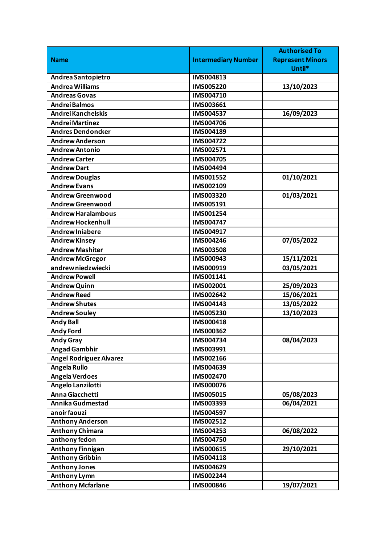|                                |                            | <b>Authorised To</b>    |
|--------------------------------|----------------------------|-------------------------|
| <b>Name</b>                    | <b>Intermediary Number</b> | <b>Represent Minors</b> |
|                                |                            | Until*                  |
| Andrea Santopietro             | IMS004813                  |                         |
| <b>Andrea Williams</b>         | IMS005220                  | 13/10/2023              |
| <b>Andreas Govas</b>           | IMS004710                  |                         |
| <b>Andrei Balmos</b>           | IMS003661                  |                         |
| Andrei Kanchelskis             | IMS004537                  | 16/09/2023              |
| <b>Andrei Martinez</b>         | IMS004706                  |                         |
| <b>Andres Dendoncker</b>       | IMS004189                  |                         |
| <b>Andrew Anderson</b>         | IMS004722                  |                         |
| <b>Andrew Antonio</b>          | IMS002571                  |                         |
| <b>Andrew Carter</b>           | IMS004705                  |                         |
| <b>Andrew Dart</b>             | IMS004494                  |                         |
| <b>Andrew Douglas</b>          | IMS001552                  | 01/10/2021              |
| <b>Andrew Evans</b>            | IMS002109                  |                         |
| <b>Andrew Greenwood</b>        | IMS003320                  | 01/03/2021              |
| <b>Andrew Greenwood</b>        | IMS005191                  |                         |
| <b>Andrew Haralambous</b>      | IMS001254                  |                         |
| <b>Andrew Hockenhull</b>       | IMS004747                  |                         |
| <b>Andrew Iniabere</b>         | IMS004917                  |                         |
| <b>Andrew Kinsey</b>           | IMS004246                  | 07/05/2022              |
| <b>Andrew Mashiter</b>         | <b>IMS003508</b>           |                         |
| <b>Andrew McGregor</b>         | IMS000943                  | 15/11/2021              |
| andrew niedzwiecki             | IMS000919                  | 03/05/2021              |
| <b>Andrew Powell</b>           | IMS001141                  |                         |
| <b>Andrew Quinn</b>            | IMS002001                  | 25/09/2023              |
| <b>Andrew Reed</b>             | IMS002642                  | 15/06/2021              |
| <b>Andrew Shutes</b>           | IMS004143                  | 13/05/2022              |
| <b>Andrew Souley</b>           | IMS005230                  | 13/10/2023              |
| <b>Andy Ball</b>               | IMS000418                  |                         |
| <b>Andy Ford</b>               | IMS000362                  |                         |
| <b>Andy Gray</b>               | IMS004734                  | 08/04/2023              |
| <b>Angad Gambhir</b>           | IMS003991                  |                         |
| <b>Angel Rodriguez Alvarez</b> | IMS002166                  |                         |
| <b>Angela Rullo</b>            | IMS004639                  |                         |
| <b>Angela Verdoes</b>          | IMS002470                  |                         |
| Angelo Lanzilotti              | IMS000076                  |                         |
| Anna Giacchetti                | IMS005015                  | 05/08/2023              |
| Annika Gudmestad               | IMS003393                  | 06/04/2021              |
| anoir faouzi                   | IMS004597                  |                         |
| <b>Anthony Anderson</b>        | <b>IMS002512</b>           |                         |
| <b>Anthony Chimara</b>         | IMS004253                  | 06/08/2022              |
| anthony fedon                  | IMS004750                  |                         |
| <b>Anthony Finnigan</b>        | IMS000615                  | 29/10/2021              |
| <b>Anthony Gribbin</b>         | IMS004118                  |                         |
| <b>Anthony Jones</b>           | IMS004629                  |                         |
| <b>Anthony Lymn</b>            | IMS002244                  |                         |
| <b>Anthony Mcfarlane</b>       | IMS000846                  | 19/07/2021              |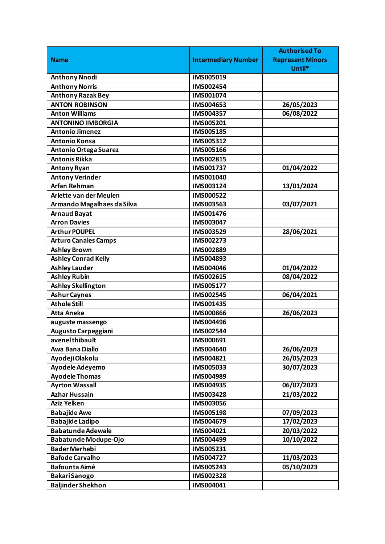|                               |                            | <b>Authorised To</b>    |
|-------------------------------|----------------------------|-------------------------|
| <b>Name</b>                   | <b>Intermediary Number</b> | <b>Represent Minors</b> |
|                               |                            | Until*                  |
| <b>Anthony Nnodi</b>          | IMS005019                  |                         |
| <b>Anthony Norris</b>         | IMS002454                  |                         |
| <b>Anthony Razak Bey</b>      | IMS001074                  |                         |
| <b>ANTON ROBINSON</b>         | IMS004653                  | 26/05/2023              |
| <b>Anton Williams</b>         | IMS004357                  | 06/08/2022              |
| <b>ANTONINO IMBORGIA</b>      | IMS005201                  |                         |
| <b>Antonio Jimenez</b>        | IMS005185                  |                         |
| <b>Antonio Konsa</b>          | IMS005312                  |                         |
| <b>Antonio Ortega Suarez</b>  | IMS005166                  |                         |
| <b>Antonis Rikka</b>          | IMS002815                  |                         |
| <b>Antony Ryan</b>            | IMS001737                  | 01/04/2022              |
| <b>Antony Verinder</b>        | IMS001040                  |                         |
| <b>Arfan Rehman</b>           | IMS003124                  | 13/01/2024              |
| <b>Arlette van der Meulen</b> | IMS000522                  |                         |
| Armando Magalhaes da Silva    | IMS003563                  | 03/07/2021              |
| <b>Arnaud Bayat</b>           | IMS001476                  |                         |
| <b>Arron Davies</b>           | IMS003047                  |                         |
| <b>Arthur POUPEL</b>          | IMS003529                  | 28/06/2021              |
| <b>Arturo Canales Camps</b>   | IMS002273                  |                         |
| <b>Ashley Brown</b>           | IMS002889                  |                         |
| <b>Ashley Conrad Kelly</b>    | IMS004893                  |                         |
| <b>Ashley Lauder</b>          | IMS004046                  | 01/04/2022              |
| <b>Ashley Rubin</b>           | IMS002615                  | 08/04/2022              |
| <b>Ashley Skellington</b>     | IMS005177                  |                         |
| <b>Ashur Caynes</b>           | <b>IMS002545</b>           | 06/04/2021              |
| <b>Athole Still</b>           | IMS001435                  |                         |
| <b>Atta Aneke</b>             | <b>IMS000866</b>           | 26/06/2023              |
| auguste massengo              | IMS004496                  |                         |
| <b>Augusto Carpeggiani</b>    | IMS002544                  |                         |
| avenel thibault               | IMS000691                  |                         |
| Awa Bana Diallo               | IMS004640                  | 26/06/2023              |
| Ayodeji Olakolu               | IMS004821                  | 26/05/2023              |
| Ayodele Adeyemo               | <b>IMS005033</b>           | 30/07/2023              |
| <b>Ayodele Thomas</b>         | IMS004989                  |                         |
| <b>Ayrton Wassall</b>         | IMS004935                  | 06/07/2023              |
| <b>Azhar Hussain</b>          | IMS003428                  | 21/03/2022              |
| <b>Aziz Yelken</b>            | IMS003056                  |                         |
| <b>Babajide Awe</b>           | IMS005198                  | 07/09/2023              |
| <b>Babajide Ladipo</b>        | IMS004679                  | 17/02/2023              |
| <b>Babatunde Adewale</b>      | IMS004021                  | 20/03/2022              |
| <b>Babatunde Modupe-Ojo</b>   | IMS004499                  | 10/10/2022              |
| <b>Bader Merhebi</b>          | IMS005231                  |                         |
| <b>Bafode Carvalho</b>        | IMS004727                  | 11/03/2023              |
| <b>Bafounta Aimé</b>          | IMS005243                  | 05/10/2023              |
| <b>BakariSanogo</b>           | IMS002328                  |                         |
| <b>Baljinder Shekhon</b>      | IMS004041                  |                         |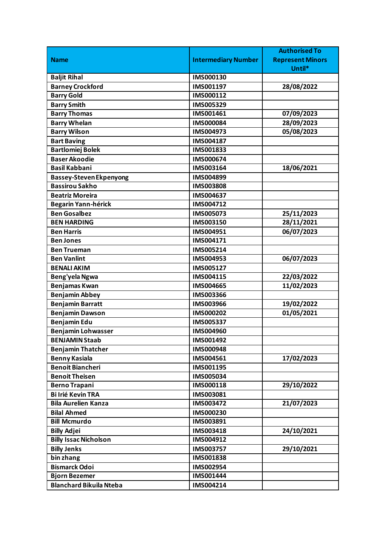| <b>Intermediary Number</b><br><b>Represent Minors</b><br><b>Name</b><br>Until*<br><b>Baljit Rihal</b><br>IMS000130<br><b>Barney Crockford</b><br>IMS001197<br>28/08/2022 |                   |           | <b>Authorised To</b> |
|--------------------------------------------------------------------------------------------------------------------------------------------------------------------------|-------------------|-----------|----------------------|
|                                                                                                                                                                          |                   |           |                      |
|                                                                                                                                                                          |                   |           |                      |
|                                                                                                                                                                          |                   |           |                      |
|                                                                                                                                                                          |                   |           |                      |
|                                                                                                                                                                          | <b>Barry Gold</b> | IMS000112 |                      |
| <b>Barry Smith</b><br>IMS005329                                                                                                                                          |                   |           |                      |
| <b>Barry Thomas</b><br>07/09/2023<br>IMS001461                                                                                                                           |                   |           |                      |
| <b>Barry Whelan</b><br>28/09/2023<br>IMS000084                                                                                                                           |                   |           |                      |
| 05/08/2023<br><b>Barry Wilson</b><br>IMS004973                                                                                                                           |                   |           |                      |
| <b>Bart Baving</b><br>IMS004187                                                                                                                                          |                   |           |                      |
| <b>Bartlomiej Bolek</b><br>IMS001833                                                                                                                                     |                   |           |                      |
| <b>Baser Akoodie</b><br>IMS000674                                                                                                                                        |                   |           |                      |
| <b>Basil Kabbani</b><br>18/06/2021<br>IMS003164                                                                                                                          |                   |           |                      |
| <b>Bassey-Steven Ekpenyong</b><br>IMS004899                                                                                                                              |                   |           |                      |
| <b>Bassirou Sakho</b><br><b>IMS003808</b>                                                                                                                                |                   |           |                      |
| <b>Beatriz Moreira</b><br>IMS004637                                                                                                                                      |                   |           |                      |
| Begarin Yann-hérick<br>IMS004712                                                                                                                                         |                   |           |                      |
| <b>Ben Gosalbez</b><br>IMS005073<br>25/11/2023                                                                                                                           |                   |           |                      |
| 28/11/2021<br><b>BEN HARDING</b><br>IMS003150                                                                                                                            |                   |           |                      |
| 06/07/2023<br><b>Ben Harris</b><br>IMS004951                                                                                                                             |                   |           |                      |
| <b>Ben Jones</b><br>IMS004171                                                                                                                                            |                   |           |                      |
| <b>Ben Trueman</b><br>IMS005214                                                                                                                                          |                   |           |                      |
| 06/07/2023<br><b>Ben Vanlint</b><br>IMS004953                                                                                                                            |                   |           |                      |
| <b>BENALI AKIM</b><br>IMS005127                                                                                                                                          |                   |           |                      |
| 22/03/2022<br>IMS004115<br>Beng'yela Ngwa                                                                                                                                |                   |           |                      |
| 11/02/2023<br><b>Benjamas Kwan</b><br>IMS004665                                                                                                                          |                   |           |                      |
| <b>Benjamin Abbey</b><br><b>IMS003366</b>                                                                                                                                |                   |           |                      |
| <b>Benjamin Barratt</b><br>19/02/2022<br>IMS003966                                                                                                                       |                   |           |                      |
| 01/05/2021<br><b>Benjamin Dawson</b><br>IMS000202                                                                                                                        |                   |           |                      |
| <b>Benjamin Edu</b><br>IMS005337                                                                                                                                         |                   |           |                      |
| <b>Benjamin Lohwasser</b><br><b>IMS004960</b>                                                                                                                            |                   |           |                      |
| <b>BENJAMIN Staab</b><br>IMS001492                                                                                                                                       |                   |           |                      |
| <b>Benjamin Thatcher</b><br><b>IMS000948</b>                                                                                                                             |                   |           |                      |
| <b>Benny Kasiala</b><br>17/02/2023<br>IMS004561                                                                                                                          |                   |           |                      |
| <b>Benoit Biancheri</b><br>IMS001195                                                                                                                                     |                   |           |                      |
| <b>Benoit Theisen</b><br>IMS005034                                                                                                                                       |                   |           |                      |
| <b>Berno Trapani</b><br>IMS000118<br>29/10/2022                                                                                                                          |                   |           |                      |
| <b>Bi Irié Kevin TRA</b><br>IMS003081                                                                                                                                    |                   |           |                      |
| <b>Bila Aurelien Kanza</b><br>21/07/2023<br>IMS003472                                                                                                                    |                   |           |                      |
| <b>Bilal Ahmed</b><br>IMS000230                                                                                                                                          |                   |           |                      |
| <b>Bill Mcmurdo</b><br>IMS003891                                                                                                                                         |                   |           |                      |
| <b>Billy Adjei</b><br>IMS003418<br>24/10/2021                                                                                                                            |                   |           |                      |
| <b>Billy Issac Nicholson</b><br>IMS004912                                                                                                                                |                   |           |                      |
| <b>Billy Jenks</b><br>29/10/2021<br><b>IMS003757</b>                                                                                                                     |                   |           |                      |
| bin zhang<br>IMS001838                                                                                                                                                   |                   |           |                      |
| <b>Bismarck Odoi</b><br>IMS002954                                                                                                                                        |                   |           |                      |
| <b>Bjorn Bezemer</b><br>IMS001444                                                                                                                                        |                   |           |                      |
| <b>Blanchard Bikuila Nteba</b><br>IMS004214                                                                                                                              |                   |           |                      |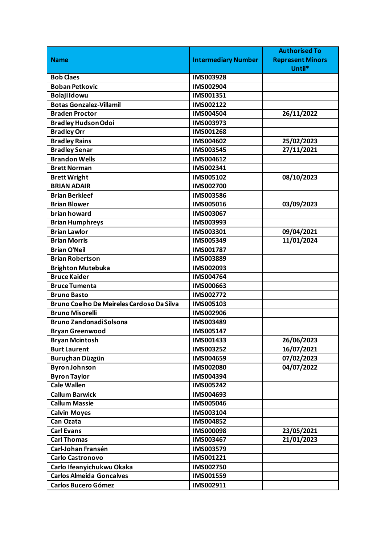|                                           |                            | <b>Authorised To</b>    |
|-------------------------------------------|----------------------------|-------------------------|
| <b>Name</b>                               | <b>Intermediary Number</b> | <b>Represent Minors</b> |
|                                           |                            | Until*                  |
| <b>Bob Claes</b>                          | IMS003928                  |                         |
| <b>Boban Petkovic</b>                     | IMS002904                  |                         |
| <b>Bolaji Idowu</b>                       | IMS001351                  |                         |
| <b>Botas Gonzalez-Villamil</b>            | IMS002122                  |                         |
| <b>Braden Proctor</b>                     | IMS004504                  | 26/11/2022              |
| <b>Bradley Hudson Odoi</b>                | IMS003973                  |                         |
| <b>Bradley Orr</b>                        | IMS001268                  |                         |
| <b>Bradley Rains</b>                      | IMS004602                  | 25/02/2023              |
| <b>Bradley Senar</b>                      | IMS003545                  | 27/11/2021              |
| <b>Brandon Wells</b>                      | IMS004612                  |                         |
| <b>Brett Norman</b>                       | IMS002341                  |                         |
| <b>Brett Wright</b>                       | IMS005102                  | 08/10/2023              |
| <b>BRIAN ADAIR</b>                        | IMS002700                  |                         |
| <b>Brian Berkleef</b>                     | IMS003586                  |                         |
| <b>Brian Blower</b>                       | IMS005016                  | 03/09/2023              |
| brian howard                              | IMS003067                  |                         |
| <b>Brian Humphreys</b>                    | IMS003993                  |                         |
| <b>Brian Lawlor</b>                       | IMS003301                  | 09/04/2021              |
| <b>Brian Morris</b>                       | IMS005349                  | 11/01/2024              |
| <b>Brian O'Neil</b>                       | IMS001787                  |                         |
| <b>Brian Robertson</b>                    | IMS003889                  |                         |
| <b>Brighton Mutebuka</b>                  | IMS002093                  |                         |
| <b>Bruce Kaider</b>                       | IMS004764                  |                         |
| <b>Bruce Tumenta</b>                      | IMS000663                  |                         |
| <b>Bruno Basto</b>                        | IMS002772                  |                         |
| Bruno Coelho De Meireles Cardoso Da Silva | IMS005103                  |                         |
| <b>Bruno Misorelli</b>                    | IMS002906                  |                         |
| <b>Bruno Zandonadi Solsona</b>            | IMS003489                  |                         |
| <b>Bryan Greenwood</b>                    | IMS005147                  |                         |
| <b>Bryan Mcintosh</b>                     | IMS001433                  | 26/06/2023              |
| <b>Burt Laurent</b>                       | IMS003252                  | 16/07/2021              |
| Buruçhan Düzgün                           | IMS004659                  | 07/02/2023              |
| <b>Byron Johnson</b>                      | <b>IMS002080</b>           | 04/07/2022              |
| <b>Byron Taylor</b>                       | IMS004394                  |                         |
| <b>Cale Wallen</b>                        | IMS005242                  |                         |
| <b>Callum Barwick</b>                     | IMS004693                  |                         |
| <b>Callum Massie</b>                      | IMS005046                  |                         |
| <b>Calvin Moyes</b>                       | IMS003104                  |                         |
| Can Ozata                                 | IMS004852                  |                         |
| <b>Carl Evans</b>                         | <b>IMS000098</b>           | 23/05/2021              |
| <b>Carl Thomas</b>                        | IMS003467                  | 21/01/2023              |
| Carl-Johan Fransén                        | IMS003579                  |                         |
| <b>Carlo Castronovo</b>                   | IMS001221                  |                         |
| Carlo Ifeanyichukwu Okaka                 | IMS002750                  |                         |
| <b>Carlos Almeida Goncalves</b>           | IMS001559                  |                         |
| <b>Carlos Bucero Gómez</b>                | IMS002911                  |                         |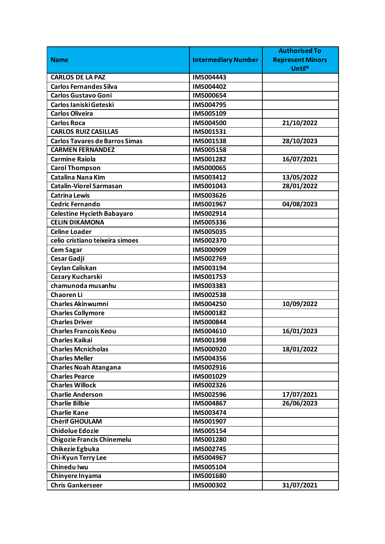|                                       |                            | <b>Authorised To</b>    |
|---------------------------------------|----------------------------|-------------------------|
| <b>Name</b>                           | <b>Intermediary Number</b> | <b>Represent Minors</b> |
|                                       |                            | Until*                  |
| <b>CARLOS DE LA PAZ</b>               | IMS004443                  |                         |
| <b>Carlos Fernandes Silva</b>         | IMS004402                  |                         |
| <b>Carlos Gustavo Goni</b>            | IMS000654                  |                         |
| Carlos Ianiski Geteski                | IMS004795                  |                         |
| <b>Carlos Oliveira</b>                | IMS005109                  |                         |
| <b>Carlos Roca</b>                    | IMS004500                  | 21/10/2022              |
| <b>CARLOS RUIZ CASILLAS</b>           | IMS001531                  |                         |
| <b>Carlos Tavares de Barros Simas</b> | IMS001538                  | 28/10/2023              |
| <b>CARMEN FERNANDEZ</b>               | IMS005158                  |                         |
| <b>Carmine Raiola</b>                 | IMS001282                  | 16/07/2021              |
| <b>Carol Thompson</b>                 | IMS000065                  |                         |
| <b>Catalina Nana Kim</b>              | IMS003412                  | 13/05/2022              |
| <b>Catalin-Viorel Sarmasan</b>        | IMS001043                  | 28/01/2022              |
| <b>Catrina Lewis</b>                  | IMS003626                  |                         |
| <b>Cedric Fernando</b>                | IMS001967                  | 04/08/2023              |
| <b>Celestine Hycieth Babayaro</b>     | IMS002914                  |                         |
| <b>CELIN DIKAMONA</b>                 | IMS005336                  |                         |
| <b>Celine Loader</b>                  | IMS005035                  |                         |
| celio cristiano teixeira simoes       | IMS002370                  |                         |
| <b>Cem Sagar</b>                      | IMS000909                  |                         |
| Cesar Gadji                           | IMS002769                  |                         |
| Ceylan Caliskan                       | IMS003194                  |                         |
| Cezary Kucharski                      | IMS001753                  |                         |
| chamunoda musanhu                     | IMS003383                  |                         |
| <b>Chaoren Li</b>                     | IMS002538                  |                         |
| <b>Charles Akinwumni</b>              | IMS004250                  | 10/09/2022              |
| <b>Charles Collymore</b>              | IMS000182                  |                         |
| <b>Charles Driver</b>                 | IMS000844                  |                         |
| <b>Charles Francois Keou</b>          | IMS004610                  | 16/01/2023              |
| <b>Charles Kaikai</b>                 | IMS001398                  |                         |
| <b>Charles Mcnicholas</b>             | IMS000920                  | 18/01/2022              |
| <b>Charles Meller</b>                 | IMS004356                  |                         |
| <b>Charles Noah Atangana</b>          | IMS002916                  |                         |
| <b>Charles Pearce</b>                 | IMS001029                  |                         |
| <b>Charles Willock</b>                | IMS002326                  |                         |
| <b>Charlie Anderson</b>               | IMS002596                  | 17/07/2021              |
| <b>Charlie Bilbie</b>                 | IMS004867                  | 26/06/2023              |
| <b>Charlie Kane</b>                   | IMS003474                  |                         |
| <b>Chérif GHOULAM</b>                 | IMS001907                  |                         |
| <b>Chidolue Edozie</b>                | IMS005154                  |                         |
| <b>Chigozie Francis Chinemelu</b>     | IMS001280                  |                         |
| Chikezie Egbuka                       | IMS002745                  |                         |
| Chi-Kyun Terry Lee                    | IMS004967                  |                         |
| Chinedu Iwu                           | IMS005104                  |                         |
| Chinyere Inyama                       | IMS001680                  |                         |
| <b>Chris Gankerseer</b>               | IMS000302                  | 31/07/2021              |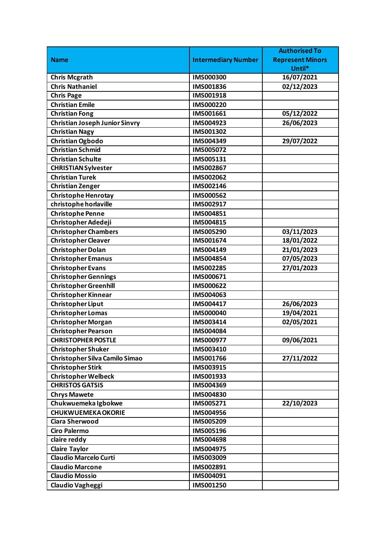|                                       |                            | <b>Authorised To</b>    |
|---------------------------------------|----------------------------|-------------------------|
| <b>Name</b>                           | <b>Intermediary Number</b> | <b>Represent Minors</b> |
|                                       |                            | Until*                  |
| <b>Chris Mcgrath</b>                  | <b>IMS000300</b>           | 16/07/2021              |
| <b>Chris Nathaniel</b>                | IMS001836                  | 02/12/2023              |
| <b>Chris Page</b>                     | IMS001918                  |                         |
| <b>Christian Emile</b>                | IMS000220                  |                         |
| <b>Christian Fong</b>                 | IMS001661                  | 05/12/2022              |
| <b>Christian Joseph Junior Sinvry</b> | IMS004923                  | 26/06/2023              |
| <b>Christian Nagy</b>                 | IMS001302                  |                         |
| <b>Christian Ogbodo</b>               | IMS004349                  | 29/07/2022              |
| <b>Christian Schmid</b>               | IMS005072                  |                         |
| <b>Christian Schulte</b>              | IMS005131                  |                         |
| <b>CHRISTIAN Sylvester</b>            | IMS002867                  |                         |
| <b>Christian Turek</b>                | IMS002062                  |                         |
| <b>Christian Zenger</b>               | IMS002146                  |                         |
| <b>Christophe Henrotay</b>            | <b>IMS000562</b>           |                         |
| christophe horlaville                 | IMS002917                  |                         |
| <b>Christophe Penne</b>               | IMS004851                  |                         |
| Christopher Adedeji                   | IMS004815                  |                         |
| <b>Christopher Chambers</b>           | IMS005290                  | 03/11/2023              |
| <b>Christopher Cleaver</b>            | IMS001674                  | 18/01/2022              |
| <b>Christopher Dolan</b>              | IMS004149                  | 21/01/2023              |
| <b>Christopher Emanus</b>             | IMS004854                  | 07/05/2023              |
| <b>Christopher Evans</b>              | IMS002285                  | 27/01/2023              |
| <b>Christopher Gennings</b>           | IMS000671                  |                         |
| <b>Christopher Greenhill</b>          | IMS000622                  |                         |
| <b>Christopher Kinnear</b>            | IMS004063                  |                         |
| <b>Christopher Liput</b>              | IMS004417                  | 26/06/2023              |
| <b>Christopher Lomas</b>              | <b>IMS000040</b>           | 19/04/2021              |
| <b>Christopher Morgan</b>             | IMS003414                  | 02/05/2021              |
| Christopher Pearson                   | IMS004084                  |                         |
| <b>CHRISTOPHER POSTLE</b>             | IMS000977                  | 09/06/2021              |
| <b>Christopher Shuker</b>             | IMS003410                  |                         |
| <b>Christopher Silva Camilo Simao</b> | IMS001766                  | 27/11/2022              |
| <b>Christopher Stirk</b>              | <b>IMS003915</b>           |                         |
| <b>Christopher Welbeck</b>            | IMS001933                  |                         |
| <b>CHRISTOS GATSIS</b>                | IMS004369                  |                         |
| <b>Chrys Mawete</b>                   | IMS004830                  |                         |
| Chukwuemeka Igbokwe                   | IMS005271                  | 22/10/2023              |
| <b>CHUKWUEMEKA OKORIE</b>             | IMS004956                  |                         |
| <b>Ciara Sherwood</b>                 | IMS005209                  |                         |
| <b>Ciro Palermo</b>                   | IMS005196                  |                         |
| claire reddy                          | <b>IMS004698</b>           |                         |
| <b>Claire Taylor</b>                  | IMS004975                  |                         |
| <b>Claudio Marcelo Curti</b>          | IMS003009                  |                         |
| <b>Claudio Marcone</b>                | IMS002891                  |                         |
| <b>Claudio Mossio</b>                 | IMS004091                  |                         |
| <b>Claudio Vagheggi</b>               | IMS001250                  |                         |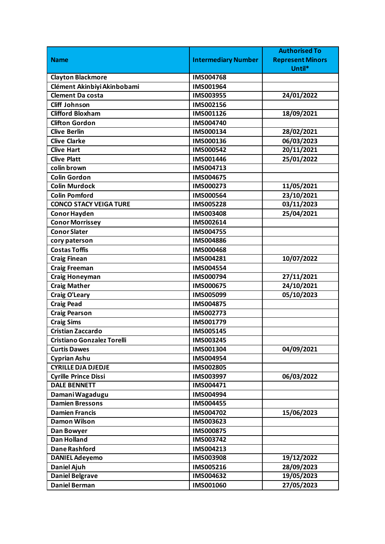|                                   |                            | <b>Authorised To</b>    |
|-----------------------------------|----------------------------|-------------------------|
| <b>Name</b>                       | <b>Intermediary Number</b> | <b>Represent Minors</b> |
|                                   |                            | Until*                  |
| <b>Clayton Blackmore</b>          | <b>IMS004768</b>           |                         |
| Clément Akinbiyi Akinbobami       | IMS001964                  |                         |
| <b>Clement Da costa</b>           | IMS003955                  | 24/01/2022              |
| <b>Cliff Johnson</b>              | IMS002156                  |                         |
| <b>Clifford Bloxham</b>           | IMS001126                  | 18/09/2021              |
| <b>Clifton Gordon</b>             | IMS004740                  |                         |
| <b>Clive Berlin</b>               | IMS000134                  | 28/02/2021              |
| <b>Clive Clarke</b>               | IMS000136                  | 06/03/2023              |
| <b>Clive Hart</b>                 | IMS000542                  | 20/11/2021              |
| <b>Clive Platt</b>                | <b>IMS001446</b>           | 25/01/2022              |
| colin brown                       | IMS004713                  |                         |
| <b>Colin Gordon</b>               | IMS004675                  |                         |
| <b>Colin Murdock</b>              | IMS000273                  | 11/05/2021              |
| <b>Colin Pomford</b>              | IMS000564                  | 23/10/2021              |
| <b>CONCO STACY VEIGA TURE</b>     | <b>IMS005228</b>           | 03/11/2023              |
| <b>Conor Hayden</b>               | IMS003408                  | 25/04/2021              |
| <b>Conor Morrissey</b>            | IMS002614                  |                         |
| <b>Conor Slater</b>               | IMS004755                  |                         |
| cory paterson                     | <b>IMS004886</b>           |                         |
| <b>Costas Toffis</b>              | <b>IMS000468</b>           |                         |
| <b>Craig Finean</b>               | IMS004281                  | 10/07/2022              |
| <b>Craig Freeman</b>              | <b>IMS004554</b>           |                         |
| <b>Craig Honeyman</b>             | IMS000794                  | 27/11/2021              |
| <b>Craig Mather</b>               | IMS000675                  | 24/10/2021              |
| <b>Craig O'Leary</b>              | IMS005099                  | 05/10/2023              |
| <b>Craig Pead</b>                 | <b>IMS004875</b>           |                         |
| <b>Craig Pearson</b>              | IMS002773                  |                         |
| <b>Craig Sims</b>                 | IMS001779                  |                         |
| <b>Cristian Zaccardo</b>          | <b>IMS005145</b>           |                         |
| <b>Cristiano Gonzalez Torelli</b> | IMS003245                  |                         |
| <b>Curtis Dawes</b>               | IMS001304                  | 04/09/2021              |
| <b>Cyprian Ashu</b>               | IMS004954                  |                         |
| <b>CYRILLE DJA DJEDJE</b>         | IMS002805                  |                         |
| <b>Cyrille Prince Dissi</b>       | IMS003997                  | 06/03/2022              |
| <b>DALE BENNETT</b>               | IMS004471                  |                         |
| Damani Wagadugu                   | IMS004994                  |                         |
| <b>Damien Bressons</b>            | <b>IMS004455</b>           |                         |
| <b>Damien Francis</b>             | IMS004702                  | 15/06/2023              |
| <b>Damon Wilson</b>               | IMS003623                  |                         |
| Dan Bowyer                        | <b>IMS000875</b>           |                         |
| <b>Dan Holland</b>                | IMS003742                  |                         |
| <b>Dane Rashford</b>              | IMS004213                  |                         |
| <b>DANIEL Adeyemo</b>             | <b>IMS003908</b>           | 19/12/2022              |
| <b>Daniel Ajuh</b>                | IMS005216                  | 28/09/2023              |
| <b>Daniel Belgrave</b>            | IMS004632                  | 19/05/2023              |
| <b>Daniel Berman</b>              | IMS001060                  | 27/05/2023              |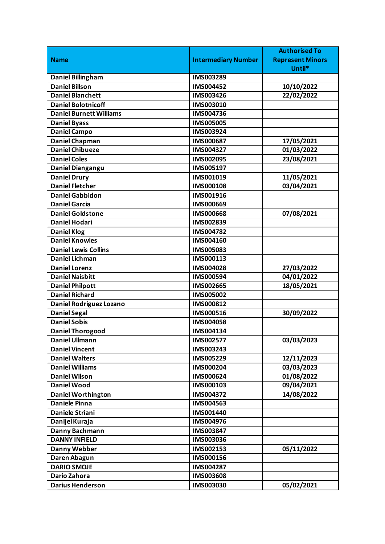|                                |                            | <b>Authorised To</b>    |
|--------------------------------|----------------------------|-------------------------|
| <b>Name</b>                    | <b>Intermediary Number</b> | <b>Represent Minors</b> |
|                                |                            | Until*                  |
| <b>Daniel Billingham</b>       | IMS003289                  |                         |
| <b>Daniel Billson</b>          | IMS004452                  | 10/10/2022              |
| <b>Daniel Blanchett</b>        | IMS003426                  | 22/02/2022              |
| <b>Daniel Bolotnicoff</b>      | IMS003010                  |                         |
| <b>Daniel Burnett Williams</b> | IMS004736                  |                         |
| <b>Daniel Byass</b>            | <b>IMS005005</b>           |                         |
| <b>Daniel Campo</b>            | IMS003924                  |                         |
| <b>Daniel Chapman</b>          | IMS000687                  | 17/05/2021              |
| <b>Daniel Chibueze</b>         | IMS004327                  | 01/03/2022              |
| <b>Daniel Coles</b>            | IMS002095                  | 23/08/2021              |
| Daniel Diangangu               | IMS005197                  |                         |
| <b>Daniel Drury</b>            | IMS001019                  | 11/05/2021              |
| <b>Daniel Fletcher</b>         | IMS000108                  | 03/04/2021              |
| <b>Daniel Gabbidon</b>         | IMS001916                  |                         |
| <b>Daniel Garcia</b>           | IMS000669                  |                         |
| <b>Daniel Goldstone</b>        | <b>IMS000668</b>           | 07/08/2021              |
| <b>Daniel Hodari</b>           | IMS002839                  |                         |
| <b>Daniel Klog</b>             | IMS004782                  |                         |
| <b>Daniel Knowles</b>          | IMS004160                  |                         |
| <b>Daniel Lewis Collins</b>    | IMS005083                  |                         |
| Daniel Lichman                 | IMS000113                  |                         |
| <b>Daniel Lorenz</b>           | IMS004028                  | 27/03/2022              |
| <b>Daniel Naisbitt</b>         | IMS000594                  | 04/01/2022              |
| <b>Daniel Philpott</b>         | IMS002665                  | 18/05/2021              |
| <b>Daniel Richard</b>          | <b>IMS005002</b>           |                         |
| Daniel Rodriguez Lozano        | IMS000812                  |                         |
| <b>Daniel Segal</b>            | IMS000516                  | 30/09/2022              |
| <b>Daniel Sobis</b>            | IMS004058                  |                         |
| <b>Daniel Thorogood</b>        | IMS004134                  |                         |
| <b>Daniel Ullmann</b>          | IMS002577                  | 03/03/2023              |
| <b>Daniel Vincent</b>          | IMS003243                  |                         |
| <b>Daniel Walters</b>          | IMS005229                  | 12/11/2023              |
| <b>Daniel Williams</b>         | IMS000204                  | 03/03/2023              |
| <b>Daniel Wilson</b>           | IMS000624                  | 01/08/2022              |
| <b>Daniel Wood</b>             | IMS000103                  | 09/04/2021              |
| <b>Daniel Worthington</b>      | IMS004372                  | 14/08/2022              |
| <b>Daniele Pinna</b>           | IMS004563                  |                         |
| Daniele Striani                | IMS001440                  |                         |
| Danijel Kuraja                 | IMS004976                  |                         |
| Danny Bachmann                 | IMS003847                  |                         |
| <b>DANNY INFIELD</b>           | IMS003036                  |                         |
| <b>Danny Webber</b>            | IMS002153                  | 05/11/2022              |
| Daren Abagun                   | IMS000156                  |                         |
| <b>DARIO SMOJE</b>             | IMS004287                  |                         |
| Dario Zahora                   | IMS003608                  |                         |
| <b>Darius Henderson</b>        | IMS003030                  | 05/02/2021              |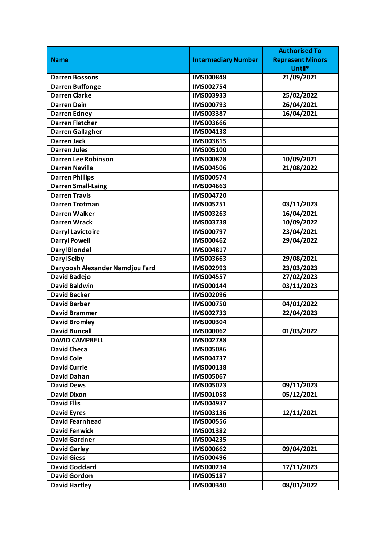|                                 |                            | <b>Authorised To</b>    |
|---------------------------------|----------------------------|-------------------------|
| <b>Name</b>                     | <b>Intermediary Number</b> | <b>Represent Minors</b> |
|                                 |                            | Until*                  |
| <b>Darren Bossons</b>           | <b>IMS000848</b>           | 21/09/2021              |
| <b>Darren Buffonge</b>          | IMS002754                  |                         |
| <b>Darren Clarke</b>            | IMS003933                  | 25/02/2022              |
| <b>Darren Dein</b>              | IMS000793                  | 26/04/2021              |
| <b>Darren Edney</b>             | IMS003387                  | 16/04/2021              |
| <b>Darren Fletcher</b>          | IMS003666                  |                         |
| <b>Darren Gallagher</b>         | IMS004138                  |                         |
| <b>Darren Jack</b>              | IMS003815                  |                         |
| <b>Darren Jules</b>             | IMS005100                  |                         |
| <b>Darren Lee Robinson</b>      | <b>IMS000878</b>           | 10/09/2021              |
| <b>Darren Neville</b>           | IMS004506                  | 21/08/2022              |
| <b>Darren Phillips</b>          | IMS000574                  |                         |
| <b>Darren Small-Laing</b>       | IMS004663                  |                         |
| <b>Darren Travis</b>            | IMS004720                  |                         |
| <b>Darren Trotman</b>           | IMS005251                  | 03/11/2023              |
| <b>Darren Walker</b>            | IMS003263                  | 16/04/2021              |
| <b>Darren Wrack</b>             | IMS003738                  | 10/09/2022              |
| <b>Darryl Lavictoire</b>        | IMS000797                  | 23/04/2021              |
| <b>Darryl Powell</b>            | IMS000462                  | 29/04/2022              |
| <b>Daryl Blondel</b>            | IMS004817                  |                         |
| <b>Daryl Selby</b>              | IMS003663                  | 29/08/2021              |
| Daryoosh Alexander Namdjou Fard | IMS002993                  | 23/03/2023              |
| <b>David Badejo</b>             | IMS004557                  | 27/02/2023              |
| <b>David Baldwin</b>            | IMS000144                  | 03/11/2023              |
| <b>David Becker</b>             | IMS002096                  |                         |
| <b>David Berber</b>             | IMS000750                  | 04/01/2022              |
| <b>David Brammer</b>            | IMS002733                  | 22/04/2023              |
| <b>David Bromley</b>            | IMS000304                  |                         |
| <b>David Buncall</b>            | IMS000062                  | 01/03/2022              |
| <b>DAVID CAMPBELL</b>           | IMS002788                  |                         |
| <b>David Checa</b>              | <b>IMS005086</b>           |                         |
| <b>David Cole</b>               | IMS004737                  |                         |
| <b>David Currie</b>             | IMS000138                  |                         |
| <b>David Dahan</b>              | IMS005067                  |                         |
| <b>David Dews</b>               | IMS005023                  | 09/11/2023              |
| <b>David Dixon</b>              | IMS001058                  | 05/12/2021              |
| <b>David Ellis</b>              | IMS004937                  |                         |
| <b>David Eyres</b>              | IMS003136                  | 12/11/2021              |
| <b>David Fearnhead</b>          | <b>IMS000556</b>           |                         |
| <b>David Fenwick</b>            | IMS001382                  |                         |
| <b>David Gardner</b>            | IMS004235                  |                         |
| <b>David Garley</b>             | IMS000662                  | 09/04/2021              |
| <b>David Giess</b>              | IMS000496                  |                         |
| <b>David Goddard</b>            | IMS000234                  | 17/11/2023              |
| <b>David Gordon</b>             | IMS005187                  |                         |
| <b>David Hartley</b>            | IMS000340                  | 08/01/2022              |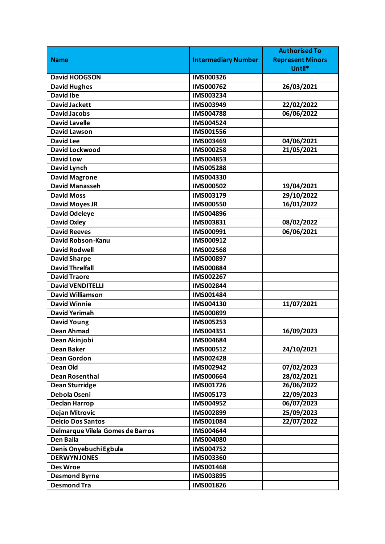|                                  |                            | <b>Authorised To</b>    |
|----------------------------------|----------------------------|-------------------------|
| <b>Name</b>                      | <b>Intermediary Number</b> | <b>Represent Minors</b> |
|                                  |                            | Until*                  |
| <b>David HODGSON</b>             | IMS000326                  |                         |
| <b>David Hughes</b>              | IMS000762                  | 26/03/2021              |
| <b>David Ibe</b>                 | IMS003234                  |                         |
| <b>David Jackett</b>             | IMS003949                  | 22/02/2022              |
| <b>David Jacobs</b>              | <b>IMS004788</b>           | 06/06/2022              |
| <b>David Lavelle</b>             | IMS004524                  |                         |
| <b>David Lawson</b>              | IMS001556                  |                         |
| <b>David Lee</b>                 | IMS003469                  | 04/06/2021              |
| <b>David Lockwood</b>            | IMS000258                  | 21/05/2021              |
| <b>David Low</b>                 | IMS004853                  |                         |
| David Lynch                      | <b>IMS005288</b>           |                         |
| <b>David Magrone</b>             | IMS004330                  |                         |
| <b>David Manasseh</b>            | IMS000502                  | 19/04/2021              |
| <b>David Moss</b>                | IMS003179                  | 29/10/2022              |
| <b>David Moyes JR</b>            | <b>IMS000550</b>           | 16/01/2022              |
| <b>David Odeleye</b>             | IMS004896                  |                         |
| <b>David Oxley</b>               | IMS003831                  | 08/02/2022              |
| <b>David Reeves</b>              | IMS000991                  | 06/06/2021              |
| David Robson-Kanu                | IMS000912                  |                         |
| <b>David Rodwell</b>             | <b>IMS002568</b>           |                         |
| <b>David Sharpe</b>              | IMS000897                  |                         |
| <b>David Threlfall</b>           | <b>IMS000884</b>           |                         |
| <b>David Traore</b>              | IMS002267                  |                         |
| <b>David VENDITELLI</b>          | IMS002844                  |                         |
| <b>David Williamson</b>          | IMS001484                  |                         |
| <b>David Winnie</b>              | IMS004130                  | 11/07/2021              |
| <b>David Yerimah</b>             | IMS000899                  |                         |
| <b>David Young</b>               | IMS005253                  |                         |
| <b>Dean Ahmad</b>                | IMS004351                  | 16/09/2023              |
| Dean Akinjobi                    | IMS004684                  |                         |
| <b>Dean Baker</b>                | IMS000512                  | 24/10/2021              |
| <b>Dean Gordon</b>               | <b>IMS002428</b>           |                         |
| <b>Dean Old</b>                  | IMS002942                  | 07/02/2023              |
| <b>Dean Rosenthal</b>            | <b>IMS000664</b>           | 28/02/2021              |
| <b>Dean Sturridge</b>            | IMS001726                  | 26/06/2022              |
| Debola Oseni                     | IMS005173                  | 22/09/2023              |
| <b>Declan Harrop</b>             | IMS004952                  | 06/07/2023              |
| <b>Dejan Mitrovic</b>            | IMS002899                  | 25/09/2023              |
| <b>Delcio Dos Santos</b>         | IMS001084                  | 22/07/2022              |
| Delmarque Vilela Gomes de Barros | IMS004644                  |                         |
| <b>Den Balla</b>                 | <b>IMS004080</b>           |                         |
| Denis Onyebuchi Egbula           | IMS004752                  |                         |
| <b>DERWYN JONES</b>              | IMS003360                  |                         |
| <b>Des Wroe</b>                  | IMS001468                  |                         |
| <b>Desmond Byrne</b>             | IMS003895                  |                         |
| <b>Desmond Tra</b>               | IMS001826                  |                         |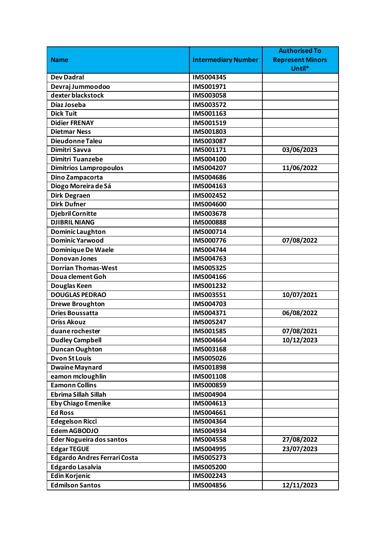|                                     |                            | <b>Authorised To</b>    |
|-------------------------------------|----------------------------|-------------------------|
| <b>Name</b>                         | <b>Intermediary Number</b> | <b>Represent Minors</b> |
|                                     |                            | Until*                  |
| <b>Dev Dadral</b>                   | IMS004345                  |                         |
| Devraj Jummoodoo                    | IMS001971                  |                         |
| dexter blackstock                   | IMS003058                  |                         |
| Díaz Joseba                         | IMS003572                  |                         |
| <b>Dick Tuit</b>                    | IMS001163                  |                         |
| <b>Didier FRENAY</b>                | IMS001519                  |                         |
| <b>Dietmar Ness</b>                 | IMS001803                  |                         |
| Dieudonne Taleu                     | IMS003087                  |                         |
| Dimitri Savva                       | IMS001171                  | 03/06/2023              |
| <b>Dimitri Tuanzebe</b>             | IMS004100                  |                         |
| <b>Dimitrios Lampropoulos</b>       | IMS004207                  | 11/06/2022              |
| Dino Zampacorta                     | <b>IMS004686</b>           |                         |
| Diogo Moreira de Sá                 | IMS004163                  |                         |
| <b>Dirk Degraen</b>                 | IMS002452                  |                         |
| <b>Dirk Dufner</b>                  | <b>IMS004600</b>           |                         |
| <b>Djebril Cornitte</b>             | IMS003678                  |                         |
| <b>DJIBRIL NIANG</b>                | <b>IMS000888</b>           |                         |
| <b>Dominic Laughton</b>             | IMS000714                  |                         |
| <b>Dominic Yarwood</b>              | IMS000776                  | 07/08/2022              |
| Dominique De Waele                  | <b>IMS004744</b>           |                         |
| <b>Donovan Jones</b>                | IMS004763                  |                         |
| <b>Dorrian Thomas-West</b>          | IMS005325                  |                         |
| Doua clement Goh                    | IMS004166                  |                         |
| Douglas Keen                        | IMS001232                  |                         |
| <b>DOUGLAS PEDRAO</b>               | <b>IMS003551</b>           | 10/07/2021              |
| <b>Drewe Broughton</b>              | IMS004703                  |                         |
| <b>Dries Boussatta</b>              | IMS004371                  | 06/08/2022              |
| <b>Driss Akouz</b>                  | IMS005247                  |                         |
| duane rochester                     | <b>IMS001585</b>           | 07/08/2021              |
| <b>Dudley Campbell</b>              | IMS004664                  | 10/12/2023              |
| <b>Duncan Oughton</b>               | IMS003168                  |                         |
| <b>Dvon St Louis</b>                | IMS005026                  |                         |
| <b>Dwaine Maynard</b>               | IMS001898                  |                         |
| eamon mcloughlin                    | IMS001108                  |                         |
| <b>Eamonn Collins</b>               | IMS000859                  |                         |
| <b>Ebrima Sillah Sillah</b>         | IMS004904                  |                         |
| <b>Eby Chiago Emenike</b>           | IMS004613                  |                         |
| <b>Ed Ross</b>                      | IMS004661                  |                         |
| <b>Edegelson Ricci</b>              | <b>IMS004364</b>           |                         |
| <b>Edem AGBODJO</b>                 | IMS004934                  |                         |
| <b>Eder Nogueira dos santos</b>     | IMS004558                  | 27/08/2022              |
| <b>Edgar TEGUE</b>                  | IMS004995                  | 23/07/2023              |
| <b>Edgardo Andres Ferrari Costa</b> | IMS005273                  |                         |
| <b>Edgardo Lasalvia</b>             | <b>IMS005200</b>           |                         |
| <b>Edin Korjenic</b>                | IMS002243                  |                         |
| <b>Edmilson Santos</b>              | <b>IMS004856</b>           | 12/11/2023              |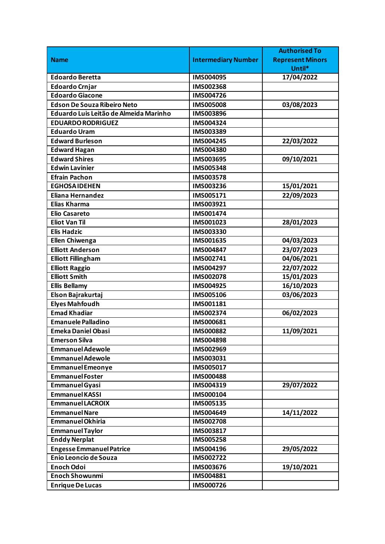|                                        |                            | <b>Authorised To</b>    |
|----------------------------------------|----------------------------|-------------------------|
| <b>Name</b>                            | <b>Intermediary Number</b> | <b>Represent Minors</b> |
|                                        |                            | Until*                  |
| <b>Edoardo Beretta</b>                 | <b>IMS004095</b>           | 17/04/2022              |
| <b>Edoardo Crnjar</b>                  | IMS002368                  |                         |
| <b>Edoardo Giacone</b>                 | IMS004726                  |                         |
| <b>Edson De Souza Ribeiro Neto</b>     | <b>IMS005008</b>           | 03/08/2023              |
| Eduardo Luis Leitão de Almeida Marinho | IMS003896                  |                         |
| <b>EDUARDO RODRIGUEZ</b>               | IMS004324                  |                         |
| <b>Eduardo Uram</b>                    | IMS003389                  |                         |
| <b>Edward Burleson</b>                 | IMS004245                  | 22/03/2022              |
| <b>Edward Hagan</b>                    | IMS004380                  |                         |
| <b>Edward Shires</b>                   | IMS003695                  | 09/10/2021              |
| <b>Edwin Lavinier</b>                  | IMS005348                  |                         |
| <b>Efrain Pachon</b>                   | IMS003578                  |                         |
| <b>EGHOSAIDEHEN</b>                    | IMS003236                  | 15/01/2021              |
| <b>Eliana Hernandez</b>                | IMS005171                  | 22/09/2023              |
| Elias Kharma                           | IMS003921                  |                         |
| <b>Elio Casareto</b>                   | IMS001474                  |                         |
| <b>Eliot Van Til</b>                   | IMS001023                  | 28/01/2023              |
| <b>Elis Hadzic</b>                     | IMS003330                  |                         |
| <b>Ellen Chiwenga</b>                  | IMS001635                  | 04/03/2023              |
| <b>Elliott Anderson</b>                | IMS004847                  | 23/07/2023              |
| <b>Elliott Fillingham</b>              | IMS002741                  | 04/06/2021              |
| <b>Elliott Raggio</b>                  | IMS004297                  | 22/07/2022              |
| <b>Elliott Smith</b>                   | IMS002078                  | 15/01/2023              |
| <b>Ellis Bellamy</b>                   | IMS004925                  | 16/10/2023              |
| Elson Bajrakurtaj                      | <b>IMS005106</b>           | 03/06/2023              |
| <b>Elyes Mahfoudh</b>                  | IMS001181                  |                         |
| <b>Emad Khadiar</b>                    | IMS002374                  | 06/02/2023              |
| <b>Emanuele Palladino</b>              | IMS000681                  |                         |
| <b>Emeka Daniel Obasi</b>              | <b>IMS000882</b>           | 11/09/2021              |
| <b>Emerson Silva</b>                   | <b>IMS004898</b>           |                         |
| <b>Emmanuel Adewole</b>                | IMS002969                  |                         |
| <b>Emmanuel Adewole</b>                | IMS003031                  |                         |
| <b>Emmanuel Emeonye</b>                | IMS005017                  |                         |
| <b>Emmanuel Foster</b>                 | <b>IMS000488</b>           |                         |
| <b>Emmanuel Gyasi</b>                  | IMS004319                  | 29/07/2022              |
| <b>Emmanuel KASSI</b>                  | IMS000104                  |                         |
| <b>Emmanuel LACROIX</b>                | IMS005135                  |                         |
| <b>Emmanuel Nare</b>                   | IMS004649                  | 14/11/2022              |
| <b>Emmanuel Okhiria</b>                | <b>IMS002708</b>           |                         |
| <b>Emmanuel Taylor</b>                 | IMS003817                  |                         |
| <b>Enddy Nerplat</b>                   | <b>IMS005258</b>           |                         |
| <b>Engesse Emmanuel Patrice</b>        | IMS004196                  | 29/05/2022              |
| Enio Leoncio de Souza                  | IMS002722                  |                         |
| <b>Enoch Odoi</b>                      | IMS003676                  | 19/10/2021              |
| <b>Enoch Showunmi</b>                  | IMS004881                  |                         |
| <b>Enrique De Lucas</b>                | IMS000726                  |                         |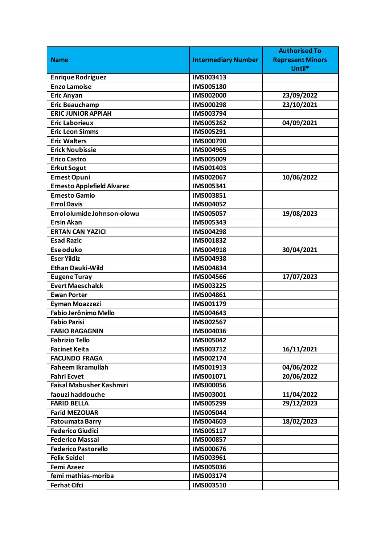|                                   |                            | <b>Authorised To</b>    |
|-----------------------------------|----------------------------|-------------------------|
| <b>Name</b>                       | <b>Intermediary Number</b> | <b>Represent Minors</b> |
|                                   |                            | Until*                  |
| <b>Enrique Rodriguez</b>          | IMS003413                  |                         |
| <b>Enzo Lamoise</b>               | IMS005180                  |                         |
| <b>Eric Anyan</b>                 | IMS002000                  | 23/09/2022              |
| <b>Eric Beauchamp</b>             | IMS000298                  | 23/10/2021              |
| <b>ERIC JUNIOR APPIAH</b>         | IMS003794                  |                         |
| <b>Eric Laborieux</b>             | IMS005262                  | 04/09/2021              |
| <b>Eric Leon Simms</b>            | IMS005291                  |                         |
| <b>Eric Walters</b>               | IMS000790                  |                         |
| <b>Erick Noubissie</b>            | IMS004965                  |                         |
| <b>Erico Castro</b>               | IMS005009                  |                         |
| <b>Erkut Sogut</b>                | IMS001403                  |                         |
| <b>Ernest Opuni</b>               | IMS002067                  | 10/06/2022              |
| <b>Ernesto Applefield Alvarez</b> | IMS005341                  |                         |
| <b>Ernesto Gamio</b>              | IMS003851                  |                         |
| <b>Errol Davis</b>                | IMS004052                  |                         |
| Errol olumide Johnson-olowu       | IMS005057                  | 19/08/2023              |
| <b>Ersin Akan</b>                 | IMS005343                  |                         |
| <b>ERTAN CAN YAZICI</b>           | <b>IMS004298</b>           |                         |
| <b>Esad Razic</b>                 | IMS001832                  |                         |
| Ese oduko                         | IMS004918                  | 30/04/2021              |
| <b>Eser Yildiz</b>                | IMS004938                  |                         |
| <b>Ethan Dauki-Wild</b>           | IMS004834                  |                         |
| <b>Eugene Turay</b>               | <b>IMS004566</b>           | 17/07/2023              |
| <b>Evert Maeschalck</b>           | IMS003225                  |                         |
| <b>Ewan Porter</b>                | IMS004861                  |                         |
| <b>Eyman Moazzezi</b>             | IMS001179                  |                         |
| <b>Fabio Jerônimo Mello</b>       | IMS004643                  |                         |
| <b>Fabio Parisi</b>               | IMS002567                  |                         |
| <b>FABIO RAGAGNIN</b>             | IMS004036                  |                         |
| <b>Fabrizio Tello</b>             | <b>IMS005042</b>           |                         |
| <b>Facinet Keita</b>              | IMS003712                  | 16/11/2021              |
| <b>FACUNDO FRAGA</b>              | IMS002174                  |                         |
| <b>Faheem Ikramullah</b>          | IMS001913                  | 04/06/2022              |
| <b>Fahri Ecvet</b>                | IMS001071                  | 20/06/2022              |
| <b>Faisal Mabusher Kashmiri</b>   | <b>IMS000056</b>           |                         |
| faouzihaddouche                   | IMS003001                  | 11/04/2022              |
| <b>FARID BELLA</b>                | IMS005299                  | 29/12/2023              |
| <b>Farid MEZOUAR</b>              | IMS005044                  |                         |
| <b>Fatoumata Barry</b>            | IMS004603                  | 18/02/2023              |
| <b>Federico Giudici</b>           | IMS005117                  |                         |
| <b>Federico Massai</b>            | IMS000857                  |                         |
| <b>Federico Pastorello</b>        | IMS000676                  |                         |
| <b>Felix Seidel</b>               | IMS003961                  |                         |
| <b>Femi Azeez</b>                 | IMS005036                  |                         |
| femi mathias-moriba               | IMS003174                  |                         |
| <b>Ferhat Cifci</b>               | IMS003510                  |                         |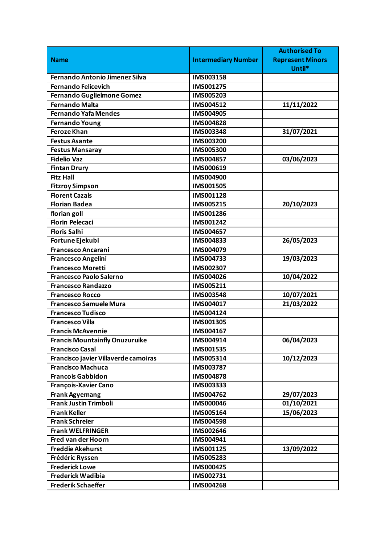|                                       |                            | <b>Authorised To</b>    |
|---------------------------------------|----------------------------|-------------------------|
| <b>Name</b>                           | <b>Intermediary Number</b> | <b>Represent Minors</b> |
|                                       |                            | Until*                  |
| <b>Fernando Antonio Jimenez Silva</b> | IMS003158                  |                         |
| <b>Fernando Felicevich</b>            | IMS001275                  |                         |
| Fernando Guglielmone Gomez            | IMS005203                  |                         |
| <b>Fernando Malta</b>                 | IMS004512                  | 11/11/2022              |
| <b>Fernando Yafa Mendes</b>           | IMS004905                  |                         |
| <b>Fernando Young</b>                 | <b>IMS004828</b>           |                         |
| <b>Feroze Khan</b>                    | IMS003348                  | 31/07/2021              |
| <b>Festus Asante</b>                  | IMS003200                  |                         |
| <b>Festus Mansaray</b>                | IMS005300                  |                         |
| <b>Fidelio Vaz</b>                    | IMS004857                  | 03/06/2023              |
| <b>Fintan Drury</b>                   | IMS000619                  |                         |
| <b>Fitz Hall</b>                      | <b>IMS004900</b>           |                         |
| <b>Fitzroy Simpson</b>                | <b>IMS001505</b>           |                         |
| <b>Florent Cazals</b>                 | IMS001128                  |                         |
| <b>Florian Badea</b>                  | IMS005215                  | 20/10/2023              |
| florian goll                          | IMS001286                  |                         |
| <b>Florin Pelecaci</b>                | IMS001242                  |                         |
| <b>Floris Salhi</b>                   | IMS004657                  |                         |
| Fortune Ejekubi                       | IMS004833                  | 26/05/2023              |
| <b>Francesco Ancarani</b>             | IMS004079                  |                         |
| <b>Francesco Angelini</b>             | IMS004733                  | 19/03/2023              |
| <b>Francesco Moretti</b>              | IMS002307                  |                         |
| Francesco Paolo Salerno               | IMS004026                  | 10/04/2022              |
| <b>Francesco Randazzo</b>             | IMS005211                  |                         |
| <b>Francesco Rocco</b>                | IMS003548                  | 10/07/2021              |
| <b>Francesco Samuele Mura</b>         | IMS004017                  | 21/03/2022              |
| <b>Francesco Tudisco</b>              | IMS004124                  |                         |
| <b>Francesco Villa</b>                | IMS001305                  |                         |
| <b>Francis McAvennie</b>              | IMS004167                  |                         |
| <b>Francis Mountainfly Onuzuruike</b> | IMS004914                  | 06/04/2023              |
| <b>Francisco Casal</b>                | IMS001535                  |                         |
| Francisco javier Villaverde camoiras  | IMS005314                  | 10/12/2023              |
| <b>Francisco Machuca</b>              | IMS003787                  |                         |
| <b>Francois Gabbidon</b>              | IMS004878                  |                         |
| François-Xavier Cano                  | IMS003333                  |                         |
| <b>Frank Agyemang</b>                 | IMS004762                  | 29/07/2023              |
| <b>Frank Justin Trimboli</b>          | <b>IMS000046</b>           | 01/10/2021              |
| <b>Frank Keller</b>                   | IMS005164                  | 15/06/2023              |
| <b>Frank Schreier</b>                 | <b>IMS004598</b>           |                         |
| <b>Frank WELFRINGER</b>               | IMS002646                  |                         |
| Fred van der Hoorn                    | IMS004941                  |                         |
| <b>Freddie Akehurst</b>               | IMS001125                  | 13/09/2022              |
| Frédéric Ryssen                       | <b>IMS005283</b>           |                         |
| <b>Frederick Lowe</b>                 | IMS000425                  |                         |
| <b>Frederick Wadibia</b>              | IMS002731                  |                         |
| <b>Frederik Schaeffer</b>             | <b>IMS004268</b>           |                         |
|                                       |                            |                         |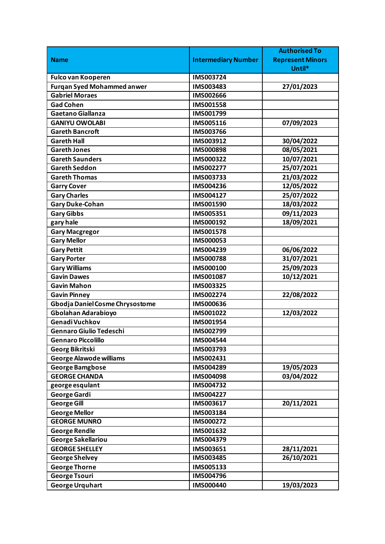|                                   |                            | <b>Authorised To</b>    |
|-----------------------------------|----------------------------|-------------------------|
| <b>Name</b>                       | <b>Intermediary Number</b> | <b>Represent Minors</b> |
|                                   |                            | Until*                  |
| <b>Fulco van Kooperen</b>         | IMS003724                  |                         |
| <b>Furgan Syed Mohammed anwer</b> | IMS003483                  | 27/01/2023              |
| <b>Gabriel Moraes</b>             | IMS002666                  |                         |
| <b>Gad Cohen</b>                  | <b>IMS001558</b>           |                         |
| <b>Gaetano Giallanza</b>          | IMS001799                  |                         |
| <b>GANIYU OWOLABI</b>             | IMS005116                  | 07/09/2023              |
| <b>Gareth Bancroft</b>            | IMS003766                  |                         |
| <b>Gareth Hall</b>                | IMS003912                  | 30/04/2022              |
| <b>Gareth Jones</b>               | <b>IMS000898</b>           | 08/05/2021              |
| <b>Gareth Saunders</b>            | IMS000322                  | 10/07/2021              |
| <b>Gareth Seddon</b>              | IMS002277                  | 25/07/2021              |
| <b>Gareth Thomas</b>              | IMS003733                  | 21/03/2022              |
| <b>Garry Cover</b>                | IMS004236                  | 12/05/2022              |
| <b>Gary Charles</b>               | IMS004127                  | 25/07/2022              |
| <b>Gary Duke-Cohan</b>            | IMS001590                  | 18/03/2022              |
| <b>Gary Gibbs</b>                 | IMS005351                  | 09/11/2023              |
| gary hale                         | IMS000192                  | 18/09/2021              |
| <b>Gary Macgregor</b>             | IMS001578                  |                         |
| <b>Gary Mellor</b>                | IMS000053                  |                         |
| <b>Gary Pettit</b>                | IMS004239                  | 06/06/2022              |
| <b>Gary Porter</b>                | <b>IMS000788</b>           | 31/07/2021              |
| <b>Gary Williams</b>              | IMS000100                  | 25/09/2023              |
| <b>Gavin Dawes</b>                | IMS001087                  | 10/12/2021              |
| <b>Gavin Mahon</b>                | IMS003325                  |                         |
| <b>Gavin Pinney</b>               | IMS002274                  | 22/08/2022              |
| Gbodja Daniel Cosme Chrysostome   | <b>IMS000636</b>           |                         |
| Gbolahan Adarabioyo               | IMS001022                  | 12/03/2022              |
| Genadi Vuchkov                    | IMS001954                  |                         |
| <b>Gennaro Giulio Tedeschi</b>    | IMS002799                  |                         |
| <b>Gennaro Piccolillo</b>         | IMS004544                  |                         |
| <b>Georg Bikritski</b>            | IMS003793                  |                         |
| <b>George Alawode williams</b>    | IMS002431                  |                         |
| <b>George Bamgbose</b>            | IMS004289                  | 19/05/2023              |
| <b>GEORGE CHANDA</b>              | IMS004098                  | 03/04/2022              |
| george esqulant                   | IMS004732                  |                         |
| <b>George Gardi</b>               | IMS004227                  |                         |
| <b>George Gill</b>                | IMS003617                  | 20/11/2021              |
| <b>George Mellor</b>              | IMS003184                  |                         |
| <b>GEORGE MUNRO</b>               | IMS000272                  |                         |
| <b>George Rendle</b>              | IMS001632                  |                         |
| George Sakellariou                | IMS004379                  |                         |
| <b>GEORGE SHELLEY</b>             | IMS003651                  | 28/11/2021              |
| <b>George Shelvey</b>             | <b>IMS003485</b>           | 26/10/2021              |
| <b>George Thorne</b>              | IMS005133                  |                         |
| <b>George Tsouri</b>              | IMS004796                  |                         |
| <b>George Urquhart</b>            | <b>IMS000440</b>           | 19/03/2023              |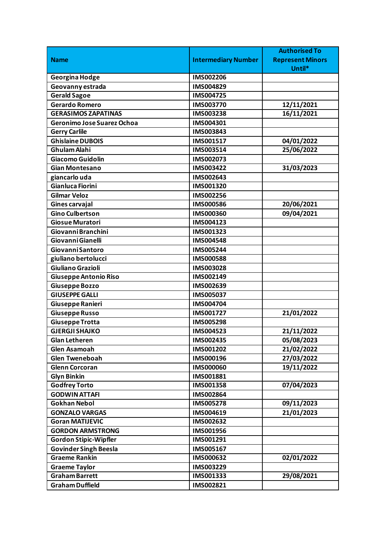|                              |                            | <b>Authorised To</b>    |
|------------------------------|----------------------------|-------------------------|
| <b>Name</b>                  | <b>Intermediary Number</b> | <b>Represent Minors</b> |
|                              |                            | Until*                  |
| Georgina Hodge               | IMS002206                  |                         |
| Geovanny estrada             | IMS004829                  |                         |
| <b>Gerald Sagoe</b>          | IMS004725                  |                         |
| <b>Gerardo Romero</b>        | IMS003770                  | 12/11/2021              |
| <b>GERASIMOS ZAPATINAS</b>   | IMS003238                  | 16/11/2021              |
| Geronimo Jose Suarez Ochoa   | IMS004301                  |                         |
| <b>Gerry Carlile</b>         | IMS003843                  |                         |
| <b>Ghislaine DUBOIS</b>      | IMS001517                  | 04/01/2022              |
| Ghulam Alahi                 | IMS003514                  | 25/06/2022              |
| Giacomo Guidolin             | IMS002073                  |                         |
| <b>Gian Montesano</b>        | IMS003422                  | 31/03/2023              |
| giancarlo uda                | IMS002643                  |                         |
| Gianluca Fiorini             | IMS001320                  |                         |
| <b>Gilmar Veloz</b>          | IMS002256                  |                         |
| Gines carvajal               | <b>IMS000586</b>           | 20/06/2021              |
| <b>Gino Culbertson</b>       | IMS000360                  | 09/04/2021              |
| Giosue Muratori              | IMS004123                  |                         |
| Giovanni Branchini           | IMS001323                  |                         |
| Giovanni Gianelli            | <b>IMS004548</b>           |                         |
| <b>Giovanni Santoro</b>      | IMS005244                  |                         |
| giuliano bertolucci          | <b>IMS000588</b>           |                         |
| Giuliano Grazioli            | IMS003028                  |                         |
| Giuseppe Antonio Riso        | IMS002149                  |                         |
| <b>Giuseppe Bozzo</b>        | IMS002639                  |                         |
| <b>GIUSEPPE GALLI</b>        | IMS005037                  |                         |
| Giuseppe Ranieri             | IMS004704                  |                         |
| Giuseppe Russo               | IMS001727                  | 21/01/2022              |
| <b>Giuseppe Trotta</b>       | <b>IMS005298</b>           |                         |
| <b>GJERGJI SHAJKO</b>        | IMS004523                  | 21/11/2022              |
| <b>Glan Letheren</b>         | IMS002435                  | 05/08/2023              |
| <b>Glen Asamoah</b>          | IMS001202                  | 21/02/2022              |
| <b>Glen Tweneboah</b>        | IMS000196                  | 27/03/2022              |
| <b>Glenn Corcoran</b>        | <b>IMS000060</b>           | 19/11/2022              |
| <b>Glyn Binkin</b>           | IMS001881                  |                         |
| <b>Godfrey Torto</b>         | IMS001358                  | 07/04/2023              |
| <b>GODWIN ATTAFI</b>         | IMS002864                  |                         |
| <b>Gokhan Nebol</b>          | <b>IMS005278</b>           | 09/11/2023              |
| <b>GONZALO VARGAS</b>        | IMS004619                  | 21/01/2023              |
| <b>Goran MATIJEVIC</b>       | IMS002632                  |                         |
| <b>GORDON ARMSTRONG</b>      | IMS001956                  |                         |
| <b>Gordon Stipic-Wipfler</b> | IMS001291                  |                         |
| <b>Govinder Singh Beesla</b> | IMS005167                  |                         |
| <b>Graeme Rankin</b>         | IMS000632                  | 02/01/2022              |
| <b>Graeme Taylor</b>         | IMS003229                  |                         |
| <b>Graham Barrett</b>        | IMS001333                  | 29/08/2021              |
| <b>Graham Duffield</b>       | IMS002821                  |                         |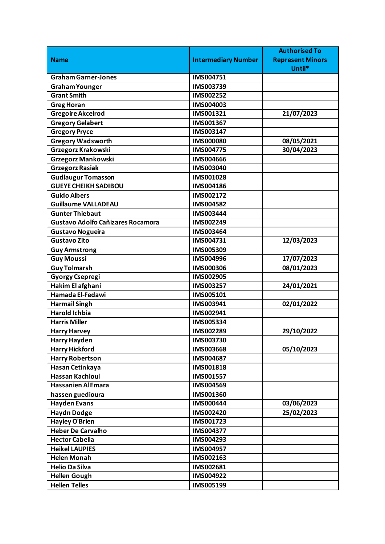|                                          |                            | <b>Authorised To</b>    |
|------------------------------------------|----------------------------|-------------------------|
| <b>Name</b>                              | <b>Intermediary Number</b> | <b>Represent Minors</b> |
|                                          |                            | Until*                  |
| <b>Graham Garner-Jones</b>               | IMS004751                  |                         |
| <b>Graham Younger</b>                    | IMS003739                  |                         |
| <b>Grant Smith</b>                       | IMS002252                  |                         |
| <b>Greg Horan</b>                        | IMS004003                  |                         |
| <b>Gregoire Akcelrod</b>                 | IMS001321                  | 21/07/2023              |
| <b>Gregory Gelabert</b>                  | IMS001367                  |                         |
| <b>Gregory Pryce</b>                     | IMS003147                  |                         |
| <b>Gregory Wadsworth</b>                 | <b>IMS000080</b>           | 08/05/2021              |
| Grzegorz Krakowski                       | IMS004775                  | 30/04/2023              |
| <b>Grzegorz Mankowski</b>                | <b>IMS004666</b>           |                         |
| <b>Grzegorz Rasiak</b>                   | IMS003040                  |                         |
| <b>Gudlaugur Tomasson</b>                | IMS001028                  |                         |
| <b>GUEYE CHEIKH SADIBOU</b>              | IMS004186                  |                         |
| <b>Guido Albers</b>                      | IMS002172                  |                         |
| <b>Guillaume VALLADEAU</b>               | IMS004582                  |                         |
| <b>Gunter Thiebaut</b>                   | IMS003444                  |                         |
| <b>Gustavo Adolfo Cañizares Rocamora</b> | IMS002249                  |                         |
| <b>Gustavo Nogueira</b>                  | IMS003464                  |                         |
| Gustavo Zito                             | IMS004731                  | 12/03/2023              |
| <b>Guy Armstrong</b>                     | IMS005309                  |                         |
| <b>Guy Moussi</b>                        | IMS004996                  | 17/07/2023              |
| <b>Guy Tolmarsh</b>                      | <b>IMS000306</b>           | 08/01/2023              |
| <b>Gyorgy Csepregi</b>                   | IMS002905                  |                         |
| Hakim El afghani                         | IMS003257                  | 24/01/2021              |
| Hamada El-Fedawi                         | IMS005101                  |                         |
| <b>Harmail Singh</b>                     | IMS003941                  | 02/01/2022              |
| <b>Harold Ichbia</b>                     | IMS002941                  |                         |
| <b>Harris Miller</b>                     | IMS005334                  |                         |
| <b>Harry Harvey</b>                      | IMS002289                  | 29/10/2022              |
| <b>Harry Hayden</b>                      | IMS003730                  |                         |
| <b>Harry Hickford</b>                    | IMS003668                  | 05/10/2023              |
| <b>Harry Robertson</b>                   | IMS004687                  |                         |
| Hasan Cetinkaya                          | IMS001818                  |                         |
| <b>Hassan Kachloul</b>                   | IMS001557                  |                         |
| <b>Hassanien Al Emara</b>                | IMS004569                  |                         |
| hassen guedioura                         | IMS001360                  |                         |
| <b>Hayden Evans</b>                      | <b>IMS000444</b>           | 03/06/2023              |
| <b>Haydn Dodge</b>                       | IMS002420                  | 25/02/2023              |
| <b>Hayley O'Brien</b>                    | IMS001723                  |                         |
| <b>Heber De Carvalho</b>                 | IMS004377                  |                         |
| <b>Hector Cabella</b>                    | IMS004293                  |                         |
| <b>Heikel LAUPIES</b>                    | IMS004957                  |                         |
| <b>Helen Monah</b>                       | IMS002163                  |                         |
| <b>Helio Da Silva</b>                    | IMS002681                  |                         |
| <b>Hellen Gough</b>                      | IMS004922                  |                         |
| <b>Hellen Telles</b>                     | IMS005199                  |                         |
|                                          |                            |                         |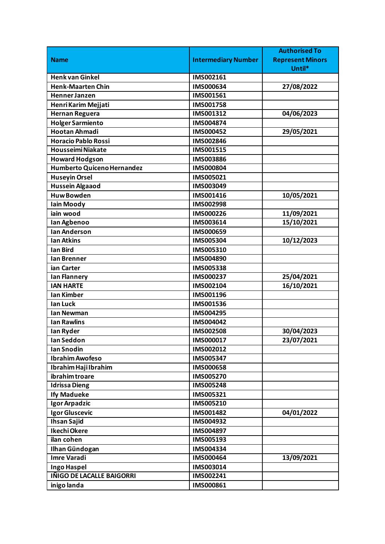|                            |                            | <b>Authorised To</b>    |
|----------------------------|----------------------------|-------------------------|
| <b>Name</b>                | <b>Intermediary Number</b> | <b>Represent Minors</b> |
|                            |                            | Until*                  |
| <b>Henk van Ginkel</b>     | IMS002161                  |                         |
| <b>Henk-Maarten Chin</b>   | IMS000634                  | 27/08/2022              |
| <b>Henner Janzen</b>       | IMS001561                  |                         |
| Henri Karim Mejjati        | IMS001758                  |                         |
| <b>Hernan Reguera</b>      | IMS001312                  | 04/06/2023              |
| <b>Holger Sarmiento</b>    | <b>IMS004874</b>           |                         |
| <b>Hootan Ahmadi</b>       | IMS000452                  | 29/05/2021              |
| <b>Horacio Pablo Rossi</b> | IMS002846                  |                         |
| <b>Housseimi Niakate</b>   | IMS001515                  |                         |
| <b>Howard Hodgson</b>      | <b>IMS003886</b>           |                         |
| Humberto Quiceno Hernandez | IMS000804                  |                         |
| Huseyin Orsel              | IMS005021                  |                         |
| <b>Hussein Algaaod</b>     | IMS003049                  |                         |
| <b>Huw Bowden</b>          | IMS001416                  | 10/05/2021              |
| <b>lain Moody</b>          | IMS002998                  |                         |
| iain wood                  | IMS000226                  | 11/09/2021              |
| Ian Agbenoo                | IMS003614                  | 15/10/2021              |
| <b>Ian Anderson</b>        | IMS000659                  |                         |
| <b>Ian Atkins</b>          | IMS005304                  | 10/12/2023              |
| <b>Ian Bird</b>            | IMS005310                  |                         |
| lan Brenner                | IMS004890                  |                         |
| ian Carter                 | <b>IMS005338</b>           |                         |
| Ian Flannery               | IMS000237                  | 25/04/2021              |
| <b>IAN HARTE</b>           | IMS002104                  | 16/10/2021              |
| <b>Ian Kimber</b>          | IMS001196                  |                         |
| lan Luck                   | IMS001536                  |                         |
| <b>Ian Newman</b>          | IMS004295                  |                         |
| <b>Ian Rawlins</b>         | IMS004042                  |                         |
| lan Ryder                  | <b>IMS002508</b>           | 30/04/2023              |
| Ian Seddon                 | IMS000017                  | 23/07/2021              |
| <b>Ian Snodin</b>          | IMS002012                  |                         |
| <b>Ibrahim Awofeso</b>     | IMS005347                  |                         |
| Ibrahim Haji Ibrahim       | <b>IMS000658</b>           |                         |
| ibrahim troare             | IMS005270                  |                         |
| <b>Idrissa Dieng</b>       | IMS005248                  |                         |
| <b>Ify Madueke</b>         | IMS005321                  |                         |
| Igor Arpadzic              | IMS005210                  |                         |
| Igor Gluscevic             | IMS001482                  | 04/01/2022              |
| <b>Ihsan Sajid</b>         | IMS004932                  |                         |
| Ikechi Okere               | IMS004897                  |                         |
| ilan cohen                 | IMS005193                  |                         |
| Ilhan Gündogan             | IMS004334                  |                         |
| <b>Imre Varadi</b>         | IMS000464                  | 13/09/2021              |
| Ingo Haspel                | IMS003014                  |                         |
| IÑIGO DE LACALLE BAIGORRI  | IMS002241                  |                         |
| inigo landa                | IMS000861                  |                         |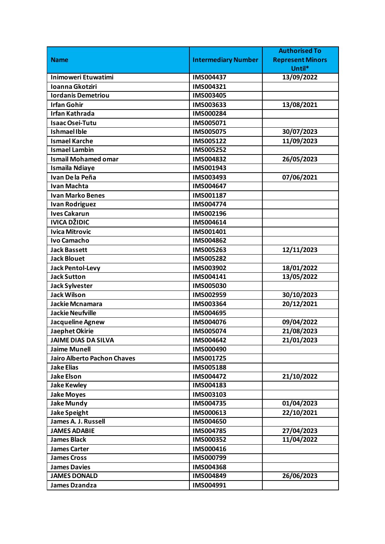|                                    |                            | <b>Authorised To</b>    |
|------------------------------------|----------------------------|-------------------------|
| <b>Name</b>                        | <b>Intermediary Number</b> | <b>Represent Minors</b> |
|                                    |                            | Until*                  |
| Inimoweri Etuwatimi                | IMS004437                  | 13/09/2022              |
| Ioanna Gkotziri                    | IMS004321                  |                         |
| <b>Iordanis Demetriou</b>          | IMS003405                  |                         |
| <b>Irfan Gohir</b>                 | IMS003633                  | 13/08/2021              |
| <b>Irfan Kathrada</b>              | IMS000284                  |                         |
| <b>Isaac Osei-Tutu</b>             | IMS005071                  |                         |
| <b>IshmaelIble</b>                 | <b>IMS005075</b>           | 30/07/2023              |
| <b>Ismael Karche</b>               | IMS005122                  | 11/09/2023              |
| <b>Ismael Lambin</b>               | IMS005252                  |                         |
| <b>Ismail Mohamed omar</b>         | IMS004832                  | 26/05/2023              |
| <b>Ismaila Ndiaye</b>              | IMS001943                  |                         |
| Ivan De la Peña                    | IMS003493                  | 07/06/2021              |
| <b>Ivan Machta</b>                 | IMS004647                  |                         |
| <b>Ivan Marko Benes</b>            | IMS001187                  |                         |
| <b>Ivan Rodriguez</b>              | IMS004774                  |                         |
| <b>Ives Cakarun</b>                | IMS002196                  |                         |
| IVICA DŽIDIC                       | IMS004614                  |                         |
| <b>Ivica Mitrovic</b>              | IMS001401                  |                         |
| <b>Ivo Camacho</b>                 | IMS004862                  |                         |
| <b>Jack Bassett</b>                | IMS005263                  | 12/11/2023              |
| <b>Jack Blouet</b>                 | IMS005282                  |                         |
| <b>Jack Pentol-Levy</b>            | IMS003902                  | 18/01/2022              |
| <b>Jack Sutton</b>                 | IMS004141                  | 13/05/2022              |
| <b>Jack Sylvester</b>              | <b>IMS005030</b>           |                         |
| <b>Jack Wilson</b>                 | IMS002959                  | 30/10/2023              |
| Jackie Mcnamara                    | IMS003364                  | 20/12/2021              |
| <b>Jackie Neufville</b>            | IMS004695                  |                         |
| Jacqueline Agnew                   | IMS004076                  | 09/04/2022              |
| Jaephet Okirie                     | <b>IMS005074</b>           | 21/08/2023              |
| <b>JAIME DIAS DA SILVA</b>         | IMS004642                  | 21/01/2023              |
| <b>Jaime Munell</b>                | IMS000490                  |                         |
| <b>Jairo Alberto Pachon Chaves</b> | IMS001725                  |                         |
| <b>Jake Elias</b>                  | IMS005188                  |                         |
| <b>Jake Elson</b>                  | IMS004472                  | 21/10/2022              |
| <b>Jake Kewley</b>                 | IMS004183                  |                         |
| <b>Jake Moyes</b>                  | IMS003103                  |                         |
| <b>Jake Mundy</b>                  | IMS004735                  | 01/04/2023              |
| <b>Jake Speight</b>                | IMS000613                  | 22/10/2021              |
| James A. J. Russell                | IMS004650                  |                         |
| <b>JAMES ADABIE</b>                | IMS004785                  | 27/04/2023              |
| <b>James Black</b>                 | IMS000352                  | 11/04/2022              |
| <b>James Carter</b>                | IMS000416                  |                         |
| <b>James Cross</b>                 | IMS000799                  |                         |
| <b>James Davies</b>                | IMS004368                  |                         |
| <b>JAMES DONALD</b>                | IMS004849                  | 26/06/2023              |
| <b>James Dzandza</b>               | IMS004991                  |                         |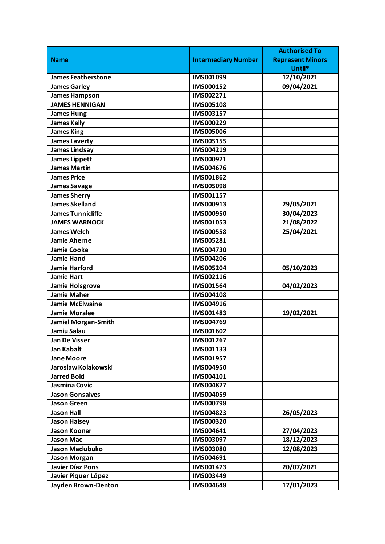|                            |                            | <b>Authorised To</b>    |
|----------------------------|----------------------------|-------------------------|
| <b>Name</b>                | <b>Intermediary Number</b> | <b>Represent Minors</b> |
|                            |                            | Until*                  |
| <b>James Featherstone</b>  | IMS001099                  | 12/10/2021              |
| <b>James Garley</b>        | IMS000152                  | 09/04/2021              |
| <b>James Hampson</b>       | IMS002271                  |                         |
| <b>JAMES HENNIGAN</b>      | <b>IMS005108</b>           |                         |
| <b>James Hung</b>          | IMS003157                  |                         |
| <b>James Kelly</b>         | IMS000229                  |                         |
| <b>James King</b>          | <b>IMS005006</b>           |                         |
| <b>James Laverty</b>       | IMS005155                  |                         |
| <b>James Lindsay</b>       | IMS004219                  |                         |
| <b>James Lippett</b>       | IMS000921                  |                         |
| <b>James Martin</b>        | IMS004676                  |                         |
| <b>James Price</b>         | IMS001862                  |                         |
| <b>James Savage</b>        | <b>IMS005098</b>           |                         |
| <b>James Sherry</b>        | IMS001157                  |                         |
| James Skelland             | IMS000913                  | 29/05/2021              |
| <b>James Tunnicliffe</b>   | <b>IMS000950</b>           | 30/04/2023              |
| <b>JAMES WARNOCK</b>       | IMS001053                  | 21/08/2022              |
| <b>James Welch</b>         | <b>IMS000558</b>           | 25/04/2021              |
| <b>Jamie Aherne</b>        | IMS005281                  |                         |
| <b>Jamie Cooke</b>         | IMS004730                  |                         |
| <b>Jamie Hand</b>          | IMS004206                  |                         |
| <b>Jamie Harford</b>       | IMS005204                  | 05/10/2023              |
| <b>Jamie Hart</b>          | IMS002116                  |                         |
| <b>Jamie Holsgrove</b>     | IMS001564                  | 04/02/2023              |
| Jamie Maher                | IMS004108                  |                         |
| <b>Jamie McElwaine</b>     | IMS004916                  |                         |
| <b>Jamie Moralee</b>       | IMS001483                  | 19/02/2021              |
| <b>Jamiel Morgan-Smith</b> | IMS004769                  |                         |
| Jamiu Salau                | IMS001602                  |                         |
| <b>Jan De Visser</b>       | IMS001267                  |                         |
| <b>Jan Kabalt</b>          | IMS001133                  |                         |
| <b>Jane Moore</b>          | IMS001957                  |                         |
| Jaroslaw Kolakowski        | IMS004950                  |                         |
| <b>Jarred Bold</b>         | IMS004101                  |                         |
| Jasmina Covic              | IMS004827                  |                         |
| <b>Jason Gonsalves</b>     | IMS004059                  |                         |
| <b>Jason Green</b>         | <b>IMS000798</b>           |                         |
| <b>Jason Hall</b>          | IMS004823                  | 26/05/2023              |
| <b>Jason Halsey</b>        | IMS000320                  |                         |
| <b>Jason Kooner</b>        | IMS004641                  | 27/04/2023              |
| <b>Jason Mac</b>           | IMS003097                  | 18/12/2023              |
| Jason Madubuko             | IMS003080                  | 12/08/2023              |
| <b>Jason Morgan</b>        | IMS004691                  |                         |
| <b>Javier Díaz Pons</b>    | IMS001473                  | 20/07/2021              |
| Javier Piquer López        | IMS003449                  |                         |
| <b>Jayden Brown-Denton</b> | IMS004648                  | 17/01/2023              |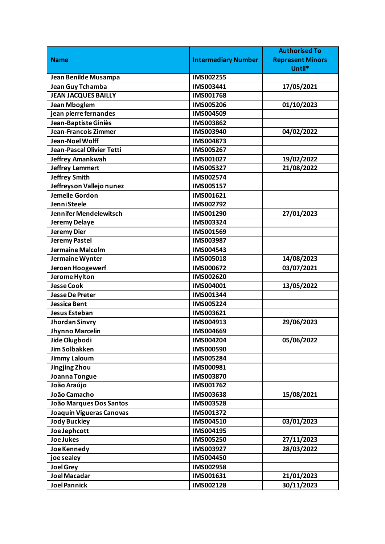|                                 |                            | <b>Authorised To</b>    |
|---------------------------------|----------------------------|-------------------------|
| <b>Name</b>                     | <b>Intermediary Number</b> | <b>Represent Minors</b> |
|                                 |                            | Until*                  |
| Jean Benilde Musampa            | IMS002255                  |                         |
| Jean Guy Tchamba                | IMS003441                  | 17/05/2021              |
| <b>JEAN JACQUES BAILLY</b>      | IMS001768                  |                         |
| <b>Jean Mboglem</b>             | <b>IMS005206</b>           | 01/10/2023              |
| jean pierre fernandes           | IMS004509                  |                         |
| Jean-Baptiste Giniès            | IMS003862                  |                         |
| <b>Jean-Francois Zimmer</b>     | IMS003940                  | 04/02/2022              |
| Jean-Noel Wolff                 | IMS004873                  |                         |
| Jean-Pascal Olivier Tetti       | IMS005267                  |                         |
| <b>Jeffrey Amankwah</b>         | IMS001027                  | 19/02/2022              |
| <b>Jeffrey Lemmert</b>          | IMS005327                  | 21/08/2022              |
| <b>Jeffrey Smith</b>            | IMS002574                  |                         |
| Jeffreyson Vallejo nunez        | IMS005157                  |                         |
| <b>Jemeile Gordon</b>           | IMS001621                  |                         |
| <b>JenniSteele</b>              | IMS002792                  |                         |
| Jennifer Mendelewitsch          | IMS001290                  | 27/01/2023              |
| <b>Jeremy Delaye</b>            | IMS003324                  |                         |
| <b>Jeremy Dier</b>              | IMS001569                  |                         |
| <b>Jeremy Pastel</b>            | IMS003987                  |                         |
| Jermaine Malcolm                | IMS004543                  |                         |
| Jermaine Wynter                 | IMS005018                  | 14/08/2023              |
| Jeroen Hoogewerf                | IMS000672                  | 03/07/2021              |
| Jerome Hylton                   | IMS002620                  |                         |
| <b>Jesse Cook</b>               | IMS004001                  | 13/05/2022              |
| <b>Jesse De Preter</b>          | IMS001344                  |                         |
| Jessica Bent                    | <b>IMS005224</b>           |                         |
| <b>Jesus Esteban</b>            | IMS003621                  |                         |
| <b>Jhordan Sinvry</b>           | IMS004913                  | 29/06/2023              |
| <b>Jhynno Marcelin</b>          | IMS004669                  |                         |
| Jide Olugbodi                   | IMS004204                  | 05/06/2022              |
| <b>Jim Solbakken</b>            | IMS000590                  |                         |
| <b>Jimmy Laloum</b>             | IMS005284                  |                         |
| <b>Jingjing Zhou</b>            | IMS000981                  |                         |
| Joanna Tongue                   | IMS003870                  |                         |
| João Araújo                     | IMS001762                  |                         |
| João Camacho                    | IMS003638                  | 15/08/2021              |
| João Marques Dos Santos         | <b>IMS003528</b>           |                         |
| <b>Joaquin Vigueras Canovas</b> | IMS001372                  |                         |
| <b>Jody Buckley</b>             | IMS004510                  | 03/01/2023              |
| Joe Jephcott                    | IMS004195                  |                         |
| <b>Joe Jukes</b>                | IMS005250                  | 27/11/2023              |
| Joe Kennedy                     | IMS003927                  | 28/03/2022              |
| joe sealey                      | <b>IMS004450</b>           |                         |
| <b>Joel Grey</b>                | <b>IMS002958</b>           |                         |
| <b>Joel Macadar</b>             | IMS001631                  | 21/01/2023              |
| <b>Joel Pannick</b>             | IMS002128                  | 30/11/2023              |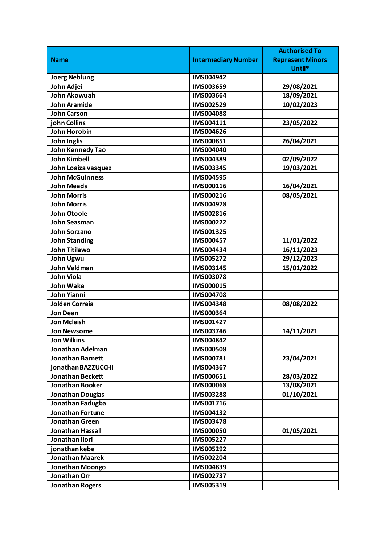|                         |                            | <b>Authorised To</b>    |
|-------------------------|----------------------------|-------------------------|
| <b>Name</b>             | <b>Intermediary Number</b> | <b>Represent Minors</b> |
|                         |                            | Until*                  |
| <b>Joerg Neblung</b>    | IMS004942                  |                         |
| John Adjei              | IMS003659                  | 29/08/2021              |
| John Akowuah            | IMS003664                  | 18/09/2021              |
| <b>John Aramide</b>     | IMS002529                  | 10/02/2023              |
| <b>John Carson</b>      | <b>IMS004088</b>           |                         |
| john Collins            | IMS004111                  | 23/05/2022              |
| John Horobin            | IMS004626                  |                         |
| <b>John Inglis</b>      | IMS000851                  | 26/04/2021              |
| John Kennedy Tao        | IMS004040                  |                         |
| <b>John Kimbell</b>     | IMS004389                  | 02/09/2022              |
| John Loaiza vasquez     | IMS003345                  | 19/03/2021              |
| <b>John McGuinness</b>  | IMS004595                  |                         |
| <b>John Meads</b>       | IMS000116                  | 16/04/2021              |
| <b>John Morris</b>      | IMS000216                  | 08/05/2021              |
| <b>John Morris</b>      | IMS004978                  |                         |
| John Otoole             | IMS002816                  |                         |
| <b>John Seasman</b>     | IMS000222                  |                         |
| <b>John Sorzano</b>     | IMS001325                  |                         |
| <b>John Standing</b>    | IMS000457                  | 11/01/2022              |
| <b>John Titilawo</b>    | IMS004434                  | 16/11/2023              |
| John Ugwu               | IMS005272                  | 29/12/2023              |
| <b>John Veldman</b>     | IMS003145                  | 15/01/2022              |
| <b>John Viola</b>       | IMS003078                  |                         |
| <b>John Wake</b>        | IMS000015                  |                         |
| John Yianni             | <b>IMS004708</b>           |                         |
| <b>Jolden Correia</b>   | IMS004348                  | 08/08/2022              |
| <b>Jon Dean</b>         | IMS000364                  |                         |
| <b>Jon Mcleish</b>      | IMS001427                  |                         |
| <b>Jon Newsome</b>      | IMS003746                  | 14/11/2021              |
| <b>Jon Wilkins</b>      | IMS004842                  |                         |
| Jonathan Adelman        | <b>IMS000508</b>           |                         |
| <b>Jonathan Barnett</b> | IMS000781                  | 23/04/2021              |
| jonathan BAZZUCCHI      | IMS004367                  |                         |
| <b>Jonathan Beckett</b> | IMS000651                  | 28/03/2022              |
| <b>Jonathan Booker</b>  | <b>IMS000068</b>           | 13/08/2021              |
| <b>Jonathan Douglas</b> | IMS003288                  | 01/10/2021              |
| Jonathan Fadugba        | IMS001716                  |                         |
| <b>Jonathan Fortune</b> | IMS004132                  |                         |
| <b>Jonathan Green</b>   | IMS003478                  |                         |
| Jonathan Hassall        | <b>IMS000050</b>           | 01/05/2021              |
| Jonathan Ilori          | IMS005227                  |                         |
| jonathan kebe           | IMS005292                  |                         |
| <b>Jonathan Maarek</b>  | IMS002204                  |                         |
| Jonathan Moongo         | IMS004839                  |                         |
| Jonathan Orr            | IMS002737                  |                         |
| <b>Jonathan Rogers</b>  | IMS005319                  |                         |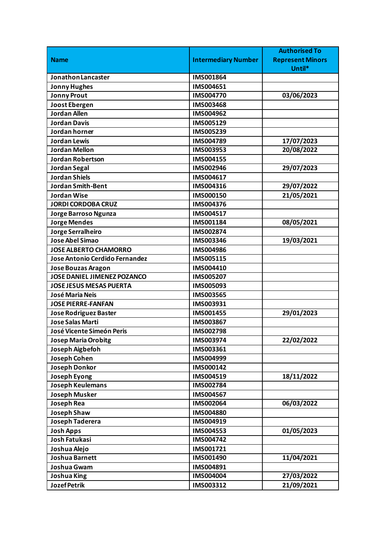|                                    |                            | <b>Authorised To</b>    |
|------------------------------------|----------------------------|-------------------------|
| <b>Name</b>                        | <b>Intermediary Number</b> | <b>Represent Minors</b> |
|                                    |                            | Until*                  |
| Jonathon Lancaster                 | IMS001864                  |                         |
| <b>Jonny Hughes</b>                | IMS004651                  |                         |
| <b>Jonny Prout</b>                 | IMS004770                  | 03/06/2023              |
| <b>Joost Ebergen</b>               | IMS003468                  |                         |
| <b>Jordan Allen</b>                | IMS004962                  |                         |
| <b>Jordan Davis</b>                | IMS005129                  |                         |
| Jordan horner                      | IMS005239                  |                         |
| <b>Jordan Lewis</b>                | IMS004789                  | 17/07/2023              |
| <b>Jordan Mellon</b>               | IMS003953                  | 20/08/2022              |
| <b>Jordan Robertson</b>            | IMS004155                  |                         |
| <b>Jordan Segal</b>                | IMS002946                  | 29/07/2023              |
| <b>Jordan Shiels</b>               | IMS004617                  |                         |
| <b>Jordan Smith-Bent</b>           | IMS004316                  | 29/07/2022              |
| <b>Jordan Wise</b>                 | IMS000150                  | 21/05/2021              |
| <b>JORDI CORDOBA CRUZ</b>          | IMS004376                  |                         |
| Jorge Barroso Ngunza               | IMS004517                  |                         |
| <b>Jorge Mendes</b>                | IMS001184                  | 08/05/2021              |
| Jorge Serralheiro                  | IMS002874                  |                         |
| Jose Abel Simao                    | IMS003346                  | 19/03/2021              |
| <b>JOSE ALBERTO CHAMORRO</b>       | IMS004986                  |                         |
| Jose Antonio Cerdido Fernandez     | IMS005115                  |                         |
| <b>Jose Bouzas Aragon</b>          | IMS004410                  |                         |
| <b>JOSE DANIEL JIMENEZ POZANCO</b> | IMS005207                  |                         |
| <b>JOSE JESUS MESAS PUERTA</b>     | IMS005093                  |                         |
| José Maria Neis                    | <b>IMS003565</b>           |                         |
| <b>JOSE PIERRE-FANFAN</b>          | IMS003931                  |                         |
| <b>Jose Rodriguez Baster</b>       | IMS001455                  | 29/01/2023              |
| <b>Jose Salas Marti</b>            | IMS003867                  |                         |
| José Vicente Simeón Peris          | IMS002798                  |                         |
| <b>Josep Maria Orobitg</b>         | IMS003974                  | 22/02/2022              |
| Joseph Aigbefoh                    | IMS003361                  |                         |
| Joseph Cohen                       | IMS004999                  |                         |
| <b>Joseph Donkor</b>               | IMS000142                  |                         |
| Joseph Eyong                       | IMS004519                  | 18/11/2022              |
| Joseph Keulemans                   | IMS002784                  |                         |
| <b>Joseph Musker</b>               | IMS004567                  |                         |
| <b>Joseph Rea</b>                  | IMS002064                  | 06/03/2022              |
| <b>Joseph Shaw</b>                 | IMS004880                  |                         |
| Joseph Taderera                    | IMS004919                  |                         |
| <b>Josh Apps</b>                   | IMS004553                  | 01/05/2023              |
| <b>Josh Fatukasi</b>               | IMS004742                  |                         |
| Joshua Alejo                       | IMS001721                  |                         |
| Joshua Barnett                     | IMS001490                  | 11/04/2021              |
| Joshua Gwam                        | IMS004891                  |                         |
| <b>Joshua King</b>                 | IMS004004                  | 27/03/2022              |
| <b>Jozef Petrik</b>                | IMS003312                  | 21/09/2021              |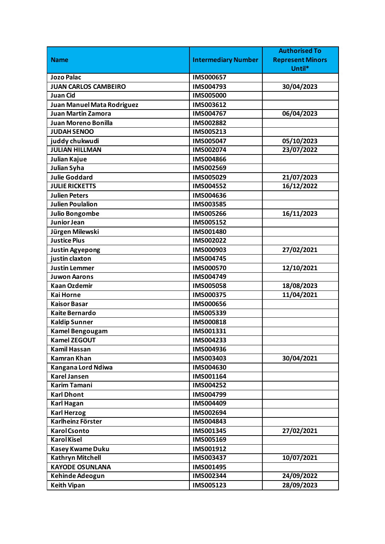|                             |                            | <b>Authorised To</b>    |
|-----------------------------|----------------------------|-------------------------|
| <b>Name</b>                 | <b>Intermediary Number</b> | <b>Represent Minors</b> |
|                             |                            | Until*                  |
| <b>Jozo Palac</b>           | <b>IMS000657</b>           |                         |
| <b>JUAN CARLOS CAMBEIRO</b> | IMS004793                  | 30/04/2023              |
| <b>Juan Cid</b>             | <b>IMS005000</b>           |                         |
| Juan Manuel Mata Rodriguez  | IMS003612                  |                         |
| <b>Juan Martin Zamora</b>   | IMS004767                  | 06/04/2023              |
| <b>Juan Moreno Bonilla</b>  | IMS002882                  |                         |
| <b>JUDAH SENOO</b>          | IMS005213                  |                         |
| juddy chukwudi              | IMS005047                  | 05/10/2023              |
| <b>JULIAN HILLMAN</b>       | IMS002074                  | 23/07/2022              |
| Julian Kajue                | IMS004866                  |                         |
| Julian Syha                 | IMS002569                  |                         |
| <b>Julie Goddard</b>        | IMS005029                  | 21/07/2023              |
| <b>JULIE RICKETTS</b>       | IMS004552                  | 16/12/2022              |
| <b>Julien Peters</b>        | IMS004636                  |                         |
| <b>Julien Poulalion</b>     | IMS003585                  |                         |
| <b>Julio Bongombe</b>       | <b>IMS005266</b>           | 16/11/2023              |
| <b>Junior Jean</b>          | IMS005152                  |                         |
| Jürgen Milewski             | IMS001480                  |                         |
| <b>Justice Pius</b>         | IMS002022                  |                         |
| <b>Justin Agyepong</b>      | IMS000903                  | 27/02/2021              |
| justin claxton              | IMS004745                  |                         |
| <b>Justin Lemmer</b>        | <b>IMS000570</b>           | 12/10/2021              |
| <b>Juwon Aarons</b>         | IMS004749                  |                         |
| <b>Kaan Ozdemir</b>         | <b>IMS005058</b>           | 18/08/2023              |
| <b>Kai Horne</b>            | <b>IMS000375</b>           | 11/04/2021              |
| <b>Kaisor Basar</b>         | IMS000656                  |                         |
| <b>Kaite Bernardo</b>       | IMS005339                  |                         |
| <b>Kaldip Sunner</b>        | IMS000818                  |                         |
| <b>Kamel Bengougam</b>      | IMS001331                  |                         |
| <b>Kamel ZEGOUT</b>         | IMS004233                  |                         |
| <b>Kamil Hassan</b>         | IMS004936                  |                         |
| <b>Kamran Khan</b>          | IMS003403                  | 30/04/2021              |
| Kangana Lord Ndiwa          | IMS004630                  |                         |
| <b>Karel Jansen</b>         | IMS001164                  |                         |
| <b>Karim Tamani</b>         | IMS004252                  |                         |
| <b>Karl Dhont</b>           | IMS004799                  |                         |
| Karl Hagan                  | IMS004409                  |                         |
| <b>Karl Herzog</b>          | IMS002694                  |                         |
| Karlheinz Förster           | IMS004843                  |                         |
| <b>Karol Csonto</b>         | IMS001345                  | 27/02/2021              |
| <b>Karol Kisel</b>          | IMS005169                  |                         |
| <b>Kasey Kwame Duku</b>     | IMS001912                  |                         |
| <b>Kathryn Mitchell</b>     | IMS003437                  | 10/07/2021              |
| <b>KAYODE OSUNLANA</b>      | IMS001495                  |                         |
| Kehinde Adeogun             | IMS002344                  | 24/09/2022              |
| <b>Keith Vipan</b>          | IMS005123                  | 28/09/2023              |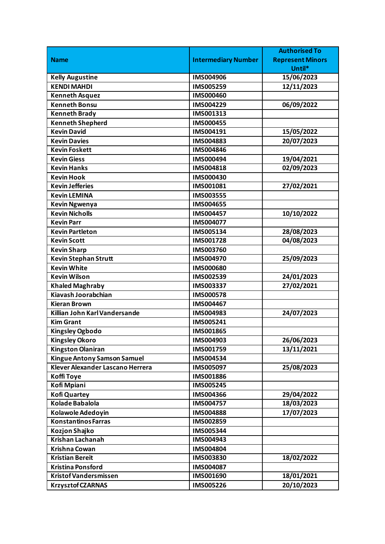|                                    |                            | <b>Authorised To</b>    |
|------------------------------------|----------------------------|-------------------------|
| <b>Name</b>                        | <b>Intermediary Number</b> | <b>Represent Minors</b> |
|                                    |                            | Until*                  |
| <b>Kelly Augustine</b>             | <b>IMS004906</b>           | 15/06/2023              |
| <b>KENDI MAHDI</b>                 | IMS005259                  | 12/11/2023              |
| <b>Kenneth Asquez</b>              | IMS000460                  |                         |
| <b>Kenneth Bonsu</b>               | IMS004229                  | 06/09/2022              |
| <b>Kenneth Brady</b>               | IMS001313                  |                         |
| <b>Kenneth Shepherd</b>            | <b>IMS000455</b>           |                         |
| <b>Kevin David</b>                 | IMS004191                  | 15/05/2022              |
| <b>Kevin Davies</b>                | IMS004883                  | 20/07/2023              |
| <b>Kevin Foskett</b>               | IMS004846                  |                         |
| <b>Kevin Giess</b>                 | IMS000494                  | 19/04/2021              |
| <b>Kevin Hanks</b>                 | IMS004818                  | 02/09/2023              |
| <b>Kevin Hook</b>                  | <b>IMS000430</b>           |                         |
| <b>Kevin Jefferies</b>             | IMS001081                  | 27/02/2021              |
| <b>Kevin LEMINA</b>                | IMS003555                  |                         |
| <b>Kevin Ngwenya</b>               | IMS004655                  |                         |
| <b>Kevin Nicholls</b>              | IMS004457                  | 10/10/2022              |
| <b>Kevin Parr</b>                  | IMS004077                  |                         |
| <b>Kevin Partleton</b>             | IMS005134                  | 28/08/2023              |
| <b>Kevin Scott</b>                 | IMS001728                  | 04/08/2023              |
| <b>Kevin Sharp</b>                 | IMS003760                  |                         |
| <b>Kevin Stephan Strutt</b>        | IMS004970                  | 25/09/2023              |
| <b>Kevin White</b>                 | <b>IMS000680</b>           |                         |
| <b>Kevin Wilson</b>                | IMS002539                  | 24/01/2023              |
| <b>Khaled Maghraby</b>             | IMS003337                  | 27/02/2021              |
| Kiavash Joorabchian                | <b>IMS000578</b>           |                         |
| <b>Kieran Brown</b>                | IMS004467                  |                         |
| Killian John Karl Vandersande      | IMS004983                  | 24/07/2023              |
| <b>Kim Grant</b>                   | IMS005241                  |                         |
| <b>Kingsley Ogbodo</b>             | IMS001865                  |                         |
| <b>Kingsley Okoro</b>              | IMS004903                  | 26/06/2023              |
| <b>Kingston Olaniran</b>           | IMS001759                  | 13/11/2021              |
| <b>Kingue Antony Samson Samuel</b> | IMS004534                  |                         |
| Klever Alexander Lascano Herrera   | IMS005097                  | 25/08/2023              |
| <b>Koffi Toye</b>                  | IMS001886                  |                         |
| Kofi Mpiani                        | IMS005245                  |                         |
| <b>Kofi Quartey</b>                | IMS004366                  | 29/04/2022              |
| Kolade Babalola                    | IMS004757                  | 18/03/2023              |
| Kolawole Adedoyin                  | <b>IMS004888</b>           | 17/07/2023              |
| <b>Konstantinos Farras</b>         | IMS002859                  |                         |
| Kozjon Shajko                      | IMS005344                  |                         |
| Krishan Lachanah                   | IMS004943                  |                         |
| Krishna Cowan                      | IMS004804                  |                         |
| <b>Kristian Bereit</b>             | IMS003830                  | 18/02/2022              |
| <b>Kristina Ponsford</b>           | IMS004087                  |                         |
| Kristof Vandersmissen              | IMS001690                  | 18/01/2021              |
| <b>Krzysztof CZARNAS</b>           | IMS005226                  | 20/10/2023              |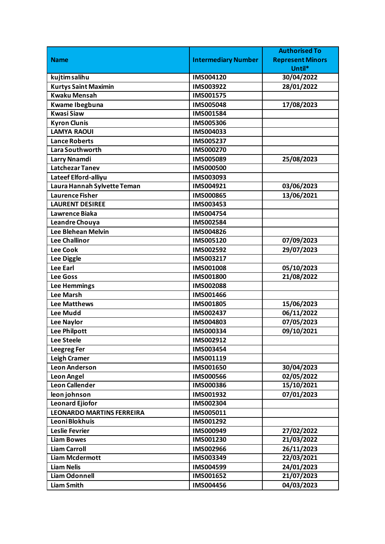|                                  |                            | <b>Authorised To</b>    |
|----------------------------------|----------------------------|-------------------------|
| <b>Name</b>                      | <b>Intermediary Number</b> | <b>Represent Minors</b> |
|                                  |                            | Until*                  |
| kujtim salihu                    | IMS004120                  | 30/04/2022              |
| <b>Kurtys Saint Maximin</b>      | IMS003922                  | 28/01/2022              |
| <b>Kwaku Mensah</b>              | IMS001575                  |                         |
| Kwame Ibegbuna                   | <b>IMS005048</b>           | 17/08/2023              |
| <b>Kwasi Siaw</b>                | IMS001584                  |                         |
| <b>Kyron Clunis</b>              | <b>IMS005306</b>           |                         |
| <b>LAMYA RAOUI</b>               | IMS004033                  |                         |
| <b>Lance Roberts</b>             | <b>IMS005237</b>           |                         |
| Lara Southworth                  | IMS000270                  |                         |
| Larry Nnamdi                     | IMS005089                  | 25/08/2023              |
| <b>Latchezar Tanev</b>           | <b>IMS000500</b>           |                         |
| Lateef Elford-alliyu             | IMS003093                  |                         |
| Laura Hannah Sylvette Teman      | IMS004921                  | 03/06/2023              |
| Laurence Fisher                  | <b>IMS000865</b>           | 13/06/2021              |
| <b>LAURENT DESIREE</b>           | IMS003453                  |                         |
| Lawrence Biaka                   | IMS004754                  |                         |
| Leandre Chouya                   | IMS002584                  |                         |
| <b>Lee Blehean Melvin</b>        | IMS004826                  |                         |
| <b>Lee Challinor</b>             | IMS005120                  | 07/09/2023              |
| <b>Lee Cook</b>                  | IMS002592                  | 29/07/2023              |
| Lee Diggle                       | IMS003217                  |                         |
| <b>Lee Earl</b>                  | <b>IMS001008</b>           | 05/10/2023              |
| <b>Lee Goss</b>                  | <b>IMS001800</b>           | 21/08/2022              |
| <b>Lee Hemmings</b>              | <b>IMS002088</b>           |                         |
| <b>Lee Marsh</b>                 | IMS001466                  |                         |
| <b>Lee Matthews</b>              | IMS001805                  | 15/06/2023              |
| <b>Lee Mudd</b>                  | IMS002437                  | 06/11/2022              |
| <b>Lee Naylor</b>                | IMS004803                  | 07/05/2023              |
| <b>Lee Philpott</b>              | IMS000334                  | 09/10/2021              |
| Lee Steele                       | IMS002912                  |                         |
| <b>Leegreg Fer</b>               | IMS003454                  |                         |
| <b>Leigh Cramer</b>              | IMS001119                  |                         |
| Leon Anderson                    | IMS001650                  | 30/04/2023              |
| <b>Leon Angel</b>                | <b>IMS000566</b>           | 02/05/2022              |
| <b>Leon Callender</b>            | <b>IMS000386</b>           | 15/10/2021              |
| leon johnson                     | IMS001932                  | 07/01/2023              |
| <b>Leonard Ejiofor</b>           | IMS002304                  |                         |
| <b>LEONARDO MARTINS FERREIRA</b> | IMS005011                  |                         |
| Leoni Blokhuis                   | IMS001292                  |                         |
| Leslie Fevrier                   | IMS000949                  | 27/02/2022              |
| <b>Liam Bowes</b>                | IMS001230                  | 21/03/2022              |
| <b>Liam Carroll</b>              | IMS002966                  | 26/11/2023              |
| <b>Liam Mcdermott</b>            | IMS003349                  | 22/03/2021              |
| <b>Liam Nelis</b>                | IMS004599                  | 24/01/2023              |
| <b>Liam Odonnell</b>             | IMS001652                  | 21/07/2023              |
| <b>Liam Smith</b>                | IMS004456                  | 04/03/2023              |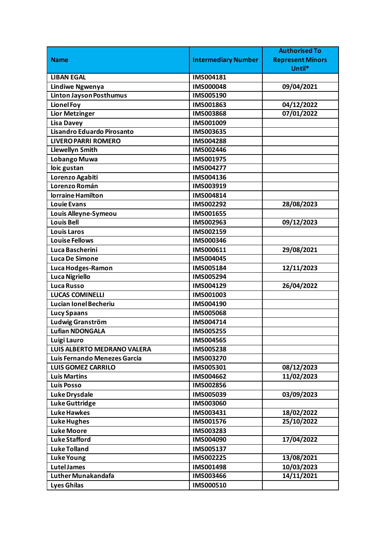|                                |                            | <b>Authorised To</b>    |
|--------------------------------|----------------------------|-------------------------|
| <b>Name</b>                    | <b>Intermediary Number</b> | <b>Represent Minors</b> |
|                                |                            | Until*                  |
| <b>LIBAN EGAL</b>              | IMS004181                  |                         |
| <b>Lindiwe Ngwenya</b>         | <b>IMS000048</b>           | 09/04/2021              |
| <b>Linton Jayson Posthumus</b> | IMS005190                  |                         |
| <b>Lionel Foy</b>              | IMS001863                  | 04/12/2022              |
| <b>Lior Metzinger</b>          | IMS003868                  | 07/01/2022              |
| <b>Lisa Davey</b>              | IMS001009                  |                         |
| Lisandro Eduardo Pirosanto     | IMS003635                  |                         |
| <b>LIVERO PARRI ROMERO</b>     | <b>IMS004288</b>           |                         |
| <b>Llewellyn Smith</b>         | IMS002446                  |                         |
| Lobango Muwa                   | IMS001975                  |                         |
| loic gustan                    | IMS004277                  |                         |
| Lorenzo Agabiti                | IMS004136                  |                         |
| Lorenzo Román                  | IMS003919                  |                         |
| lorraine Hamilton              | IMS004814                  |                         |
| Louie Evans                    | IMS002292                  | 28/08/2023              |
| Louis Alleyne-Symeou           | IMS001655                  |                         |
| <b>Louis Bell</b>              | IMS002963                  | 09/12/2023              |
| <b>Louis Laros</b>             | IMS002159                  |                         |
| <b>Louise Fellows</b>          | IMS000346                  |                         |
| Luca Bascherini                | IMS000611                  | 29/08/2021              |
| <b>Luca De Simone</b>          | IMS004045                  |                         |
| Luca Hodges-Ramon              | IMS005184                  | 12/11/2023              |
| <b>Luca Nigriello</b>          | IMS005294                  |                         |
| <b>Luca Russo</b>              | IMS004129                  | 26/04/2022              |
| <b>LUCAS COMINELLI</b>         | IMS001003                  |                         |
| <b>Lucian Ionel Becheriu</b>   | IMS004190                  |                         |
| <b>Lucy Spaans</b>             | <b>IMS005068</b>           |                         |
| Ludwig Granström               | IMS004714                  |                         |
| <b>Lufian NDONGALA</b>         | <b>IMS005255</b>           |                         |
| Luigi Lauro                    | IMS004565                  |                         |
| LUIS ALBERTO MEDRANO VALERA    | IMS005238                  |                         |
| Luis Fernando Menezes Garcia   | IMS003270                  |                         |
| <b>LUIS GOMEZ CARRILO</b>      | IMS005301                  | 08/12/2023              |
| <b>Luis Martins</b>            | IMS004662                  | 11/02/2023              |
| <b>Luis Posso</b>              | IMS002856                  |                         |
| <b>Luke Drysdale</b>           | IMS005039                  | 03/09/2023              |
| <b>Luke Guttridge</b>          | IMS003060                  |                         |
| <b>Luke Hawkes</b>             | IMS003431                  | 18/02/2022              |
| <b>Luke Hughes</b>             | IMS001576                  | 25/10/2022              |
| <b>Luke Moore</b>              | IMS003283                  |                         |
| <b>Luke Stafford</b>           | IMS004090                  | 17/04/2022              |
| <b>Luke Tolland</b>            | IMS005137                  |                         |
| <b>Luke Young</b>              | IMS002225                  | 13/08/2021              |
| <b>Lutel James</b>             | IMS001498                  | 10/03/2023              |
| <b>Luther Munakandafa</b>      | IMS003466                  | 14/11/2021              |
| <b>Lyes Ghilas</b>             | IMS000510                  |                         |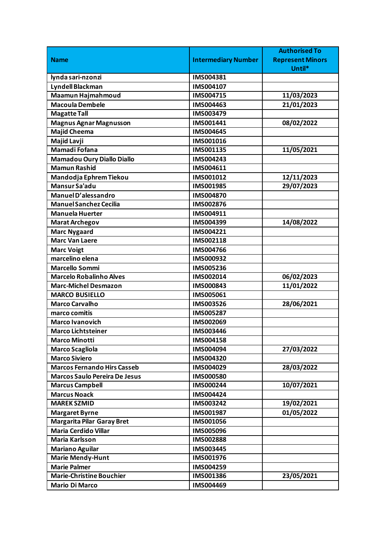|                                      |                            | <b>Authorised To</b>    |
|--------------------------------------|----------------------------|-------------------------|
| <b>Name</b>                          | <b>Intermediary Number</b> | <b>Represent Minors</b> |
|                                      |                            | Until*                  |
| lynda sari-nzonzi                    | IMS004381                  |                         |
| Lyndell Blackman                     | IMS004107                  |                         |
| Maamun Hajmahmoud                    | IMS004715                  | 11/03/2023              |
| <b>Macoula Dembele</b>               | IMS004463                  | 21/01/2023              |
| <b>Magatte Tall</b>                  | IMS003479                  |                         |
| <b>Magnus Agnar Magnusson</b>        | IMS001441                  | 08/02/2022              |
| <b>Majid Cheema</b>                  | IMS004645                  |                         |
| Majid Lavji                          | IMS001016                  |                         |
| Mamadi Fofana                        | IMS001135                  | 11/05/2021              |
| <b>Mamadou Oury Diallo Diallo</b>    | IMS004243                  |                         |
| <b>Mamun Rashid</b>                  | IMS004611                  |                         |
| Mandodja Ephrem Tiekou               | IMS001012                  | 12/11/2023              |
| Mansur Sa'adu                        | IMS001985                  | 29/07/2023              |
| Manuel D'alessandro                  | <b>IMS004870</b>           |                         |
| <b>Manuel Sanchez Cecilia</b>        | IMS002876                  |                         |
| <b>Manuela Huerter</b>               | IMS004911                  |                         |
| <b>Marat Archegov</b>                | IMS004399                  | 14/08/2022              |
| <b>Marc Nygaard</b>                  | IMS004221                  |                         |
| <b>Marc Van Laere</b>                | IMS002118                  |                         |
| <b>Marc Voigt</b>                    | <b>IMS004766</b>           |                         |
| marcelino elena                      | IMS000932                  |                         |
| <b>Marcello Sommi</b>                | IMS005236                  |                         |
| <b>Marcelo Robalinho Alves</b>       | IMS002014                  | 06/02/2023              |
| <b>Marc-Michel Desmazon</b>          | IMS000843                  | 11/01/2022              |
| <b>MARCO BUSIELLO</b>                | IMS005061                  |                         |
| <b>Marco Carvalho</b>                | IMS003526                  | 28/06/2021              |
| marco comitis                        | IMS005287                  |                         |
| <b>Marco Ivanovich</b>               | IMS002069                  |                         |
| <b>Marco Lichtsteiner</b>            | <b>IMS003446</b>           |                         |
| <b>Marco Minotti</b>                 | IMS004158                  |                         |
| <b>Marco Scagliola</b>               | IMS004094                  | 27/03/2022              |
| <b>Marco Siviero</b>                 | IMS004320                  |                         |
| <b>Marcos Fernando Hirs Casseb</b>   | IMS004029                  | 28/03/2022              |
| <b>Marcos Saulo Pereira De Jesus</b> | <b>IMS000580</b>           |                         |
| <b>Marcus Campbell</b>               | IMS000244                  | 10/07/2021              |
| <b>Marcus Noack</b>                  | IMS004424                  |                         |
| <b>MAREK SZMID</b>                   | IMS003242                  | 19/02/2021              |
| <b>Margaret Byrne</b>                | IMS001987                  | 01/05/2022              |
| <b>Margarita Pilar Garay Bret</b>    | IMS001056                  |                         |
| <b>Maria Cerdido Villar</b>          | <b>IMS005096</b>           |                         |
| <b>Maria Karlsson</b>                | IMS002888                  |                         |
| <b>Mariano Aguilar</b>               | IMS003445                  |                         |
| <b>Marie Mendy-Hunt</b>              | IMS001976                  |                         |
| <b>Marie Palmer</b>                  | IMS004259                  |                         |
| <b>Marie-Christine Bouchier</b>      | IMS001386                  | 23/05/2021              |
| <b>Mario Di Marco</b>                | IMS004469                  |                         |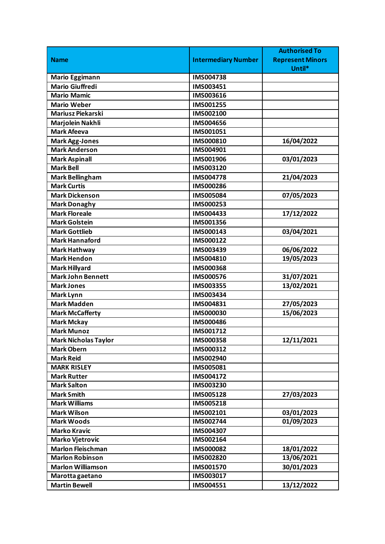|                             |                            | <b>Authorised To</b>    |
|-----------------------------|----------------------------|-------------------------|
| <b>Name</b>                 | <b>Intermediary Number</b> | <b>Represent Minors</b> |
|                             |                            | Until*                  |
| <b>Mario Eggimann</b>       | <b>IMS004738</b>           |                         |
| <b>Mario Giuffredi</b>      | IMS003451                  |                         |
| <b>Mario Mamic</b>          | IMS003616                  |                         |
| <b>Mario Weber</b>          | IMS001255                  |                         |
| Mariusz Piekarski           | IMS002100                  |                         |
| Marjolein Nakhli            | IMS004656                  |                         |
| <b>Mark Afeeva</b>          | IMS001051                  |                         |
| <b>Mark Agg-Jones</b>       | IMS000810                  | 16/04/2022              |
| <b>Mark Anderson</b>        | IMS004901                  |                         |
| <b>Mark Aspinall</b>        | IMS001906                  | 03/01/2023              |
| <b>Mark Bell</b>            | IMS003120                  |                         |
| <b>Mark Bellingham</b>      | <b>IMS004778</b>           | 21/04/2023              |
| <b>Mark Curtis</b>          | IMS000286                  |                         |
| <b>Mark Dickenson</b>       | IMS005084                  | 07/05/2023              |
| <b>Mark Donaghy</b>         | IMS000253                  |                         |
| <b>Mark Floreale</b>        | IMS004433                  | 17/12/2022              |
| <b>Mark Golstein</b>        | IMS001356                  |                         |
| <b>Mark Gottlieb</b>        | IMS000143                  | 03/04/2021              |
| <b>Mark Hannaford</b>       | IMS000122                  |                         |
| <b>Mark Hathway</b>         | IMS003439                  | 06/06/2022              |
| <b>Mark Hendon</b>          | IMS004810                  | 19/05/2023              |
| <b>Mark Hillyard</b>        | <b>IMS000368</b>           |                         |
| <b>Mark John Bennett</b>    | <b>IMS000576</b>           | 31/07/2021              |
| <b>Mark Jones</b>           | IMS003355                  | 13/02/2021              |
| <b>Mark Lynn</b>            | IMS003434                  |                         |
| <b>Mark Madden</b>          | IMS004831                  | 27/05/2023              |
| <b>Mark McCafferty</b>      | <b>IMS000030</b>           | 15/06/2023              |
| <b>Mark Mckay</b>           | <b>IMS000486</b>           |                         |
| <b>Mark Munoz</b>           | IMS001712                  |                         |
| <b>Mark Nicholas Taylor</b> | <b>IMS000358</b>           | 12/11/2021              |
| <b>Mark Obern</b>           | IMS000312                  |                         |
| <b>Mark Reid</b>            | IMS002940                  |                         |
| <b>MARK RISLEY</b>          | IMS005081                  |                         |
| <b>Mark Rutter</b>          | IMS004172                  |                         |
| <b>Mark Salton</b>          | IMS003230                  |                         |
| <b>Mark Smith</b>           | IMS005128                  | 27/03/2023              |
| <b>Mark Williams</b>        | IMS005218                  |                         |
| <b>Mark Wilson</b>          | IMS002101                  | 03/01/2023              |
| <b>Mark Woods</b>           | IMS002744                  | 01/09/2023              |
| <b>Marko Kravic</b>         | IMS004307                  |                         |
| <b>Marko Vjetrovic</b>      | IMS002164                  |                         |
| <b>Marlon Fleischman</b>    | IMS000082                  | 18/01/2022              |
| <b>Marlon Robinson</b>      | IMS002820                  | 13/06/2021              |
| <b>Marlon Williamson</b>    | IMS001570                  | 30/01/2023              |
| Marotta gaetano             | IMS003017                  |                         |
| <b>Martin Bewell</b>        | IMS004551                  | 13/12/2022              |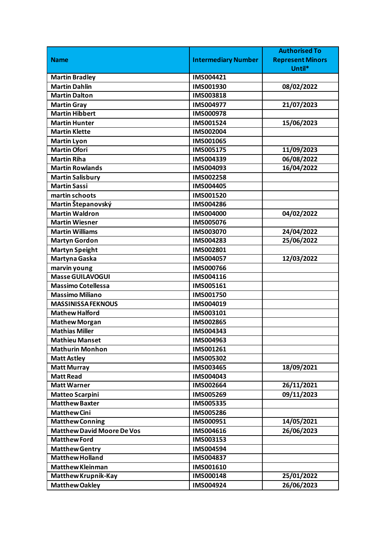|                                   |                            | <b>Authorised To</b>    |
|-----------------------------------|----------------------------|-------------------------|
| <b>Name</b>                       | <b>Intermediary Number</b> | <b>Represent Minors</b> |
|                                   |                            | Until*                  |
| <b>Martin Bradley</b>             | IMS004421                  |                         |
| <b>Martin Dahlin</b>              | IMS001930                  | 08/02/2022              |
| <b>Martin Dalton</b>              | IMS003818                  |                         |
| <b>Martin Gray</b>                | IMS004977                  | 21/07/2023              |
| <b>Martin Hibbert</b>             | <b>IMS000978</b>           |                         |
| <b>Martin Hunter</b>              | IMS001524                  | 15/06/2023              |
| <b>Martin Klette</b>              | IMS002004                  |                         |
| <b>Martin Lyon</b>                | IMS001065                  |                         |
| <b>Martin Ofori</b>               | IMS005175                  | 11/09/2023              |
| <b>Martin Riha</b>                | IMS004339                  | 06/08/2022              |
| <b>Martin Rowlands</b>            | IMS004093                  | 16/04/2022              |
| <b>Martin Salisbury</b>           | <b>IMS002258</b>           |                         |
| <b>Martin Sassi</b>               | IMS004405                  |                         |
| martin schoots                    | IMS001520                  |                         |
| Martin Štepanovský                | IMS004286                  |                         |
| <b>Martin Waldron</b>             | <b>IMS004000</b>           | 04/02/2022              |
| <b>Martin Wiesner</b>             | <b>IMS005076</b>           |                         |
| <b>Martin Williams</b>            | IMS003070                  | 24/04/2022              |
| <b>Martyn Gordon</b>              | IMS004283                  | 25/06/2022              |
| <b>Martyn Speight</b>             | IMS002801                  |                         |
| Martyna Gaska                     | IMS004057                  | 12/03/2022              |
| marvin young                      | <b>IMS000766</b>           |                         |
| Masse GUILAVOGUI                  | IMS004116                  |                         |
| <b>Massimo Cotellessa</b>         | IMS005161                  |                         |
| <b>Massimo Miliano</b>            | IMS001750                  |                         |
| <b>MASSINISSA FEKNOUS</b>         | IMS004019                  |                         |
| <b>Mathew Halford</b>             | IMS003101                  |                         |
| <b>Mathew Morgan</b>              | IMS002865                  |                         |
| <b>Mathias Miller</b>             | IMS004343                  |                         |
| <b>Mathieu Manset</b>             | IMS004963                  |                         |
| <b>Mathurin Monhon</b>            | IMS001261                  |                         |
| <b>Matt Astley</b>                | IMS005302                  |                         |
| <b>Matt Murray</b>                | IMS003465                  | 18/09/2021              |
| <b>Matt Read</b>                  | IMS004043                  |                         |
| <b>Matt Warner</b>                | IMS002664                  | 26/11/2021              |
| <b>Matteo Scarpini</b>            | IMS005269                  | 09/11/2023              |
| <b>Matthew Baxter</b>             | IMS005335                  |                         |
| <b>Matthew Cini</b>               | IMS005286                  |                         |
| <b>Matthew Conning</b>            | IMS000951                  | 14/05/2021              |
| <b>Matthew David Moore De Vos</b> | IMS004616                  | 26/06/2023              |
| <b>Matthew Ford</b>               | IMS003153                  |                         |
| <b>Matthew Gentry</b>             | IMS004594                  |                         |
| <b>Matthew Holland</b>            | IMS004837                  |                         |
| <b>Matthew Kleinman</b>           | IMS001610                  |                         |
| Matthew Krupnik-Kay               | IMS000148                  | 25/01/2022              |
| <b>Matthew Oakley</b>             | IMS004924                  | 26/06/2023              |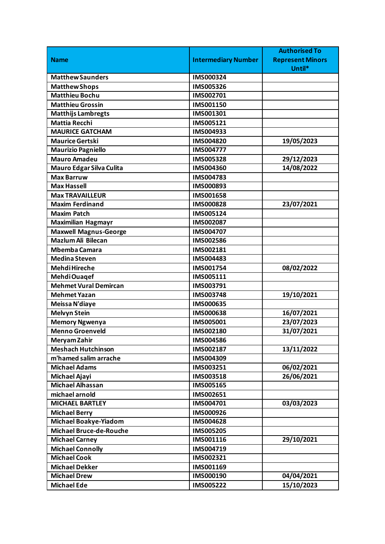|                                |                            | <b>Authorised To</b>    |
|--------------------------------|----------------------------|-------------------------|
| <b>Name</b>                    | <b>Intermediary Number</b> | <b>Represent Minors</b> |
|                                |                            | Until*                  |
| <b>Matthew Saunders</b>        | IMS000324                  |                         |
| <b>Matthew Shops</b>           | IMS005326                  |                         |
| <b>Matthieu Bochu</b>          | IMS002701                  |                         |
| <b>Matthieu Grossin</b>        | IMS001150                  |                         |
| <b>Matthijs Lambregts</b>      | IMS001301                  |                         |
| <b>Mattia Recchi</b>           | IMS005121                  |                         |
| <b>MAURICE GATCHAM</b>         | IMS004933                  |                         |
| <b>Maurice Gertski</b>         | IMS004820                  | 19/05/2023              |
| <b>Maurizio Pagniello</b>      | IMS004777                  |                         |
| <b>Mauro Amadeu</b>            | <b>IMS005328</b>           | 29/12/2023              |
| Mauro Edgar Silva Culita       | IMS004360                  | 14/08/2022              |
| <b>Max Barruw</b>              | IMS004783                  |                         |
| <b>Max Hassell</b>             | IMS000893                  |                         |
| <b>Max TRAVAILLEUR</b>         | IMS001658                  |                         |
| <b>Maxim Ferdinand</b>         | IMS000828                  | 23/07/2021              |
| <b>Maxim Patch</b>             | IMS005124                  |                         |
| <b>Maximilian Hagmayr</b>      | IMS002087                  |                         |
| <b>Maxwell Magnus-George</b>   | IMS004707                  |                         |
| <b>Mazlum Ali Bilecan</b>      | IMS002586                  |                         |
| <b>Mbemba Camara</b>           | IMS002181                  |                         |
| Medina Steven                  | IMS004483                  |                         |
| Mehdi Hireche                  | IMS001754                  | 08/02/2022              |
| Mehdi Ouaqef                   | IMS005111                  |                         |
| <b>Mehmet Vural Demircan</b>   | IMS003791                  |                         |
| <b>Mehmet Yazan</b>            | IMS003748                  | 19/10/2021              |
| Meissa N'diaye                 | IMS000635                  |                         |
| <b>Melvyn Stein</b>            | <b>IMS000638</b>           | 16/07/2021              |
| <b>Memory Ngwenya</b>          | IMS005001                  | 23/07/2023              |
| <b>Menno Groenveld</b>         | IMS002180                  | 31/07/2021              |
| Meryam Zahir                   | IMS004586                  |                         |
| <b>Meshach Hutchinson</b>      | IMS002187                  | 13/11/2022              |
| m'hamed salim arrache          | IMS004309                  |                         |
| <b>Michael Adams</b>           | IMS003251                  | 06/02/2021              |
| Michael Ajayi                  | IMS003518                  | 26/06/2021              |
| <b>Michael Alhassan</b>        | IMS005165                  |                         |
| michael arnold                 | IMS002651                  |                         |
| <b>MICHAEL BARTLEY</b>         | IMS004701                  | 03/03/2023              |
| <b>Michael Berry</b>           | IMS000926                  |                         |
| <b>Michael Boakye-Yiadom</b>   | IMS004628                  |                         |
| <b>Michael Bruce-de-Rouche</b> | IMS005205                  |                         |
| <b>Michael Carney</b>          | IMS001116                  | 29/10/2021              |
| <b>Michael Connolly</b>        | IMS004719                  |                         |
| <b>Michael Cook</b>            | IMS002321                  |                         |
| <b>Michael Dekker</b>          | IMS001169                  |                         |
| <b>Michael Drew</b>            | IMS000190                  | 04/04/2021              |
| <b>Michael Ede</b>             | IMS005222                  | 15/10/2023              |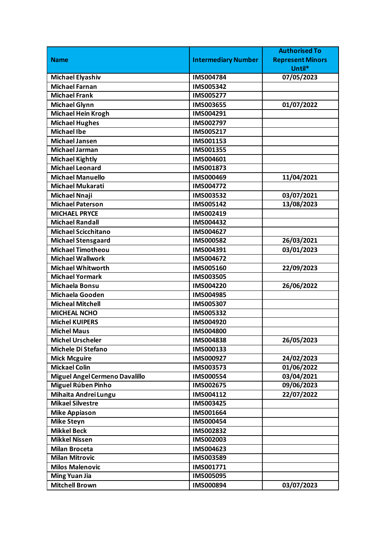|                                       |                            | <b>Authorised To</b>    |
|---------------------------------------|----------------------------|-------------------------|
| <b>Name</b>                           | <b>Intermediary Number</b> | <b>Represent Minors</b> |
|                                       |                            | Until*                  |
| <b>Michael Elyashiv</b>               | IMS004784                  | 07/05/2023              |
| <b>Michael Farnan</b>                 | IMS005342                  |                         |
| <b>Michael Frank</b>                  | <b>IMS005277</b>           |                         |
| <b>Michael Glynn</b>                  | IMS003655                  | 01/07/2022              |
| <b>Michael Hein Krogh</b>             | IMS004291                  |                         |
| <b>Michael Hughes</b>                 | IMS002797                  |                         |
| <b>Michael Ibe</b>                    | IMS005217                  |                         |
| <b>Michael Jansen</b>                 | IMS001153                  |                         |
| <b>Michael Jarman</b>                 | IMS001355                  |                         |
| <b>Michael Kightly</b>                | IMS004601                  |                         |
| <b>Michael Leonard</b>                | IMS001873                  |                         |
| <b>Michael Manuello</b>               | IMS000469                  | 11/04/2021              |
| <b>Michael Mukarati</b>               | IMS004772                  |                         |
| <b>Michael Nnaji</b>                  | IMS003532                  | 03/07/2021              |
| <b>Michael Paterson</b>               | IMS005142                  | 13/08/2023              |
| <b>MICHAEL PRYCE</b>                  | IMS002419                  |                         |
| <b>Michael Randall</b>                | IMS004432                  |                         |
| <b>Michael Scicchitano</b>            | IMS004627                  |                         |
| <b>Michael Stensgaard</b>             | IMS000582                  | 26/03/2021              |
| <b>Michael Timotheou</b>              | IMS004391                  | 03/01/2023              |
| <b>Michael Wallwork</b>               | IMS004672                  |                         |
| <b>Michael Whitworth</b>              | IMS005160                  | 22/09/2023              |
| <b>Michael Yormark</b>                | <b>IMS003505</b>           |                         |
| Michaela Bonsu                        | IMS004220                  | 26/06/2022              |
| Michaela Gooden                       | IMS004985                  |                         |
| <b>Micheal Mitchell</b>               | IMS005307                  |                         |
| <b>MICHEAL NCHO</b>                   | IMS005332                  |                         |
| <b>Michel KUIPERS</b>                 | IMS004920                  |                         |
| <b>Michel Maus</b>                    | IMS004800                  |                         |
| <b>Michel Urscheler</b>               | IMS004838                  | 26/05/2023              |
| Michele Di Stefano                    | IMS000133                  |                         |
| <b>Mick Mcguire</b>                   | IMS000927                  | 24/02/2023              |
| <b>Mickael Colin</b>                  | IMS003573                  | 01/06/2022              |
| <b>Miguel Angel Cermeno Davalillo</b> | IMS000554                  | 03/04/2021              |
| Miguel Rúben Pinho                    | IMS002675                  | 09/06/2023              |
| Mihaita Andrei Lungu                  | IMS004112                  | 22/07/2022              |
| <b>Mikael Silvestre</b>               | IMS003425                  |                         |
| <b>Mike Appiason</b>                  | IMS001664                  |                         |
| <b>Mike Steyn</b>                     | IMS000454                  |                         |
| <b>Mikkel Beck</b>                    | IMS002832                  |                         |
| <b>Mikkel Nissen</b>                  | IMS002003                  |                         |
| <b>Milan Broceta</b>                  | IMS004623                  |                         |
| <b>Milan Mitrovic</b>                 | IMS003589                  |                         |
| <b>Milos Malenovic</b>                | IMS001771                  |                         |
| <b>Ming Yuan Jia</b>                  | IMS005095                  |                         |
| <b>Mitchell Brown</b>                 | IMS000894                  | 03/07/2023              |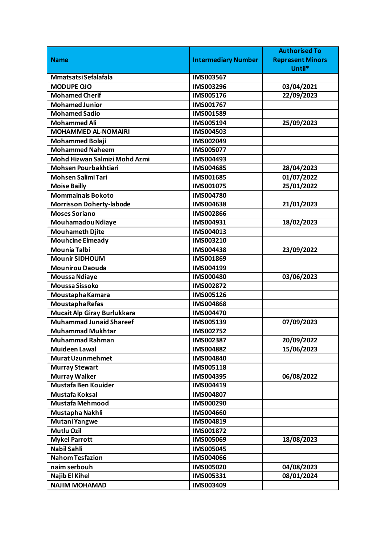|                                 |                            | <b>Authorised To</b>    |
|---------------------------------|----------------------------|-------------------------|
| <b>Name</b>                     | <b>Intermediary Number</b> | <b>Represent Minors</b> |
|                                 |                            | Until*                  |
| Mmatsatsi Sefalafala            | IMS003567                  |                         |
| <b>MODUPE OJO</b>               | IMS003296                  | 03/04/2021              |
| <b>Mohamed Cherif</b>           | IMS005176                  | 22/09/2023              |
| <b>Mohamed Junior</b>           | IMS001767                  |                         |
| <b>Mohamed Sadio</b>            | IMS001589                  |                         |
| <b>Mohammed Ali</b>             | IMS005194                  | 25/09/2023              |
| <b>MOHAMMED AL-NOMAIRI</b>      | IMS004503                  |                         |
| <b>Mohammed Bolaji</b>          | IMS002049                  |                         |
| <b>Mohammed Naheem</b>          | IMS005077                  |                         |
| Mohd Hizwan Salmizi Mohd Azmi   | IMS004493                  |                         |
| <b>Mohsen Pourbakhtiari</b>     | IMS004685                  | 28/04/2023              |
| <b>Mohsen Salimi Tari</b>       | IMS001685                  | 01/07/2022              |
| <b>Moise Bailly</b>             | IMS001075                  | 25/01/2022              |
| <b>Mommainais Bokoto</b>        | IMS004780                  |                         |
| <b>Morrisson Doherty-labode</b> | IMS004638                  | 21/01/2023              |
| <b>Moses Soriano</b>            | IMS002866                  |                         |
| Mouhamadou Ndiaye               | IMS004931                  | 18/02/2023              |
| <b>Mouhameth Djite</b>          | IMS004013                  |                         |
| <b>Mouhcine Elmeady</b>         | IMS003210                  |                         |
| <b>Mounia Talbi</b>             | IMS004438                  | 23/09/2022              |
| <b>Mounir SIDHOUM</b>           | IMS001869                  |                         |
| <b>Mounirou Daouda</b>          | IMS004199                  |                         |
| <b>Moussa Ndiaye</b>            | <b>IMS000480</b>           | 03/06/2023              |
| <b>Moussa Sissoko</b>           | IMS002872                  |                         |
| Moustapha Kamara                | <b>IMS005126</b>           |                         |
| Moustapha Refas                 | IMS004868                  |                         |
| Mucait Alp Giray Burlukkara     | <b>IMS004470</b>           |                         |
| <b>Muhammad Junaid Shareef</b>  | IMS005139                  | 07/09/2023              |
| <b>Muhammad Mukhtar</b>         | IMS002752                  |                         |
| <b>Muhammad Rahman</b>          | IMS002387                  | 20/09/2022              |
| <b>Muideen Lawal</b>            | IMS004882                  | 15/06/2023              |
| <b>Murat Uzunmehmet</b>         | IMS004840                  |                         |
| <b>Murray Stewart</b>           | IMS005118                  |                         |
| <b>Murray Walker</b>            | IMS004395                  | 06/08/2022              |
| <b>Mustafa Ben Kouider</b>      | IMS004419                  |                         |
| Mustafa Koksal                  | IMS004807                  |                         |
| <b>Mustafa Mehmood</b>          | IMS000290                  |                         |
| Mustapha Nakhli                 | IMS004660                  |                         |
| Mutani Yangwe                   | IMS004819                  |                         |
| <b>Mutlu Ozil</b>               | IMS001872                  |                         |
| <b>Mykel Parrott</b>            | IMS005069                  | 18/08/2023              |
| <b>Nabil Sahli</b>              | IMS005045                  |                         |
| <b>Nahom Tesfazion</b>          | IMS004066                  |                         |
| naim serbouh                    | <b>IMS005020</b>           | 04/08/2023              |
| <b>Najib El Kihel</b>           | IMS005331                  | 08/01/2024              |
| <b>NAJIM MOHAMAD</b>            | IMS003409                  |                         |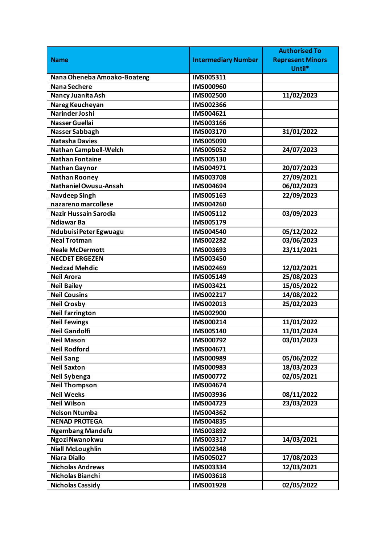| <b>Intermediary Number</b><br><b>Represent Minors</b><br><b>Name</b><br>Until*<br>Nana Oheneba Amoako-Boateng<br>IMS005311<br>Nana Sechere<br>IMS000960<br>IMS002500<br>11/02/2023<br>Nancy Juanita Ash<br>Nareg Keucheyan<br>IMS002366<br>Narinder Joshi<br>IMS004621<br><b>Nasser Guellai</b><br>IMS003166<br>31/01/2022<br>IMS003170<br>Nasser Sabbagh<br><b>Natasha Davies</b><br>IMS005090<br><b>Nathan Campbell-Welch</b><br>IMS005052<br>24/07/2023<br><b>Nathan Fontaine</b><br>IMS005130<br>IMS004971<br>20/07/2023<br><b>Nathan Gaynor</b><br>27/09/2021<br>IMS003708<br><b>Nathan Rooney</b><br>Nathaniel Owusu-Ansah<br>06/02/2023<br>IMS004694<br>22/09/2023<br><b>Navdeep Singh</b><br>IMS005163<br>nazareno marcollese<br>IMS004260<br><b>Nazir Hussain Sarodia</b><br>IMS005112<br>03/09/2023<br><b>Ndiawar Ba</b><br>IMS005179<br>05/12/2022<br>Ndubuisi Peter Egwuagu<br>IMS004540<br>03/06/2023<br><b>Neal Trotman</b><br>IMS002282<br>23/11/2021<br><b>Neale McDermott</b><br>IMS003693<br><b>NECDET ERGEZEN</b><br>IMS003450<br><b>Nedzad Mehdic</b><br>12/02/2021<br>IMS002469<br>25/08/2023<br>IMS005149<br><b>Neil Arora</b><br>15/05/2022<br><b>Neil Bailey</b><br>IMS003421<br><b>Neil Cousins</b><br>14/08/2022<br>IMS002217<br>25/02/2023<br><b>Neil Crosby</b><br>IMS002013<br><b>Neil Farrington</b><br>IMS002900<br><b>Neil Fewings</b><br>IMS000214<br>11/01/2022<br><b>Neil Gandolfi</b><br>11/01/2024<br>IMS005140<br><b>Neil Mason</b><br>IMS000792<br>03/01/2023<br><b>Neil Rodford</b><br>IMS004671<br>05/06/2022<br><b>Neil Sang</b><br>IMS000989<br><b>Neil Saxton</b><br>18/03/2023<br>IMS000983<br>Neil Sybenga<br>02/05/2021<br>IMS000772<br><b>Neil Thompson</b><br>IMS004674<br><b>Neil Weeks</b><br>08/11/2022<br>IMS003936<br>23/03/2023<br><b>Neil Wilson</b><br>IMS004723<br><b>Nelson Ntumba</b><br>IMS004362<br><b>NENAD PROTEGA</b><br>IMS004835<br><b>Ngembang Mandefu</b><br>IMS003892<br>Ngozi Nwanokwu<br>14/03/2021<br>IMS003317<br><b>Niall McLoughlin</b><br>IMS002348<br><b>Niara Diallo</b><br>17/08/2023<br>IMS005027<br>12/03/2021<br><b>Nicholas Andrews</b><br>IMS003334<br>Nicholas Bianchi<br>IMS003618 |                         |           | <b>Authorised To</b> |
|---------------------------------------------------------------------------------------------------------------------------------------------------------------------------------------------------------------------------------------------------------------------------------------------------------------------------------------------------------------------------------------------------------------------------------------------------------------------------------------------------------------------------------------------------------------------------------------------------------------------------------------------------------------------------------------------------------------------------------------------------------------------------------------------------------------------------------------------------------------------------------------------------------------------------------------------------------------------------------------------------------------------------------------------------------------------------------------------------------------------------------------------------------------------------------------------------------------------------------------------------------------------------------------------------------------------------------------------------------------------------------------------------------------------------------------------------------------------------------------------------------------------------------------------------------------------------------------------------------------------------------------------------------------------------------------------------------------------------------------------------------------------------------------------------------------------------------------------------------------------------------------------------------------------------------------------------------------------------------------------------------------------------------------------------------------------------------------------------------------------------------------------------------------------------|-------------------------|-----------|----------------------|
|                                                                                                                                                                                                                                                                                                                                                                                                                                                                                                                                                                                                                                                                                                                                                                                                                                                                                                                                                                                                                                                                                                                                                                                                                                                                                                                                                                                                                                                                                                                                                                                                                                                                                                                                                                                                                                                                                                                                                                                                                                                                                                                                                                           |                         |           |                      |
|                                                                                                                                                                                                                                                                                                                                                                                                                                                                                                                                                                                                                                                                                                                                                                                                                                                                                                                                                                                                                                                                                                                                                                                                                                                                                                                                                                                                                                                                                                                                                                                                                                                                                                                                                                                                                                                                                                                                                                                                                                                                                                                                                                           |                         |           |                      |
|                                                                                                                                                                                                                                                                                                                                                                                                                                                                                                                                                                                                                                                                                                                                                                                                                                                                                                                                                                                                                                                                                                                                                                                                                                                                                                                                                                                                                                                                                                                                                                                                                                                                                                                                                                                                                                                                                                                                                                                                                                                                                                                                                                           |                         |           |                      |
|                                                                                                                                                                                                                                                                                                                                                                                                                                                                                                                                                                                                                                                                                                                                                                                                                                                                                                                                                                                                                                                                                                                                                                                                                                                                                                                                                                                                                                                                                                                                                                                                                                                                                                                                                                                                                                                                                                                                                                                                                                                                                                                                                                           |                         |           |                      |
|                                                                                                                                                                                                                                                                                                                                                                                                                                                                                                                                                                                                                                                                                                                                                                                                                                                                                                                                                                                                                                                                                                                                                                                                                                                                                                                                                                                                                                                                                                                                                                                                                                                                                                                                                                                                                                                                                                                                                                                                                                                                                                                                                                           |                         |           |                      |
|                                                                                                                                                                                                                                                                                                                                                                                                                                                                                                                                                                                                                                                                                                                                                                                                                                                                                                                                                                                                                                                                                                                                                                                                                                                                                                                                                                                                                                                                                                                                                                                                                                                                                                                                                                                                                                                                                                                                                                                                                                                                                                                                                                           |                         |           |                      |
|                                                                                                                                                                                                                                                                                                                                                                                                                                                                                                                                                                                                                                                                                                                                                                                                                                                                                                                                                                                                                                                                                                                                                                                                                                                                                                                                                                                                                                                                                                                                                                                                                                                                                                                                                                                                                                                                                                                                                                                                                                                                                                                                                                           |                         |           |                      |
|                                                                                                                                                                                                                                                                                                                                                                                                                                                                                                                                                                                                                                                                                                                                                                                                                                                                                                                                                                                                                                                                                                                                                                                                                                                                                                                                                                                                                                                                                                                                                                                                                                                                                                                                                                                                                                                                                                                                                                                                                                                                                                                                                                           |                         |           |                      |
|                                                                                                                                                                                                                                                                                                                                                                                                                                                                                                                                                                                                                                                                                                                                                                                                                                                                                                                                                                                                                                                                                                                                                                                                                                                                                                                                                                                                                                                                                                                                                                                                                                                                                                                                                                                                                                                                                                                                                                                                                                                                                                                                                                           |                         |           |                      |
|                                                                                                                                                                                                                                                                                                                                                                                                                                                                                                                                                                                                                                                                                                                                                                                                                                                                                                                                                                                                                                                                                                                                                                                                                                                                                                                                                                                                                                                                                                                                                                                                                                                                                                                                                                                                                                                                                                                                                                                                                                                                                                                                                                           |                         |           |                      |
|                                                                                                                                                                                                                                                                                                                                                                                                                                                                                                                                                                                                                                                                                                                                                                                                                                                                                                                                                                                                                                                                                                                                                                                                                                                                                                                                                                                                                                                                                                                                                                                                                                                                                                                                                                                                                                                                                                                                                                                                                                                                                                                                                                           |                         |           |                      |
|                                                                                                                                                                                                                                                                                                                                                                                                                                                                                                                                                                                                                                                                                                                                                                                                                                                                                                                                                                                                                                                                                                                                                                                                                                                                                                                                                                                                                                                                                                                                                                                                                                                                                                                                                                                                                                                                                                                                                                                                                                                                                                                                                                           |                         |           |                      |
|                                                                                                                                                                                                                                                                                                                                                                                                                                                                                                                                                                                                                                                                                                                                                                                                                                                                                                                                                                                                                                                                                                                                                                                                                                                                                                                                                                                                                                                                                                                                                                                                                                                                                                                                                                                                                                                                                                                                                                                                                                                                                                                                                                           |                         |           |                      |
|                                                                                                                                                                                                                                                                                                                                                                                                                                                                                                                                                                                                                                                                                                                                                                                                                                                                                                                                                                                                                                                                                                                                                                                                                                                                                                                                                                                                                                                                                                                                                                                                                                                                                                                                                                                                                                                                                                                                                                                                                                                                                                                                                                           |                         |           |                      |
|                                                                                                                                                                                                                                                                                                                                                                                                                                                                                                                                                                                                                                                                                                                                                                                                                                                                                                                                                                                                                                                                                                                                                                                                                                                                                                                                                                                                                                                                                                                                                                                                                                                                                                                                                                                                                                                                                                                                                                                                                                                                                                                                                                           |                         |           |                      |
|                                                                                                                                                                                                                                                                                                                                                                                                                                                                                                                                                                                                                                                                                                                                                                                                                                                                                                                                                                                                                                                                                                                                                                                                                                                                                                                                                                                                                                                                                                                                                                                                                                                                                                                                                                                                                                                                                                                                                                                                                                                                                                                                                                           |                         |           |                      |
|                                                                                                                                                                                                                                                                                                                                                                                                                                                                                                                                                                                                                                                                                                                                                                                                                                                                                                                                                                                                                                                                                                                                                                                                                                                                                                                                                                                                                                                                                                                                                                                                                                                                                                                                                                                                                                                                                                                                                                                                                                                                                                                                                                           |                         |           |                      |
|                                                                                                                                                                                                                                                                                                                                                                                                                                                                                                                                                                                                                                                                                                                                                                                                                                                                                                                                                                                                                                                                                                                                                                                                                                                                                                                                                                                                                                                                                                                                                                                                                                                                                                                                                                                                                                                                                                                                                                                                                                                                                                                                                                           |                         |           |                      |
|                                                                                                                                                                                                                                                                                                                                                                                                                                                                                                                                                                                                                                                                                                                                                                                                                                                                                                                                                                                                                                                                                                                                                                                                                                                                                                                                                                                                                                                                                                                                                                                                                                                                                                                                                                                                                                                                                                                                                                                                                                                                                                                                                                           |                         |           |                      |
|                                                                                                                                                                                                                                                                                                                                                                                                                                                                                                                                                                                                                                                                                                                                                                                                                                                                                                                                                                                                                                                                                                                                                                                                                                                                                                                                                                                                                                                                                                                                                                                                                                                                                                                                                                                                                                                                                                                                                                                                                                                                                                                                                                           |                         |           |                      |
|                                                                                                                                                                                                                                                                                                                                                                                                                                                                                                                                                                                                                                                                                                                                                                                                                                                                                                                                                                                                                                                                                                                                                                                                                                                                                                                                                                                                                                                                                                                                                                                                                                                                                                                                                                                                                                                                                                                                                                                                                                                                                                                                                                           |                         |           |                      |
|                                                                                                                                                                                                                                                                                                                                                                                                                                                                                                                                                                                                                                                                                                                                                                                                                                                                                                                                                                                                                                                                                                                                                                                                                                                                                                                                                                                                                                                                                                                                                                                                                                                                                                                                                                                                                                                                                                                                                                                                                                                                                                                                                                           |                         |           |                      |
|                                                                                                                                                                                                                                                                                                                                                                                                                                                                                                                                                                                                                                                                                                                                                                                                                                                                                                                                                                                                                                                                                                                                                                                                                                                                                                                                                                                                                                                                                                                                                                                                                                                                                                                                                                                                                                                                                                                                                                                                                                                                                                                                                                           |                         |           |                      |
|                                                                                                                                                                                                                                                                                                                                                                                                                                                                                                                                                                                                                                                                                                                                                                                                                                                                                                                                                                                                                                                                                                                                                                                                                                                                                                                                                                                                                                                                                                                                                                                                                                                                                                                                                                                                                                                                                                                                                                                                                                                                                                                                                                           |                         |           |                      |
|                                                                                                                                                                                                                                                                                                                                                                                                                                                                                                                                                                                                                                                                                                                                                                                                                                                                                                                                                                                                                                                                                                                                                                                                                                                                                                                                                                                                                                                                                                                                                                                                                                                                                                                                                                                                                                                                                                                                                                                                                                                                                                                                                                           |                         |           |                      |
|                                                                                                                                                                                                                                                                                                                                                                                                                                                                                                                                                                                                                                                                                                                                                                                                                                                                                                                                                                                                                                                                                                                                                                                                                                                                                                                                                                                                                                                                                                                                                                                                                                                                                                                                                                                                                                                                                                                                                                                                                                                                                                                                                                           |                         |           |                      |
|                                                                                                                                                                                                                                                                                                                                                                                                                                                                                                                                                                                                                                                                                                                                                                                                                                                                                                                                                                                                                                                                                                                                                                                                                                                                                                                                                                                                                                                                                                                                                                                                                                                                                                                                                                                                                                                                                                                                                                                                                                                                                                                                                                           |                         |           |                      |
|                                                                                                                                                                                                                                                                                                                                                                                                                                                                                                                                                                                                                                                                                                                                                                                                                                                                                                                                                                                                                                                                                                                                                                                                                                                                                                                                                                                                                                                                                                                                                                                                                                                                                                                                                                                                                                                                                                                                                                                                                                                                                                                                                                           |                         |           |                      |
|                                                                                                                                                                                                                                                                                                                                                                                                                                                                                                                                                                                                                                                                                                                                                                                                                                                                                                                                                                                                                                                                                                                                                                                                                                                                                                                                                                                                                                                                                                                                                                                                                                                                                                                                                                                                                                                                                                                                                                                                                                                                                                                                                                           |                         |           |                      |
|                                                                                                                                                                                                                                                                                                                                                                                                                                                                                                                                                                                                                                                                                                                                                                                                                                                                                                                                                                                                                                                                                                                                                                                                                                                                                                                                                                                                                                                                                                                                                                                                                                                                                                                                                                                                                                                                                                                                                                                                                                                                                                                                                                           |                         |           |                      |
|                                                                                                                                                                                                                                                                                                                                                                                                                                                                                                                                                                                                                                                                                                                                                                                                                                                                                                                                                                                                                                                                                                                                                                                                                                                                                                                                                                                                                                                                                                                                                                                                                                                                                                                                                                                                                                                                                                                                                                                                                                                                                                                                                                           |                         |           |                      |
|                                                                                                                                                                                                                                                                                                                                                                                                                                                                                                                                                                                                                                                                                                                                                                                                                                                                                                                                                                                                                                                                                                                                                                                                                                                                                                                                                                                                                                                                                                                                                                                                                                                                                                                                                                                                                                                                                                                                                                                                                                                                                                                                                                           |                         |           |                      |
|                                                                                                                                                                                                                                                                                                                                                                                                                                                                                                                                                                                                                                                                                                                                                                                                                                                                                                                                                                                                                                                                                                                                                                                                                                                                                                                                                                                                                                                                                                                                                                                                                                                                                                                                                                                                                                                                                                                                                                                                                                                                                                                                                                           |                         |           |                      |
|                                                                                                                                                                                                                                                                                                                                                                                                                                                                                                                                                                                                                                                                                                                                                                                                                                                                                                                                                                                                                                                                                                                                                                                                                                                                                                                                                                                                                                                                                                                                                                                                                                                                                                                                                                                                                                                                                                                                                                                                                                                                                                                                                                           |                         |           |                      |
|                                                                                                                                                                                                                                                                                                                                                                                                                                                                                                                                                                                                                                                                                                                                                                                                                                                                                                                                                                                                                                                                                                                                                                                                                                                                                                                                                                                                                                                                                                                                                                                                                                                                                                                                                                                                                                                                                                                                                                                                                                                                                                                                                                           |                         |           |                      |
|                                                                                                                                                                                                                                                                                                                                                                                                                                                                                                                                                                                                                                                                                                                                                                                                                                                                                                                                                                                                                                                                                                                                                                                                                                                                                                                                                                                                                                                                                                                                                                                                                                                                                                                                                                                                                                                                                                                                                                                                                                                                                                                                                                           |                         |           |                      |
|                                                                                                                                                                                                                                                                                                                                                                                                                                                                                                                                                                                                                                                                                                                                                                                                                                                                                                                                                                                                                                                                                                                                                                                                                                                                                                                                                                                                                                                                                                                                                                                                                                                                                                                                                                                                                                                                                                                                                                                                                                                                                                                                                                           |                         |           |                      |
|                                                                                                                                                                                                                                                                                                                                                                                                                                                                                                                                                                                                                                                                                                                                                                                                                                                                                                                                                                                                                                                                                                                                                                                                                                                                                                                                                                                                                                                                                                                                                                                                                                                                                                                                                                                                                                                                                                                                                                                                                                                                                                                                                                           |                         |           |                      |
|                                                                                                                                                                                                                                                                                                                                                                                                                                                                                                                                                                                                                                                                                                                                                                                                                                                                                                                                                                                                                                                                                                                                                                                                                                                                                                                                                                                                                                                                                                                                                                                                                                                                                                                                                                                                                                                                                                                                                                                                                                                                                                                                                                           |                         |           |                      |
|                                                                                                                                                                                                                                                                                                                                                                                                                                                                                                                                                                                                                                                                                                                                                                                                                                                                                                                                                                                                                                                                                                                                                                                                                                                                                                                                                                                                                                                                                                                                                                                                                                                                                                                                                                                                                                                                                                                                                                                                                                                                                                                                                                           |                         |           |                      |
|                                                                                                                                                                                                                                                                                                                                                                                                                                                                                                                                                                                                                                                                                                                                                                                                                                                                                                                                                                                                                                                                                                                                                                                                                                                                                                                                                                                                                                                                                                                                                                                                                                                                                                                                                                                                                                                                                                                                                                                                                                                                                                                                                                           |                         |           |                      |
|                                                                                                                                                                                                                                                                                                                                                                                                                                                                                                                                                                                                                                                                                                                                                                                                                                                                                                                                                                                                                                                                                                                                                                                                                                                                                                                                                                                                                                                                                                                                                                                                                                                                                                                                                                                                                                                                                                                                                                                                                                                                                                                                                                           |                         |           |                      |
|                                                                                                                                                                                                                                                                                                                                                                                                                                                                                                                                                                                                                                                                                                                                                                                                                                                                                                                                                                                                                                                                                                                                                                                                                                                                                                                                                                                                                                                                                                                                                                                                                                                                                                                                                                                                                                                                                                                                                                                                                                                                                                                                                                           |                         |           |                      |
|                                                                                                                                                                                                                                                                                                                                                                                                                                                                                                                                                                                                                                                                                                                                                                                                                                                                                                                                                                                                                                                                                                                                                                                                                                                                                                                                                                                                                                                                                                                                                                                                                                                                                                                                                                                                                                                                                                                                                                                                                                                                                                                                                                           |                         |           |                      |
|                                                                                                                                                                                                                                                                                                                                                                                                                                                                                                                                                                                                                                                                                                                                                                                                                                                                                                                                                                                                                                                                                                                                                                                                                                                                                                                                                                                                                                                                                                                                                                                                                                                                                                                                                                                                                                                                                                                                                                                                                                                                                                                                                                           |                         |           |                      |
|                                                                                                                                                                                                                                                                                                                                                                                                                                                                                                                                                                                                                                                                                                                                                                                                                                                                                                                                                                                                                                                                                                                                                                                                                                                                                                                                                                                                                                                                                                                                                                                                                                                                                                                                                                                                                                                                                                                                                                                                                                                                                                                                                                           |                         |           |                      |
|                                                                                                                                                                                                                                                                                                                                                                                                                                                                                                                                                                                                                                                                                                                                                                                                                                                                                                                                                                                                                                                                                                                                                                                                                                                                                                                                                                                                                                                                                                                                                                                                                                                                                                                                                                                                                                                                                                                                                                                                                                                                                                                                                                           |                         |           |                      |
|                                                                                                                                                                                                                                                                                                                                                                                                                                                                                                                                                                                                                                                                                                                                                                                                                                                                                                                                                                                                                                                                                                                                                                                                                                                                                                                                                                                                                                                                                                                                                                                                                                                                                                                                                                                                                                                                                                                                                                                                                                                                                                                                                                           | <b>Nicholas Cassidy</b> | IMS001928 | 02/05/2022           |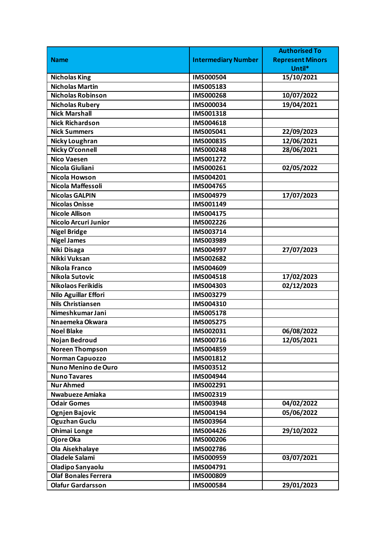|                             |                            | <b>Authorised To</b>    |
|-----------------------------|----------------------------|-------------------------|
| <b>Name</b>                 | <b>Intermediary Number</b> | <b>Represent Minors</b> |
|                             |                            | Until*                  |
| <b>Nicholas King</b>        | <b>IMS000504</b>           | 15/10/2021              |
| <b>Nicholas Martin</b>      | IMS005183                  |                         |
| <b>Nicholas Robinson</b>    | <b>IMS000268</b>           | 10/07/2022              |
| <b>Nicholas Rubery</b>      | IMS000034                  | 19/04/2021              |
| <b>Nick Marshall</b>        | IMS001318                  |                         |
| <b>Nick Richardson</b>      | IMS004618                  |                         |
| <b>Nick Summers</b>         | IMS005041                  | 22/09/2023              |
| <b>Nicky Loughran</b>       | <b>IMS000835</b>           | 12/06/2021              |
| <b>Nicky O'connell</b>      | IMS000248                  | 28/06/2021              |
| <b>Nico Vaesen</b>          | IMS001272                  |                         |
| Nicola Giuliani             | IMS000261                  | 02/05/2022              |
| Nicola Howson               | IMS004201                  |                         |
| Nicola Maffessoli           | IMS004765                  |                         |
| <b>Nicolas GALPIN</b>       | IMS004979                  | 17/07/2023              |
| <b>Nicolas Onisse</b>       | IMS001149                  |                         |
| <b>Nicole Allison</b>       | IMS004175                  |                         |
| Nicolo Arcuri Junior        | IMS002226                  |                         |
| <b>Nigel Bridge</b>         | IMS003714                  |                         |
| <b>Nigel James</b>          | IMS003989                  |                         |
| Niki Disaga                 | IMS004997                  | 27/07/2023              |
| Nikki Vuksan                | IMS002682                  |                         |
| Nikola Franco               | IMS004609                  |                         |
| Nikola Sutovic              | IMS004518                  | 17/02/2023              |
| <b>Nikolaos Ferikidis</b>   | IMS004303                  | 02/12/2023              |
| Nilo Aguillar Effori        | IMS003279                  |                         |
| <b>Nils Christiansen</b>    | IMS004310                  |                         |
| Nimeshkumar Jani            | IMS005178                  |                         |
| Nnaemeka Okwara             | <b>IMS005275</b>           |                         |
| <b>Noel Blake</b>           | IMS002031                  | 06/08/2022              |
| <b>Nojan Bedroud</b>        | IMS000716                  | 12/05/2021              |
| <b>Noreen Thompson</b>      | IMS004859                  |                         |
| Norman Capuozzo             | IMS001812                  |                         |
| Nuno Menino de Ouro         | IMS003512                  |                         |
| <b>Nuno Tavares</b>         | IMS004944                  |                         |
| <b>Nur Ahmed</b>            | IMS002291                  |                         |
| Nwabueze Amiaka             | IMS002319                  |                         |
| <b>Odair Gomes</b>          | IMS003948                  | 04/02/2022              |
| Ognjen Bajovic              | IMS004194                  | 05/06/2022              |
| <b>Oguzhan Guclu</b>        | IMS003964                  |                         |
| <b>Ohimai Longe</b>         | IMS004426                  | 29/10/2022              |
| Ojore Oka                   | <b>IMS000206</b>           |                         |
| Ola Aisekhalaye             | IMS002786                  |                         |
| <b>Oladele Salami</b>       | IMS000959                  | 03/07/2021              |
| <b>Oladipo Sanyaolu</b>     | IMS004791                  |                         |
| <b>Olaf Bonales Ferrera</b> | IMS000809                  |                         |
| <b>Olafur Gardarsson</b>    | IMS000584                  | 29/01/2023              |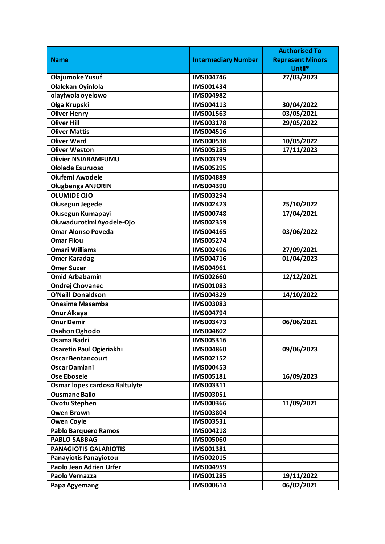|                               |                            | <b>Authorised To</b>    |
|-------------------------------|----------------------------|-------------------------|
| <b>Name</b>                   | <b>Intermediary Number</b> | <b>Represent Minors</b> |
|                               |                            | Until*                  |
| Olajumoke Yusuf               | <b>IMS004746</b>           | 27/03/2023              |
| Olalekan Oyinlola             | IMS001434                  |                         |
| olayiwola oyelowo             | IMS004982                  |                         |
| Olga Krupski                  | IMS004113                  | 30/04/2022              |
| <b>Oliver Henry</b>           | IMS001563                  | 03/05/2021              |
| <b>Oliver Hill</b>            | IMS003178                  | 29/05/2022              |
| <b>Oliver Mattis</b>          | IMS004516                  |                         |
| <b>Oliver Ward</b>            | <b>IMS000538</b>           | 10/05/2022              |
| <b>Oliver Weston</b>          | <b>IMS005285</b>           | 17/11/2023              |
| <b>Olivier NSIABAMFUMU</b>    | IMS003799                  |                         |
| <b>Ololade Esuruoso</b>       | <b>IMS005295</b>           |                         |
| <b>Olufemi Awodele</b>        | IMS004889                  |                         |
| <b>Olugbenga ANJORIN</b>      | IMS004390                  |                         |
| <b>OLUMIDE OJO</b>            | IMS003294                  |                         |
| Olusegun Jegede               | IMS002423                  | 25/10/2022              |
| Olusegun Kumapayi             | <b>IMS000748</b>           | 17/04/2021              |
| Oluwadurotimi Ayodele-Ojo     | IMS002359                  |                         |
| <b>Omar Alonso Poveda</b>     | IMS004165                  | 03/06/2022              |
| <b>Omar Fliou</b>             | IMS005274                  |                         |
| <b>Omari Williams</b>         | IMS002496                  | 27/09/2021              |
| <b>Omer Karadag</b>           | IMS004716                  | 01/04/2023              |
| <b>Omer Suzer</b>             | IMS004961                  |                         |
| <b>Omid Arbabamin</b>         | <b>IMS002660</b>           | 12/12/2021              |
| <b>Ondrej Chovanec</b>        | IMS001083                  |                         |
| <b>O'Neill Donaldson</b>      | IMS004329                  | 14/10/2022              |
| <b>Onesime Masamba</b>        | IMS003083                  |                         |
| Onur Alkaya                   | IMS004794                  |                         |
| <b>Onur Demir</b>             | IMS003473                  | 06/06/2021              |
| <b>Osahon Oghodo</b>          | IMS004802                  |                         |
| Osama Badri                   | IMS005316                  |                         |
| Osaretin Paul Ogieriakhi      | <b>IMS004860</b>           | 09/06/2023              |
| <b>Oscar Bentancourt</b>      | IMS002152                  |                         |
| <b>Oscar Damiani</b>          | IMS000453                  |                         |
| Ose Ebosele                   | IMS005181                  | 16/09/2023              |
| Osmar lopes cardoso Baltulyte | IMS003311                  |                         |
| <b>Ousmane Ballo</b>          | IMS003051                  |                         |
| <b>Ovotu Stephen</b>          | <b>IMS000366</b>           | 11/09/2021              |
| <b>Owen Brown</b>             | IMS003804                  |                         |
| <b>Owen Coyle</b>             | IMS003531                  |                         |
| <b>Pablo Barquero Ramos</b>   | IMS004218                  |                         |
| <b>PABLO SABBAG</b>           | IMS005060                  |                         |
| <b>PANAGIOTIS GALARIOTIS</b>  | IMS001381                  |                         |
| Panayiotis Panayiotou         | IMS002015                  |                         |
| Paolo Jean Adrien Urfer       | IMS004959                  |                         |
| Paolo Vernazza                | IMS001285                  | 19/11/2022              |
| Papa Agyemang                 | IMS000614                  | 06/02/2021              |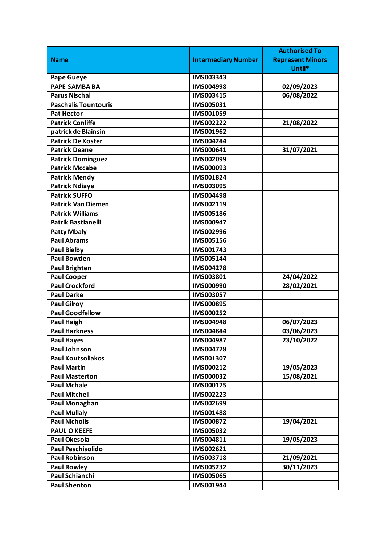|                             |                            | <b>Authorised To</b>    |
|-----------------------------|----------------------------|-------------------------|
| <b>Name</b>                 | <b>Intermediary Number</b> | <b>Represent Minors</b> |
|                             |                            | Until*                  |
| <b>Pape Gueye</b>           | IMS003343                  |                         |
| <b>PAPE SAMBA BA</b>        | IMS004998                  | 02/09/2023              |
| <b>Parus Nischal</b>        | IMS003415                  | 06/08/2022              |
| <b>Paschalis Tountouris</b> | IMS005031                  |                         |
| <b>Pat Hector</b>           | IMS001059                  |                         |
| <b>Patrick Conliffe</b>     | IMS002222                  | 21/08/2022              |
| patrick de Blainsin         | <b>IMS001962</b>           |                         |
| <b>Patrick De Koster</b>    | IMS004244                  |                         |
| <b>Patrick Deane</b>        | IMS000641                  | 31/07/2021              |
| <b>Patrick Dominguez</b>    | IMS002099                  |                         |
| <b>Patrick Mccabe</b>       | IMS000093                  |                         |
| <b>Patrick Mendy</b>        | IMS001824                  |                         |
| <b>Patrick Ndiaye</b>       | IMS003095                  |                         |
| <b>Patrick SUFFO</b>        | IMS004498                  |                         |
| <b>Patrick Van Diemen</b>   | IMS002119                  |                         |
| <b>Patrick Williams</b>     | <b>IMS005186</b>           |                         |
| <b>Patrik Bastianelli</b>   | IMS000947                  |                         |
| <b>Patty Mbaly</b>          | IMS002996                  |                         |
| <b>Paul Abrams</b>          | IMS005156                  |                         |
| <b>Paul Bielby</b>          | IMS001743                  |                         |
| <b>Paul Bowden</b>          | IMS005144                  |                         |
| <b>Paul Brighten</b>        | <b>IMS004278</b>           |                         |
| <b>Paul Cooper</b>          | IMS003801                  | 24/04/2022              |
| <b>Paul Crockford</b>       | IMS000990                  | 28/02/2021              |
| <b>Paul Darke</b>           | IMS003057                  |                         |
| <b>Paul Gilroy</b>          | IMS000895                  |                         |
| <b>Paul Goodfellow</b>      | IMS000252                  |                         |
| <b>Paul Haigh</b>           | IMS004948                  | 06/07/2023              |
| <b>Paul Harkness</b>        | IMS004844                  | 03/06/2023              |
| <b>Paul Hayes</b>           | IMS004987                  | 23/10/2022              |
| <b>Paul Johnson</b>         | IMS004728                  |                         |
| <b>Paul Koutsoliakos</b>    | IMS001307                  |                         |
| <b>Paul Martin</b>          | IMS000212                  | 19/05/2023              |
| <b>Paul Masterton</b>       | IMS000032                  | 15/08/2021              |
| <b>Paul Mchale</b>          | IMS000175                  |                         |
| <b>Paul Mitchell</b>        | IMS002223                  |                         |
| <b>Paul Monaghan</b>        | IMS002699                  |                         |
| <b>Paul Mullaly</b>         | IMS001488                  |                         |
| <b>Paul Nicholls</b>        | IMS000872                  | 19/04/2021              |
| <b>PAUL O KEEFE</b>         | IMS005032                  |                         |
| <b>Paul Okesola</b>         | IMS004811                  | 19/05/2023              |
| <b>Paul Peschisolido</b>    | IMS002621                  |                         |
| <b>Paul Robinson</b>        | IMS003718                  | 21/09/2021              |
| <b>Paul Rowley</b>          | IMS005232                  | 30/11/2023              |
| Paul Schianchi              | IMS005065                  |                         |
| <b>Paul Shenton</b>         | IMS001944                  |                         |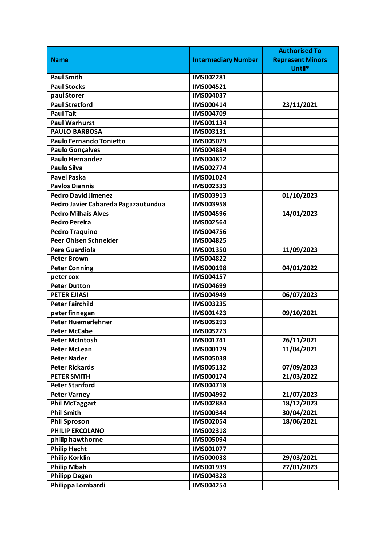|                                     |                            | <b>Authorised To</b>    |
|-------------------------------------|----------------------------|-------------------------|
| <b>Name</b>                         | <b>Intermediary Number</b> | <b>Represent Minors</b> |
|                                     |                            | Until*                  |
| <b>Paul Smith</b>                   | IMS002281                  |                         |
| <b>Paul Stocks</b>                  | IMS004521                  |                         |
| paul Storer                         | IMS004037                  |                         |
| <b>Paul Stretford</b>               | IMS000414                  | 23/11/2021              |
| <b>Paul Tait</b>                    | IMS004709                  |                         |
| <b>Paul Warhurst</b>                | IMS001134                  |                         |
| <b>PAULO BARBOSA</b>                | IMS003131                  |                         |
| Paulo Fernando Tonietto             | IMS005079                  |                         |
| <b>Paulo Gonçalves</b>              | IMS004884                  |                         |
| <b>Paulo Hernandez</b>              | IMS004812                  |                         |
| <b>Paulo Silva</b>                  | IMS002774                  |                         |
| <b>Pavel Paska</b>                  | IMS001024                  |                         |
| <b>Pavlos Diannis</b>               | IMS002333                  |                         |
| <b>Pedro David Jimenez</b>          | IMS003913                  | 01/10/2023              |
| Pedro Javier Cabareda Pagazautundua | IMS003958                  |                         |
| <b>Pedro Milhais Alves</b>          | IMS004596                  | 14/01/2023              |
| <b>Pedro Pereira</b>                | IMS002564                  |                         |
| <b>Pedro Traquino</b>               | IMS004756                  |                         |
| <b>Peer Ohlsen Schneider</b>        | IMS004825                  |                         |
| <b>Pere Guardiola</b>               | IMS001350                  | 11/09/2023              |
| <b>Peter Brown</b>                  | IMS004822                  |                         |
| <b>Peter Conning</b>                | <b>IMS000198</b>           | 04/01/2022              |
| peter cox                           | IMS004157                  |                         |
| <b>Peter Dutton</b>                 | IMS004699                  |                         |
| <b>PETER EJIASI</b>                 | IMS004949                  | 06/07/2023              |
| <b>Peter Fairchild</b>              | IMS003235                  |                         |
| peter finnegan                      | IMS001423                  | 09/10/2021              |
| <b>Peter Huemerlehner</b>           | IMS005293                  |                         |
| <b>Peter McCabe</b>                 | IMS005223                  |                         |
| <b>Peter McIntosh</b>               | IMS001741                  | 26/11/2021              |
| <b>Peter McLean</b>                 | IMS000179                  | 11/04/2021              |
| <b>Peter Nader</b>                  | IMS005038                  |                         |
| <b>Peter Rickards</b>               | IMS005132                  | 07/09/2023              |
| <b>PETER SMITH</b>                  | IMS000174                  | 21/03/2022              |
| <b>Peter Stanford</b>               | IMS004718                  |                         |
| <b>Peter Varney</b>                 | IMS004992                  | 21/07/2023              |
| <b>Phil McTaggart</b>               | IMS002884                  | 18/12/2023              |
| <b>Phil Smith</b>                   | IMS000344                  | 30/04/2021              |
| <b>Phil Sproson</b>                 | IMS002054                  | 18/06/2021              |
| PHILIP ERCOLANO                     | IMS002318                  |                         |
| philip hawthorne                    | IMS005094                  |                         |
| <b>Philip Hecht</b>                 | IMS001077                  |                         |
| <b>Philip Korklin</b>               | <b>IMS000038</b>           | 29/03/2021              |
| <b>Philip Mbah</b>                  | IMS001939                  | 27/01/2023              |
| <b>Philipp Degen</b>                | IMS004328                  |                         |
| Philippa Lombardi                   | IMS004254                  |                         |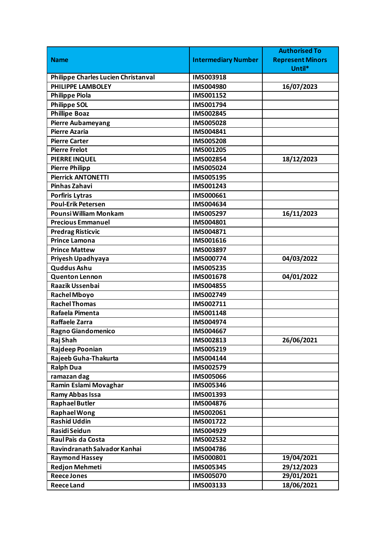|                                     |                            | <b>Authorised To</b>    |
|-------------------------------------|----------------------------|-------------------------|
| <b>Name</b>                         | <b>Intermediary Number</b> | <b>Represent Minors</b> |
|                                     |                            | Until*                  |
| Philippe Charles Lucien Christanval | IMS003918                  |                         |
| PHILIPPE LAMBOLEY                   | IMS004980                  | 16/07/2023              |
| <b>Philippe Piola</b>               | <b>IMS001152</b>           |                         |
| <b>Philippe SOL</b>                 | IMS001794                  |                         |
| <b>Phillipe Boaz</b>                | IMS002845                  |                         |
| Pierre Aubameyang                   | <b>IMS005028</b>           |                         |
| <b>Pierre Azaria</b>                | IMS004841                  |                         |
| <b>Pierre Carter</b>                | <b>IMS005208</b>           |                         |
| <b>Pierre Frelot</b>                | IMS001205                  |                         |
| <b>PIERRE INQUEL</b>                | IMS002854                  | 18/12/2023              |
| <b>Pierre Philipp</b>               | IMS005024                  |                         |
| <b>Pierrick ANTONETTI</b>           | IMS005195                  |                         |
| Pinhas Zahavi                       | IMS001243                  |                         |
| <b>Porfiris Lytras</b>              | IMS000661                  |                         |
| <b>Poul-Erik Petersen</b>           | IMS004634                  |                         |
| Pounsi William Monkam               | IMS005297                  | 16/11/2023              |
| <b>Precious Emmanuel</b>            | IMS004801                  |                         |
| <b>Predrag Risticvic</b>            | IMS004871                  |                         |
| <b>Prince Lamona</b>                | IMS001616                  |                         |
| <b>Prince Mattew</b>                | IMS003897                  |                         |
| Priyesh Upadhyaya                   | <b>IMS000774</b>           | 04/03/2022              |
| <b>Quddus Ashu</b>                  | IMS005235                  |                         |
| <b>Quenton Lennon</b>               | IMS001678                  | 04/01/2022              |
| Raazik Ussenbai                     | IMS004855                  |                         |
| <b>Rachel Mboyo</b>                 | IMS002749                  |                         |
| <b>Rachel Thomas</b>                | IMS002711                  |                         |
| Rafaela Pimenta                     | IMS001148                  |                         |
| <b>Raffaele Zarra</b>               | IMS004974                  |                         |
| Ragno Giandomenico                  | IMS004667                  |                         |
| Raj Shah                            | IMS002813                  | 26/06/2021              |
| Rajdeep Poonian                     | IMS005219                  |                         |
| Rajeeb Guha-Thakurta                | IMS004144                  |                         |
| <b>Ralph Dua</b>                    | IMS002579                  |                         |
| ramazan dag                         | <b>IMS005066</b>           |                         |
| Ramin Eslami Movaghar               | IMS005346                  |                         |
| Ramy Abbas Issa                     | IMS001393                  |                         |
| <b>Raphael Butler</b>               | IMS004876                  |                         |
| <b>Raphael Wong</b>                 | IMS002061                  |                         |
| <b>Rashid Uddin</b>                 | IMS001722                  |                         |
| Rasidi Seidun                       | IMS004929                  |                         |
| Raul Pais da Costa                  | IMS002532                  |                         |
| Ravindranath Salvador Kanhai        | IMS004786                  |                         |
| Raymond Hassey                      | IMS000801                  | 19/04/2021              |
| <b>Redjon Mehmeti</b>               | IMS005345                  | 29/12/2023              |
| <b>Reece Jones</b>                  | IMS005070                  | 29/01/2021              |
| <b>Reece Land</b>                   | IMS003133                  | 18/06/2021              |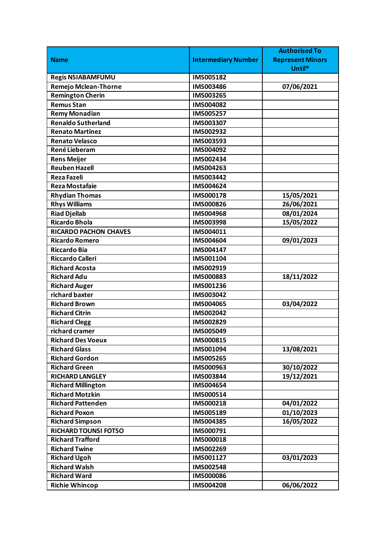|                              |                            | <b>Authorised To</b>    |
|------------------------------|----------------------------|-------------------------|
| <b>Name</b>                  | <b>Intermediary Number</b> | <b>Represent Minors</b> |
|                              |                            | Until*                  |
| <b>Regis NSIABAMFUMU</b>     | IMS005182                  |                         |
| Remejo Mclean-Thorne         | IMS003486                  | 07/06/2021              |
| <b>Remington Cherin</b>      | IMS003265                  |                         |
| <b>Remus Stan</b>            | IMS004082                  |                         |
| <b>Remy Monadian</b>         | IMS005257                  |                         |
| <b>Renaldo Sutherland</b>    | IMS003307                  |                         |
| <b>Renato Martinez</b>       | IMS002932                  |                         |
| <b>Renato Velasco</b>        | IMS003593                  |                         |
| René Lieberam                | IMS004092                  |                         |
| <b>Rens Meijer</b>           | IMS002434                  |                         |
| <b>Reuben Hazell</b>         | IMS004263                  |                         |
| <b>Reza Fazeli</b>           | IMS003442                  |                         |
| <b>Reza Mostafaie</b>        | IMS004624                  |                         |
| <b>Rhydian Thomas</b>        | IMS000178                  | 15/05/2021              |
| <b>Rhys Williams</b>         | <b>IMS000826</b>           | 26/06/2021              |
| <b>Riad Djellab</b>          | IMS004968                  | 08/01/2024              |
| Ricardo Bhola                | IMS003998                  | 15/05/2022              |
| <b>RICARDO PACHON CHAVES</b> | IMS004011                  |                         |
| <b>Ricardo Romero</b>        | IMS004604                  | 09/01/2023              |
| <b>Riccardo Bia</b>          | IMS004147                  |                         |
| Riccardo Calleri             | IMS001104                  |                         |
| <b>Richard Acosta</b>        | IMS002919                  |                         |
| <b>Richard Adu</b>           | IMS000883                  | 18/11/2022              |
| <b>Richard Auger</b>         | IMS001236                  |                         |
| richard baxter               | <b>IMS003042</b>           |                         |
| <b>Richard Brown</b>         | IMS004065                  | 03/04/2022              |
| <b>Richard Citrin</b>        | IMS002042                  |                         |
| <b>Richard Clegg</b>         | IMS002829                  |                         |
| richard cramer               | IMS005049                  |                         |
| <b>Richard Des Voeux</b>     | IMS000815                  |                         |
| <b>Richard Glass</b>         | IMS001094                  | 13/08/2021              |
| <b>Richard Gordon</b>        | IMS005265                  |                         |
| <b>Richard Green</b>         | IMS000963                  | 30/10/2022              |
| <b>RICHARD LANGLEY</b>       | IMS003844                  | 19/12/2021              |
| <b>Richard Millington</b>    | IMS004654                  |                         |
| <b>Richard Motzkin</b>       | IMS000514                  |                         |
| <b>Richard Pattenden</b>     | IMS000218                  | 04/01/2022              |
| <b>Richard Poxon</b>         | IMS005189                  | 01/10/2023              |
| <b>Richard Simpson</b>       | IMS004385                  | 16/05/2022              |
| <b>RICHARD TOUNSI FOTSO</b>  | IMS000791                  |                         |
| <b>Richard Trafford</b>      | IMS000018                  |                         |
| <b>Richard Twine</b>         | IMS002269                  |                         |
| <b>Richard Ugoh</b>          | IMS001127                  | 03/01/2023              |
| <b>Richard Walsh</b>         | IMS002548                  |                         |
| <b>Richard Ward</b>          | <b>IMS000086</b>           |                         |
| <b>Richie Whincop</b>        | IMS004208                  | 06/06/2022              |
|                              |                            |                         |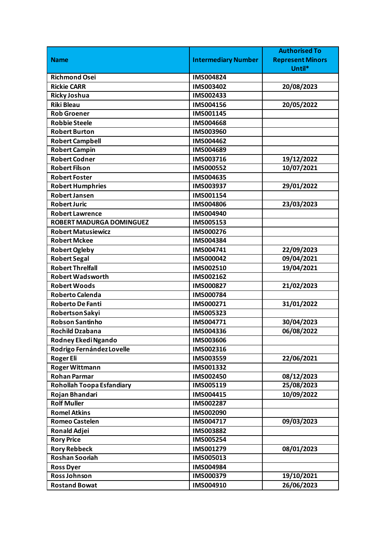|                                 |                            | <b>Authorised To</b>    |
|---------------------------------|----------------------------|-------------------------|
| <b>Name</b>                     | <b>Intermediary Number</b> | <b>Represent Minors</b> |
|                                 |                            | Until*                  |
| <b>Richmond Osei</b>            | IMS004824                  |                         |
| <b>Rickie CARR</b>              | IMS003402                  | 20/08/2023              |
| <b>Ricky Joshua</b>             | IMS002433                  |                         |
| <b>Riki Bleau</b>               | IMS004156                  | 20/05/2022              |
| <b>Rob Groener</b>              | IMS001145                  |                         |
| <b>Robbie Steele</b>            | IMS004668                  |                         |
| <b>Robert Burton</b>            | IMS003960                  |                         |
| <b>Robert Campbell</b>          | IMS004462                  |                         |
| <b>Robert Campin</b>            | IMS004689                  |                         |
| <b>Robert Codner</b>            | IMS003716                  | 19/12/2022              |
| <b>Robert Filson</b>            | IMS000552                  | 10/07/2021              |
| <b>Robert Foster</b>            | IMS004635                  |                         |
| <b>Robert Humphries</b>         | IMS003937                  | 29/01/2022              |
| <b>Robert Jansen</b>            | IMS001154                  |                         |
| <b>Robert Juric</b>             | IMS004806                  | 23/03/2023              |
| <b>Robert Lawrence</b>          | IMS004940                  |                         |
| <b>ROBERT MADURGA DOMINGUEZ</b> | IMS005153                  |                         |
| <b>Robert Matusiewicz</b>       | IMS000276                  |                         |
| <b>Robert Mckee</b>             | IMS004384                  |                         |
| <b>Robert Ogleby</b>            | IMS004741                  | 22/09/2023              |
| <b>Robert Segal</b>             | IMS000042                  | 09/04/2021              |
| <b>Robert Threlfall</b>         | IMS002510                  | 19/04/2021              |
| <b>Robert Wadsworth</b>         | IMS002162                  |                         |
| <b>Robert Woods</b>             | IMS000827                  | 21/02/2023              |
| <b>Roberto Calenda</b>          | <b>IMS000784</b>           |                         |
| <b>Roberto De Fanti</b>         | IMS000271                  | 31/01/2022              |
| Robertson Sakyi                 | IMS005323                  |                         |
| <b>Robson Santinho</b>          | IMS004771                  | 30/04/2023              |
| <b>Rochild Dzabana</b>          | IMS004336                  | 06/08/2022              |
| Rodney Ekedi Ngando             | IMS003606                  |                         |
| Rodrigo Fernández Lovelle       | IMS002316                  |                         |
| <b>Roger Eli</b>                | IMS003559                  | 22/06/2021              |
| <b>Roger Wittmann</b>           | IMS001332                  |                         |
| <b>Rohan Parmar</b>             | IMS002450                  | 08/12/2023              |
| Rohollah Toopa Esfandiary       | IMS005119                  | 25/08/2023              |
| Rojan Bhandari                  | IMS004415                  | 10/09/2022              |
| <b>Rolf Muller</b>              | IMS002287                  |                         |
| <b>Romel Atkins</b>             | IMS002090                  |                         |
| <b>Romeo Castelen</b>           | IMS004717                  | 09/03/2023              |
| <b>Ronald Adjei</b>             | IMS003882                  |                         |
| <b>Rory Price</b>               | IMS005254                  |                         |
| <b>Rory Rebbeck</b>             | IMS001279                  | 08/01/2023              |
| <b>Roshan Sooriah</b>           | IMS005013                  |                         |
| <b>Ross Dyer</b>                | IMS004984                  |                         |
| <b>Ross Johnson</b>             | IMS000379                  | 19/10/2021              |
| <b>Rostand Bowat</b>            | IMS004910                  | 26/06/2023              |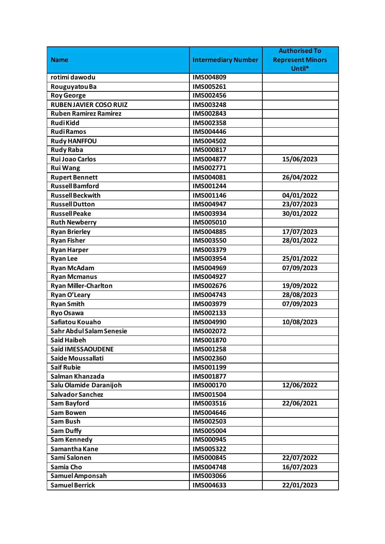|                               |                            | <b>Authorised To</b>    |
|-------------------------------|----------------------------|-------------------------|
| <b>Name</b>                   | <b>Intermediary Number</b> | <b>Represent Minors</b> |
|                               |                            | Until*                  |
| rotimi dawodu                 | IMS004809                  |                         |
| Rouguyatou Ba                 | IMS005261                  |                         |
| <b>Roy George</b>             | IMS002456                  |                         |
| <b>RUBEN JAVIER COSO RUIZ</b> | IMS003248                  |                         |
| <b>Ruben Ramirez Ramirez</b>  | IMS002843                  |                         |
| <b>RudiKidd</b>               | IMS002358                  |                         |
| <b>RudiRamos</b>              | IMS004446                  |                         |
| <b>Rudy HANFFOU</b>           | <b>IMS004502</b>           |                         |
| <b>Rudy Raba</b>              | IMS000817                  |                         |
| <b>Rui Joao Carlos</b>        | IMS004877                  | 15/06/2023              |
| <b>Rui Wang</b>               | IMS002771                  |                         |
| <b>Rupert Bennett</b>         | IMS004081                  | 26/04/2022              |
| <b>Russell Bamford</b>        | IMS001244                  |                         |
| <b>Russell Beckwith</b>       | IMS001146                  | 04/01/2022              |
| <b>Russell Dutton</b>         | IMS004947                  | 23/07/2023              |
| <b>Russell Peake</b>          | IMS003934                  | 30/01/2022              |
| <b>Ruth Newberry</b>          | IMS005010                  |                         |
| <b>Ryan Brierley</b>          | IMS004885                  | 17/07/2023              |
| <b>Ryan Fisher</b>            | <b>IMS003550</b>           | 28/01/2022              |
| <b>Ryan Harper</b>            | IMS003379                  |                         |
| <b>Ryan Lee</b>               | IMS003954                  | 25/01/2022              |
| <b>Ryan McAdam</b>            | IMS004969                  | 07/09/2023              |
| <b>Ryan Mcmanus</b>           | IMS004927                  |                         |
| <b>Ryan Miller-Charlton</b>   | IMS002676                  | 19/09/2022              |
| Ryan O'Leary                  | IMS004743                  | 28/08/2023              |
| <b>Ryan Smith</b>             | IMS003979                  | 07/09/2023              |
| Ryo Osawa                     | IMS002133                  |                         |
| Safiatou Kouaho               | IMS004990                  | 10/08/2023              |
| Sahr Abdul Salam Senesie      | IMS002072                  |                         |
| <b>Said Haibeh</b>            | IMS001870                  |                         |
| Saïd IMESSAOUDENE             | IMS001258                  |                         |
| Saide Moussallati             | IMS002360                  |                         |
| <b>Saif Rubie</b>             | IMS001199                  |                         |
| Salman Khanzada               | IMS001877                  |                         |
| Salu Olamide Daranijoh        | IMS000170                  | 12/06/2022              |
| <b>Salvador Sanchez</b>       | IMS001504                  |                         |
| <b>Sam Bayford</b>            | IMS003516                  | 22/06/2021              |
| <b>Sam Bowen</b>              | IMS004646                  |                         |
| <b>Sam Bush</b>               | IMS002503                  |                         |
| <b>Sam Duffy</b>              | IMS005004                  |                         |
| <b>Sam Kennedy</b>            | IMS000945                  |                         |
| Samantha Kane                 | IMS005322                  |                         |
| Sami Salonen                  | IMS000845                  | 22/07/2022              |
| Samia Cho                     | IMS004748                  | 16/07/2023              |
| Samuel Amponsah               | IMS003066                  |                         |
| <b>Samuel Berrick</b>         | IMS004633                  | 22/01/2023              |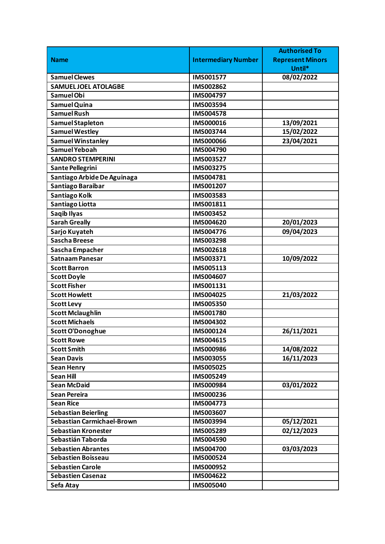|                                                          |                            | <b>Authorised To</b>    |
|----------------------------------------------------------|----------------------------|-------------------------|
| <b>Name</b>                                              | <b>Intermediary Number</b> | <b>Represent Minors</b> |
|                                                          |                            | Until*                  |
| <b>Samuel Clewes</b>                                     | <b>IMS001577</b>           | 08/02/2022              |
| <b>SAMUEL JOEL ATOLAGBE</b>                              | IMS002862                  |                         |
| Samuel Obi                                               | IMS004797                  |                         |
| Samuel Quina                                             | IMS003594                  |                         |
| Samuel Rush                                              | <b>IMS004578</b>           |                         |
| Samuel Stapleton                                         | IMS000016                  | 13/09/2021              |
| <b>Samuel Westley</b>                                    | IMS003744                  | 15/02/2022              |
| <b>Samuel Winstanley</b>                                 | <b>IMS000066</b>           | 23/04/2021              |
| Samuel Yeboah                                            | IMS004790                  |                         |
| <b>SANDRO STEMPERINI</b>                                 | IMS003527                  |                         |
| Sante Pellegrini                                         | IMS003275                  |                         |
| Santiago Arbide De Aguinaga                              | IMS004781                  |                         |
| Santiago Baraibar                                        | IMS001207                  |                         |
| Santiago Kolk                                            | IMS003583                  |                         |
| Santiago Liotta                                          | IMS001811                  |                         |
| Saqib Ilyas                                              | IMS003452                  |                         |
| <b>Sarah Greally</b>                                     | IMS004620                  | 20/01/2023              |
| Sarjo Kuyateh                                            | IMS004776                  | 09/04/2023              |
| Sascha Breese                                            | IMS003298                  |                         |
| Sascha Empacher                                          | IMS002618                  |                         |
| Satnaam Panesar                                          | IMS003371                  | 10/09/2022              |
| <b>Scott Barron</b>                                      | IMS005113                  |                         |
| <b>Scott Doyle</b>                                       | IMS004607                  |                         |
| <b>Scott Fisher</b>                                      | IMS001131                  |                         |
| <b>Scott Howlett</b>                                     | IMS004025                  | 21/03/2022              |
| <b>Scott Levy</b>                                        | <b>IMS005350</b>           |                         |
| <b>Scott Mclaughlin</b>                                  | IMS001780                  |                         |
| <b>Scott Michaels</b>                                    | IMS004302                  |                         |
| Scott O'Donoghue                                         | IMS000124                  | 26/11/2021              |
| <b>Scott Rowe</b>                                        | IMS004615                  |                         |
| <b>Scott Smith</b>                                       | <b>IMS000986</b>           | 14/08/2022              |
| <b>Sean Davis</b>                                        | IMS003055                  | 16/11/2023              |
| <b>Sean Henry</b>                                        | <b>IMS005025</b>           |                         |
| <b>Sean Hill</b><br><b>Sean McDaid</b>                   | IMS005249                  |                         |
| <b>Sean Pereira</b>                                      | IMS000984                  | 03/01/2022              |
|                                                          | IMS000236                  |                         |
| <b>Sean Rice</b>                                         | IMS004773                  |                         |
| <b>Sebastian Beierling</b><br>Sebastian Carmichael-Brown | IMS003607<br>IMS003994     |                         |
|                                                          |                            | 05/12/2021              |
| <b>Sebastian Kronester</b>                               | IMS005289                  | 02/12/2023              |
| Sebastián Taborda                                        | IMS004590                  |                         |
| <b>Sebastien Abrantes</b>                                | IMS004700                  | 03/03/2023              |
| <b>Sebastien Boisseau</b>                                | <b>IMS000524</b>           |                         |
| <b>Sebastien Carole</b>                                  | IMS000952                  |                         |
| <b>Sebastien Casenaz</b>                                 | IMS004622                  |                         |
| Sefa Atay                                                | <b>IMS005040</b>           |                         |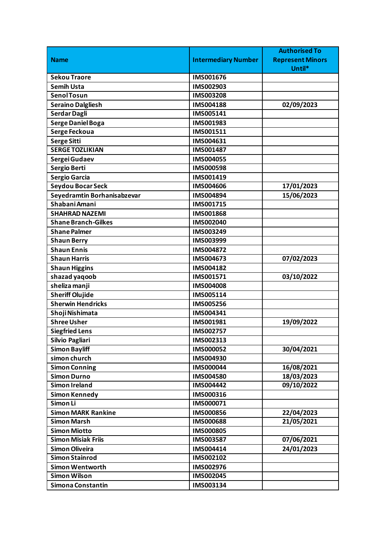|                             |                            | <b>Authorised To</b>    |
|-----------------------------|----------------------------|-------------------------|
| <b>Name</b>                 | <b>Intermediary Number</b> | <b>Represent Minors</b> |
|                             |                            | Until*                  |
| <b>Sekou Traore</b>         | IMS001676                  |                         |
| <b>Semih Usta</b>           | IMS002903                  |                         |
| <b>Senol Tosun</b>          | IMS003208                  |                         |
| <b>Seraino Dalgliesh</b>    | <b>IMS004188</b>           | 02/09/2023              |
| Serdar Dagli                | IMS005141                  |                         |
| <b>Serge Daniel Boga</b>    | IMS001983                  |                         |
| Serge Feckoua               | IMS001511                  |                         |
| <b>Serge Sitti</b>          | IMS004631                  |                         |
| <b>SERGE TOZLIKIAN</b>      | IMS001487                  |                         |
| Sergei Gudaev               | IMS004055                  |                         |
| Sergio Berti                | <b>IMS000598</b>           |                         |
| <b>Sergio Garcia</b>        | IMS001419                  |                         |
| Seydou Bocar Seck           | <b>IMS004606</b>           | 17/01/2023              |
| Seyedramtin Borhanisabzevar | IMS004894                  | 15/06/2023              |
| Shabani Amani               | IMS001715                  |                         |
| <b>SHAHRAD NAZEMI</b>       | IMS001868                  |                         |
| <b>Shane Branch-Gilkes</b>  | IMS002040                  |                         |
| <b>Shane Palmer</b>         | IMS003249                  |                         |
| <b>Shaun Berry</b>          | IMS003999                  |                         |
| <b>Shaun Ennis</b>          | IMS004872                  |                         |
| <b>Shaun Harris</b>         | IMS004673                  | 07/02/2023              |
| <b>Shaun Higgins</b>        | IMS004182                  |                         |
| shazad yaqoob               | IMS001571                  | 03/10/2022              |
| sheliza manji               | <b>IMS004008</b>           |                         |
| <b>Sheriff Olujide</b>      | IMS005114                  |                         |
| <b>Sherwin Hendricks</b>    | IMS005256                  |                         |
| Shoji Nishimata             | IMS004341                  |                         |
| <b>Shree Usher</b>          | IMS001981                  | 19/09/2022              |
| <b>Siegfried Lens</b>       | IMS002757                  |                         |
| Silvio Pagliari             | IMS002313                  |                         |
| <b>Simon Bayliff</b>        | IMS000052                  | 30/04/2021              |
| simon church                | IMS004930                  |                         |
| <b>Simon Conning</b>        | IMS000044                  | 16/08/2021              |
| <b>Simon Durno</b>          | IMS004580                  | 18/03/2023              |
| <b>Simon Ireland</b>        | IMS004442                  | 09/10/2022              |
| <b>Simon Kennedy</b>        | IMS000316                  |                         |
| Simon Li                    | IMS000071                  |                         |
| <b>Simon MARK Rankine</b>   | <b>IMS000856</b>           | 22/04/2023              |
| <b>Simon Marsh</b>          | <b>IMS000688</b>           | 21/05/2021              |
| <b>Simon Miotto</b>         | <b>IMS000805</b>           |                         |
| <b>Simon Misiak Friis</b>   | IMS003587                  | 07/06/2021              |
| <b>Simon Oliveira</b>       | IMS004414                  | 24/01/2023              |
| <b>Simon Stainrod</b>       | IMS002102                  |                         |
| <b>Simon Wentworth</b>      | IMS002976                  |                         |
| <b>Simon Wilson</b>         | IMS002045                  |                         |
| Simona Constantin           | IMS003134                  |                         |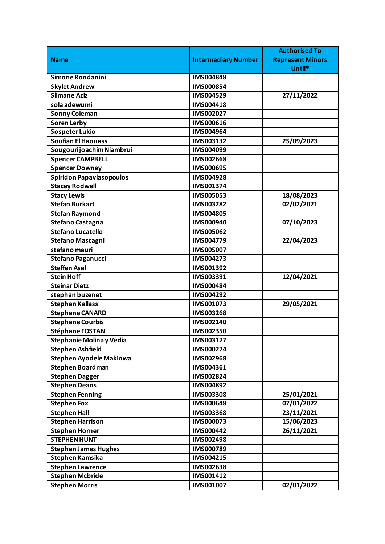|                                 |                            | <b>Authorised To</b>    |
|---------------------------------|----------------------------|-------------------------|
| <b>Name</b>                     | <b>Intermediary Number</b> | <b>Represent Minors</b> |
|                                 |                            | Until*                  |
| Simone Rondanini                | <b>IMS004848</b>           |                         |
| <b>Skylet Andrew</b>            | IMS000854                  |                         |
| <b>Slimane Aziz</b>             | IMS004529                  | 27/11/2022              |
| sola adewumi                    | IMS004418                  |                         |
| <b>Sonny Coleman</b>            | IMS002027                  |                         |
| <b>Soren Lerby</b>              | IMS000616                  |                         |
| <b>Sospeter Lukio</b>           | IMS004964                  |                         |
| <b>Soufian El Haouass</b>       | IMS003132                  | 25/09/2023              |
| Sougouri joachim Niambrui       | IMS004099                  |                         |
| <b>Spencer CAMPBELL</b>         | <b>IMS002668</b>           |                         |
| <b>Spencer Downey</b>           | <b>IMS000695</b>           |                         |
| <b>Spiridon Papavlasopoulos</b> | <b>IMS004928</b>           |                         |
| <b>Stacey Rodwell</b>           | IMS001374                  |                         |
| <b>Stacy Lewis</b>              | IMS005053                  | 18/08/2023              |
| <b>Stefan Burkart</b>           | IMS003282                  | 02/02/2021              |
| <b>Stefan Raymond</b>           | <b>IMS004805</b>           |                         |
| Stefano Castagna                | IMS000940                  | 07/10/2023              |
| <b>Stefano Lucatello</b>        | IMS005062                  |                         |
| <b>Stefano Mascagni</b>         | IMS004779                  | 22/04/2023              |
| stefano mauri                   | IMS005007                  |                         |
| <b>Stefano Paganucci</b>        | IMS004273                  |                         |
| <b>Steffen Asal</b>             | IMS001392                  |                         |
| <b>Stein Hoff</b>               | IMS003391                  | 12/04/2021              |
| <b>Steinar Dietz</b>            | IMS000484                  |                         |
| stephan buzenet                 | IMS004292                  |                         |
| <b>Stephan Kallass</b>          | IMS001073                  | 29/05/2021              |
| <b>Stephane CANARD</b>          | IMS003268                  |                         |
| <b>Stephane Courbis</b>         | IMS002140                  |                         |
| Stéphane FOSTAN                 | IMS002350                  |                         |
| Stephanie Molina y Vedia        | IMS003127                  |                         |
| <b>Stephen Ashfield</b>         | IMS000274                  |                         |
| <b>Stephen Ayodele Makinwa</b>  | IMS002968                  |                         |
| <b>Stephen Boardman</b>         | IMS004361                  |                         |
| <b>Stephen Dagger</b>           | IMS002824                  |                         |
| <b>Stephen Deans</b>            | IMS004892                  |                         |
| <b>Stephen Fenning</b>          | IMS003308                  | 25/01/2021              |
| <b>Stephen Fox</b>              | IMS000648                  | 07/01/2022              |
| <b>Stephen Hall</b>             | IMS003368                  | 23/11/2021              |
| <b>Stephen Harrison</b>         | IMS000073                  | 15/06/2023              |
| <b>Stephen Horner</b>           | IMS000442                  | 26/11/2021              |
| <b>STEPHEN HUNT</b>             | IMS002498                  |                         |
| <b>Stephen James Hughes</b>     | IMS000789                  |                         |
| <b>Stephen Kamsika</b>          | IMS004215                  |                         |
| <b>Stephen Lawrence</b>         | IMS002638                  |                         |
| <b>Stephen Mcbride</b>          | IMS001412                  |                         |
| <b>Stephen Morris</b>           | IMS001007                  | 02/01/2022              |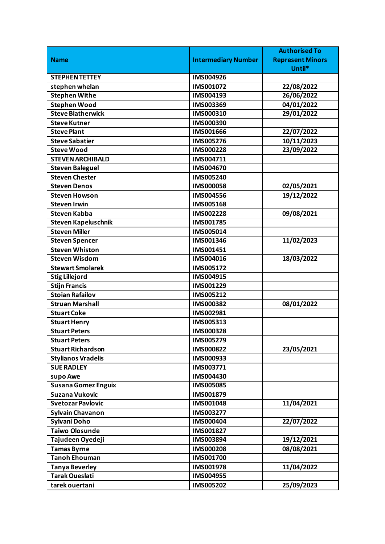|                            |                            | <b>Authorised To</b>    |
|----------------------------|----------------------------|-------------------------|
| <b>Name</b>                | <b>Intermediary Number</b> | <b>Represent Minors</b> |
|                            |                            | Until*                  |
| <b>STEPHEN TETTEY</b>      | IMS004926                  |                         |
| stephen whelan             | IMS001072                  | 22/08/2022              |
| <b>Stephen Withe</b>       | IMS004193                  | 26/06/2022              |
| <b>Stephen Wood</b>        | IMS003369                  | 04/01/2022              |
| <b>Steve Blatherwick</b>   | IMS000310                  | 29/01/2022              |
| <b>Steve Kutner</b>        | IMS000390                  |                         |
| <b>Steve Plant</b>         | <b>IMS001666</b>           | 22/07/2022              |
| <b>Steve Sabatier</b>      | <b>IMS005276</b>           | 10/11/2023              |
| <b>Steve Wood</b>          | IMS000228                  | 23/09/2022              |
| <b>STEVEN ARCHIBALD</b>    | IMS004711                  |                         |
| <b>Steven Baleguel</b>     | IMS004670                  |                         |
| <b>Steven Chester</b>      | IMS005240                  |                         |
| <b>Steven Denos</b>        | <b>IMS000058</b>           | 02/05/2021              |
| <b>Steven Howson</b>       | <b>IMS004556</b>           | 19/12/2022              |
| <b>Steven Irwin</b>        | IMS005168                  |                         |
| <b>Steven Kabba</b>        | IMS002228                  | 09/08/2021              |
| <b>Steven Kapeluschnik</b> | IMS001785                  |                         |
| <b>Steven Miller</b>       | IMS005014                  |                         |
| <b>Steven Spencer</b>      | IMS001346                  | 11/02/2023              |
| <b>Steven Whiston</b>      | IMS001451                  |                         |
| <b>Steven Wisdom</b>       | IMS004016                  | 18/03/2022              |
| <b>Stewart Smolarek</b>    | IMS005172                  |                         |
| <b>Stig Lillejord</b>      | IMS004915                  |                         |
| <b>Stijn Francis</b>       | IMS001229                  |                         |
| <b>Stoian Rafailov</b>     | IMS005212                  |                         |
| <b>Struan Marshall</b>     | IMS000382                  | 08/01/2022              |
| <b>Stuart Coke</b>         | IMS002981                  |                         |
| <b>Stuart Henry</b>        | IMS005313                  |                         |
| <b>Stuart Peters</b>       | <b>IMS000328</b>           |                         |
| <b>Stuart Peters</b>       | IMS005279                  |                         |
| Stuart Richardson          | IMS000822                  | 23/05/2021              |
| <b>Stylianos Vradelis</b>  | IMS000933                  |                         |
| <b>SUE RADLEY</b>          | IMS003771                  |                         |
| supo Awe                   | IMS004430                  |                         |
| <b>Susana Gomez Enguix</b> | <b>IMS005085</b>           |                         |
| Suzana Vukovic             | IMS001879                  |                         |
| <b>Svetozar Pavlovic</b>   | IMS001048                  | 11/04/2021              |
| <b>Sylvain Chavanon</b>    | IMS003277                  |                         |
| Sylvani Doho               | IMS000404                  | 22/07/2022              |
| <b>Taiwo Olosunde</b>      | IMS001827                  |                         |
| Tajudeen Oyedeji           | IMS003894                  | 19/12/2021              |
| <b>Tamas Byrne</b>         | <b>IMS000208</b>           | 08/08/2021              |
| <b>Tanoh Ehouman</b>       | IMS001700                  |                         |
| <b>Tanya Beverley</b>      | IMS001978                  | 11/04/2022              |
| <b>Tarak Oueslati</b>      | IMS004955                  |                         |
| tarek ouertani             | <b>IMS005202</b>           | 25/09/2023              |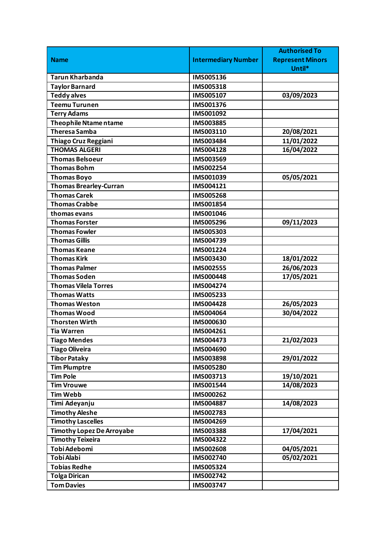|                                  |                            | <b>Authorised To</b>    |
|----------------------------------|----------------------------|-------------------------|
| <b>Name</b>                      | <b>Intermediary Number</b> | <b>Represent Minors</b> |
|                                  |                            | Until*                  |
| <b>Tarun Kharbanda</b>           | IMS005136                  |                         |
| <b>Taylor Barnard</b>            | IMS005318                  |                         |
| <b>Teddy alves</b>               | IMS005107                  | 03/09/2023              |
| <b>Teemu Turunen</b>             | IMS001376                  |                         |
| <b>Terry Adams</b>               | IMS001092                  |                         |
| <b>Theophile Ntame ntame</b>     | IMS003885                  |                         |
| <b>Theresa Samba</b>             | IMS003110                  | 20/08/2021              |
| <b>Thiago Cruz Reggiani</b>      | IMS003484                  | 11/01/2022              |
| <b>THOMAS ALGERI</b>             | IMS004128                  | 16/04/2022              |
| <b>Thomas Belsoeur</b>           | IMS003569                  |                         |
| <b>Thomas Bohm</b>               | IMS002254                  |                         |
| <b>Thomas Boyo</b>               | IMS001039                  | 05/05/2021              |
| <b>Thomas Brearley-Curran</b>    | IMS004121                  |                         |
| <b>Thomas Carek</b>              | <b>IMS005268</b>           |                         |
| <b>Thomas Crabbe</b>             | IMS001854                  |                         |
| thomas evans                     | IMS001046                  |                         |
| <b>Thomas Forster</b>            | IMS005296                  | 09/11/2023              |
| <b>Thomas Fowler</b>             | IMS005303                  |                         |
| <b>Thomas Gillis</b>             | IMS004739                  |                         |
| <b>Thomas Keane</b>              | IMS001224                  |                         |
| <b>Thomas Kirk</b>               | IMS003430                  | 18/01/2022              |
| <b>Thomas Palmer</b>             | IMS002555                  | 26/06/2023              |
| <b>Thomas Soden</b>              | <b>IMS000448</b>           | 17/05/2021              |
| <b>Thomas Vilela Torres</b>      | IMS004274                  |                         |
| <b>Thomas Watts</b>              | IMS005233                  |                         |
| <b>Thomas Weston</b>             | IMS004428                  | 26/05/2023              |
| <b>Thomas Wood</b>               | IMS004064                  | 30/04/2022              |
| <b>Thorsten Wirth</b>            | IMS000630                  |                         |
| <b>Tia Warren</b>                | IMS004261                  |                         |
| <b>Tiago Mendes</b>              | IMS004473                  | 21/02/2023              |
| <b>Tiago Oliveira</b>            | IMS004690                  |                         |
| <b>Tibor Pataky</b>              | IMS003898                  | 29/01/2022              |
| <b>Tim Plumptre</b>              | IMS005280                  |                         |
| <b>Tim Pole</b>                  | IMS003713                  | 19/10/2021              |
| <b>Tim Vrouwe</b>                | IMS001544                  | 14/08/2023              |
| <b>Tim Webb</b>                  | IMS000262                  |                         |
| Timi Adeyanju                    | IMS004887                  | 14/08/2023              |
| <b>Timothy Aleshe</b>            | IMS002783                  |                         |
| <b>Timothy Lascelles</b>         | IMS004269                  |                         |
| <b>Timothy Lopez De Arroyabe</b> | IMS003388                  | 17/04/2021              |
| <b>Timothy Teixeira</b>          | IMS004322                  |                         |
| Tobi Adebomi                     | IMS002608                  | 04/05/2021              |
| <b>Tobi Alabi</b>                | IMS002740                  | 05/02/2021              |
| <b>Tobias Redhe</b>              | IMS005324                  |                         |
| <b>Tolga Dirican</b>             | IMS002742                  |                         |
| <b>Tom Davies</b>                | IMS003747                  |                         |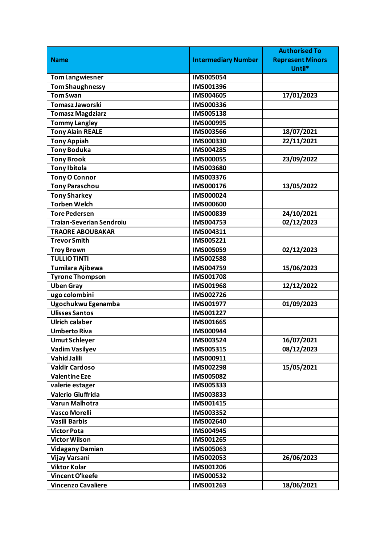|                                 |                            | <b>Authorised To</b>    |
|---------------------------------|----------------------------|-------------------------|
| <b>Name</b>                     | <b>Intermediary Number</b> | <b>Represent Minors</b> |
|                                 |                            | Until*                  |
| <b>Tom Langwiesner</b>          | IMS005054                  |                         |
| <b>Tom Shaughnessy</b>          | IMS001396                  |                         |
| <b>Tom Swan</b>                 | IMS004605                  | 17/01/2023              |
| <b>Tomasz Jaworski</b>          | IMS000336                  |                         |
| <b>Tomasz Magdziarz</b>         | IMS005138                  |                         |
| <b>Tommy Langley</b>            | <b>IMS000995</b>           |                         |
| <b>Tony Alain REALE</b>         | <b>IMS003566</b>           | 18/07/2021              |
| <b>Tony Appiah</b>              | IMS000330                  | 22/11/2021              |
| <b>Tony Boduka</b>              | IMS004285                  |                         |
| <b>Tony Brook</b>               | <b>IMS000055</b>           | 23/09/2022              |
| <b>Tony Ibitola</b>             | IMS003680                  |                         |
| <b>Tony O Connor</b>            | IMS003376                  |                         |
| <b>Tony Paraschou</b>           | IMS000176                  | 13/05/2022              |
| <b>Tony Sharkey</b>             | IMS000024                  |                         |
| <b>Torben Welch</b>             | <b>IMS000600</b>           |                         |
| <b>Tore Pedersen</b>            | IMS000839                  | 24/10/2021              |
| <b>Traian-Severian Sendroiu</b> | IMS004753                  | 02/12/2023              |
| <b>TRAORE ABOUBAKAR</b>         | IMS004311                  |                         |
| <b>Trevor Smith</b>             | IMS005221                  |                         |
| <b>Troy Brown</b>               | IMS005059                  | 02/12/2023              |
| <b>TULLIO TINTI</b>             | IMS002588                  |                         |
| Tumilara Ajibewa                | IMS004759                  | 15/06/2023              |
| <b>Tyrone Thompson</b>          | <b>IMS001708</b>           |                         |
| <b>Uben Gray</b>                | IMS001968                  | 12/12/2022              |
| ugo colombini                   | IMS002726                  |                         |
| Ugochukwu Egenamba              | IMS001977                  | 01/09/2023              |
| <b>Ulisses Santos</b>           | IMS001227                  |                         |
| <b>Ulrich calaber</b>           | IMS001665                  |                         |
| <b>Umberto Riva</b>             | IMS000944                  |                         |
| <b>Umut Schleyer</b>            | IMS003524                  | 16/07/2021              |
| <b>Vadim Vasilyev</b>           | IMS005315                  | 08/12/2023              |
| <b>Vahid Jalili</b>             | IMS000911                  |                         |
| <b>Valdir Cardoso</b>           | IMS002298                  | 15/05/2021              |
| <b>Valentine Eze</b>            | <b>IMS005082</b>           |                         |
| valerie estager                 | IMS005333                  |                         |
| <b>Valerio Giuffrida</b>        | IMS003833                  |                         |
| <b>Varun Malhotra</b>           | IMS001415                  |                         |
| <b>Vasco Morelli</b>            | IMS003352                  |                         |
| <b>Vasili Barbis</b>            | IMS002640                  |                         |
| <b>Victor Pota</b>              | IMS004945                  |                         |
| <b>Victor Wilson</b>            | IMS001265                  |                         |
| <b>Vidagany Damian</b>          | IMS005063                  |                         |
| Vijay Varsani                   | IMS002053                  | 26/06/2023              |
| <b>Viktor Kolar</b>             | IMS001206                  |                         |
| Vincent O'keefe                 | IMS000532                  |                         |
| <b>Vincenzo Cavaliere</b>       | IMS001263                  | 18/06/2021              |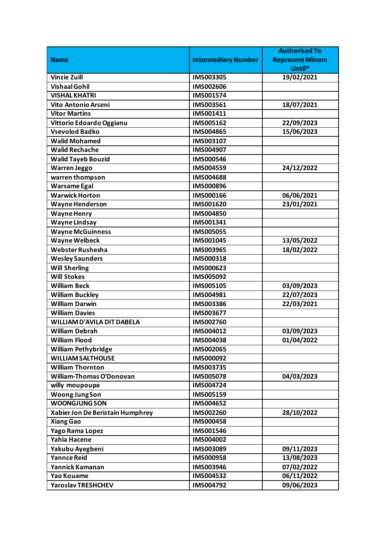| <b>Intermediary Number</b><br><b>Name</b><br><b>Represent Minors</b><br>Until*<br><b>Vinzie Zuill</b><br>IMS003305<br>19/02/2021<br><b>Vishaal Gohil</b><br><b>IMS002606</b><br><b>VISHAL KHATRI</b><br>IMS001574<br>Vito Antonio Arseni<br>18/07/2021<br>IMS003561<br><b>Vitor Martins</b><br>IMS001411<br>22/09/2023<br>Vittorio Edoardo Oggianu<br>IMS005162<br>15/06/2023<br><b>Vsevolod Badko</b><br>IMS004865<br><b>Walid Mohamed</b><br>IMS003107<br><b>Walid Rechache</b><br>IMS004907<br><b>Walid Tayeb Bouzid</b><br><b>IMS000546</b><br><b>Warren Jeggo</b><br>24/12/2022<br>IMS004559<br>warren thompson<br><b>IMS004688</b><br><b>Warsame Egal</b><br>IMS000896<br><b>Warwick Horton</b><br>06/06/2021<br><b>IMS000166</b><br>23/01/2021<br><b>Wayne Henderson</b><br>IMS001620<br><b>Wayne Henry</b><br><b>IMS004850</b><br><b>Wayne Lindsay</b><br>IMS001341<br><b>Wayne McGuinness</b><br><b>IMS005055</b><br><b>Wayne Welbeck</b><br>13/05/2022<br>IMS001045<br><b>Webster Rushesha</b><br>18/02/2022<br>IMS003965<br><b>Wesley Saunders</b><br>IMS000318<br><b>Will Sherling</b><br>IMS000623<br><b>Will Stokes</b><br>IMS005092<br>03/09/2023<br><b>William Beck</b><br>IMS005105<br>22/07/2023<br><b>William Buckley</b><br>IMS004981<br><b>William Darwin</b><br>22/03/2021<br>IMS003386<br><b>William Davies</b><br>IMS003677<br><b>WILLIAM D'AVILA DIT DABELA</b><br>IMS002760<br><b>William Debrah</b><br>IMS004012<br>03/09/2023<br><b>William Flood</b><br>01/04/2022<br>IMS004038<br><b>William Pethybridge</b><br>IMS002065<br><b>WILLIAM SALTHOUSE</b><br>IMS000092<br><b>William Thornton</b><br>IMS003735<br><b>William-Thomas O'Donovan</b><br><b>IMS005078</b><br>04/03/2023<br>IMS004724<br>willy moupoupa<br><b>Woong JungSon</b><br>IMS005159<br><b>WOONGJUNG SON</b><br>IMS004652<br>28/10/2022<br>Xabier Jon De Beristain Humphrey<br>IMS002260<br>IMS000458<br><b>Xiang Gao</b><br>Yago Rama Lopez<br>IMS001546<br><b>Yahia Hacene</b><br>IMS004002<br>Yakubu Ayegbeni<br>IMS003089<br>09/11/2023<br><b>Yannce Reid</b><br>13/08/2023<br>IMS000958<br>07/02/2022<br>Yannick Kamanan<br>IMS003946<br>06/11/2022<br>Yao Kouame<br>IMS004532 |                           |           | <b>Authorised To</b> |
|----------------------------------------------------------------------------------------------------------------------------------------------------------------------------------------------------------------------------------------------------------------------------------------------------------------------------------------------------------------------------------------------------------------------------------------------------------------------------------------------------------------------------------------------------------------------------------------------------------------------------------------------------------------------------------------------------------------------------------------------------------------------------------------------------------------------------------------------------------------------------------------------------------------------------------------------------------------------------------------------------------------------------------------------------------------------------------------------------------------------------------------------------------------------------------------------------------------------------------------------------------------------------------------------------------------------------------------------------------------------------------------------------------------------------------------------------------------------------------------------------------------------------------------------------------------------------------------------------------------------------------------------------------------------------------------------------------------------------------------------------------------------------------------------------------------------------------------------------------------------------------------------------------------------------------------------------------------------------------------------------------------------------------------------------------------------------------------------------------------------------------------------------------------------------------|---------------------------|-----------|----------------------|
|                                                                                                                                                                                                                                                                                                                                                                                                                                                                                                                                                                                                                                                                                                                                                                                                                                                                                                                                                                                                                                                                                                                                                                                                                                                                                                                                                                                                                                                                                                                                                                                                                                                                                                                                                                                                                                                                                                                                                                                                                                                                                                                                                                                  |                           |           |                      |
|                                                                                                                                                                                                                                                                                                                                                                                                                                                                                                                                                                                                                                                                                                                                                                                                                                                                                                                                                                                                                                                                                                                                                                                                                                                                                                                                                                                                                                                                                                                                                                                                                                                                                                                                                                                                                                                                                                                                                                                                                                                                                                                                                                                  |                           |           |                      |
|                                                                                                                                                                                                                                                                                                                                                                                                                                                                                                                                                                                                                                                                                                                                                                                                                                                                                                                                                                                                                                                                                                                                                                                                                                                                                                                                                                                                                                                                                                                                                                                                                                                                                                                                                                                                                                                                                                                                                                                                                                                                                                                                                                                  |                           |           |                      |
|                                                                                                                                                                                                                                                                                                                                                                                                                                                                                                                                                                                                                                                                                                                                                                                                                                                                                                                                                                                                                                                                                                                                                                                                                                                                                                                                                                                                                                                                                                                                                                                                                                                                                                                                                                                                                                                                                                                                                                                                                                                                                                                                                                                  |                           |           |                      |
|                                                                                                                                                                                                                                                                                                                                                                                                                                                                                                                                                                                                                                                                                                                                                                                                                                                                                                                                                                                                                                                                                                                                                                                                                                                                                                                                                                                                                                                                                                                                                                                                                                                                                                                                                                                                                                                                                                                                                                                                                                                                                                                                                                                  |                           |           |                      |
|                                                                                                                                                                                                                                                                                                                                                                                                                                                                                                                                                                                                                                                                                                                                                                                                                                                                                                                                                                                                                                                                                                                                                                                                                                                                                                                                                                                                                                                                                                                                                                                                                                                                                                                                                                                                                                                                                                                                                                                                                                                                                                                                                                                  |                           |           |                      |
|                                                                                                                                                                                                                                                                                                                                                                                                                                                                                                                                                                                                                                                                                                                                                                                                                                                                                                                                                                                                                                                                                                                                                                                                                                                                                                                                                                                                                                                                                                                                                                                                                                                                                                                                                                                                                                                                                                                                                                                                                                                                                                                                                                                  |                           |           |                      |
|                                                                                                                                                                                                                                                                                                                                                                                                                                                                                                                                                                                                                                                                                                                                                                                                                                                                                                                                                                                                                                                                                                                                                                                                                                                                                                                                                                                                                                                                                                                                                                                                                                                                                                                                                                                                                                                                                                                                                                                                                                                                                                                                                                                  |                           |           |                      |
|                                                                                                                                                                                                                                                                                                                                                                                                                                                                                                                                                                                                                                                                                                                                                                                                                                                                                                                                                                                                                                                                                                                                                                                                                                                                                                                                                                                                                                                                                                                                                                                                                                                                                                                                                                                                                                                                                                                                                                                                                                                                                                                                                                                  |                           |           |                      |
|                                                                                                                                                                                                                                                                                                                                                                                                                                                                                                                                                                                                                                                                                                                                                                                                                                                                                                                                                                                                                                                                                                                                                                                                                                                                                                                                                                                                                                                                                                                                                                                                                                                                                                                                                                                                                                                                                                                                                                                                                                                                                                                                                                                  |                           |           |                      |
|                                                                                                                                                                                                                                                                                                                                                                                                                                                                                                                                                                                                                                                                                                                                                                                                                                                                                                                                                                                                                                                                                                                                                                                                                                                                                                                                                                                                                                                                                                                                                                                                                                                                                                                                                                                                                                                                                                                                                                                                                                                                                                                                                                                  |                           |           |                      |
|                                                                                                                                                                                                                                                                                                                                                                                                                                                                                                                                                                                                                                                                                                                                                                                                                                                                                                                                                                                                                                                                                                                                                                                                                                                                                                                                                                                                                                                                                                                                                                                                                                                                                                                                                                                                                                                                                                                                                                                                                                                                                                                                                                                  |                           |           |                      |
|                                                                                                                                                                                                                                                                                                                                                                                                                                                                                                                                                                                                                                                                                                                                                                                                                                                                                                                                                                                                                                                                                                                                                                                                                                                                                                                                                                                                                                                                                                                                                                                                                                                                                                                                                                                                                                                                                                                                                                                                                                                                                                                                                                                  |                           |           |                      |
|                                                                                                                                                                                                                                                                                                                                                                                                                                                                                                                                                                                                                                                                                                                                                                                                                                                                                                                                                                                                                                                                                                                                                                                                                                                                                                                                                                                                                                                                                                                                                                                                                                                                                                                                                                                                                                                                                                                                                                                                                                                                                                                                                                                  |                           |           |                      |
|                                                                                                                                                                                                                                                                                                                                                                                                                                                                                                                                                                                                                                                                                                                                                                                                                                                                                                                                                                                                                                                                                                                                                                                                                                                                                                                                                                                                                                                                                                                                                                                                                                                                                                                                                                                                                                                                                                                                                                                                                                                                                                                                                                                  |                           |           |                      |
|                                                                                                                                                                                                                                                                                                                                                                                                                                                                                                                                                                                                                                                                                                                                                                                                                                                                                                                                                                                                                                                                                                                                                                                                                                                                                                                                                                                                                                                                                                                                                                                                                                                                                                                                                                                                                                                                                                                                                                                                                                                                                                                                                                                  |                           |           |                      |
|                                                                                                                                                                                                                                                                                                                                                                                                                                                                                                                                                                                                                                                                                                                                                                                                                                                                                                                                                                                                                                                                                                                                                                                                                                                                                                                                                                                                                                                                                                                                                                                                                                                                                                                                                                                                                                                                                                                                                                                                                                                                                                                                                                                  |                           |           |                      |
|                                                                                                                                                                                                                                                                                                                                                                                                                                                                                                                                                                                                                                                                                                                                                                                                                                                                                                                                                                                                                                                                                                                                                                                                                                                                                                                                                                                                                                                                                                                                                                                                                                                                                                                                                                                                                                                                                                                                                                                                                                                                                                                                                                                  |                           |           |                      |
|                                                                                                                                                                                                                                                                                                                                                                                                                                                                                                                                                                                                                                                                                                                                                                                                                                                                                                                                                                                                                                                                                                                                                                                                                                                                                                                                                                                                                                                                                                                                                                                                                                                                                                                                                                                                                                                                                                                                                                                                                                                                                                                                                                                  |                           |           |                      |
|                                                                                                                                                                                                                                                                                                                                                                                                                                                                                                                                                                                                                                                                                                                                                                                                                                                                                                                                                                                                                                                                                                                                                                                                                                                                                                                                                                                                                                                                                                                                                                                                                                                                                                                                                                                                                                                                                                                                                                                                                                                                                                                                                                                  |                           |           |                      |
|                                                                                                                                                                                                                                                                                                                                                                                                                                                                                                                                                                                                                                                                                                                                                                                                                                                                                                                                                                                                                                                                                                                                                                                                                                                                                                                                                                                                                                                                                                                                                                                                                                                                                                                                                                                                                                                                                                                                                                                                                                                                                                                                                                                  |                           |           |                      |
|                                                                                                                                                                                                                                                                                                                                                                                                                                                                                                                                                                                                                                                                                                                                                                                                                                                                                                                                                                                                                                                                                                                                                                                                                                                                                                                                                                                                                                                                                                                                                                                                                                                                                                                                                                                                                                                                                                                                                                                                                                                                                                                                                                                  |                           |           |                      |
|                                                                                                                                                                                                                                                                                                                                                                                                                                                                                                                                                                                                                                                                                                                                                                                                                                                                                                                                                                                                                                                                                                                                                                                                                                                                                                                                                                                                                                                                                                                                                                                                                                                                                                                                                                                                                                                                                                                                                                                                                                                                                                                                                                                  |                           |           |                      |
|                                                                                                                                                                                                                                                                                                                                                                                                                                                                                                                                                                                                                                                                                                                                                                                                                                                                                                                                                                                                                                                                                                                                                                                                                                                                                                                                                                                                                                                                                                                                                                                                                                                                                                                                                                                                                                                                                                                                                                                                                                                                                                                                                                                  |                           |           |                      |
|                                                                                                                                                                                                                                                                                                                                                                                                                                                                                                                                                                                                                                                                                                                                                                                                                                                                                                                                                                                                                                                                                                                                                                                                                                                                                                                                                                                                                                                                                                                                                                                                                                                                                                                                                                                                                                                                                                                                                                                                                                                                                                                                                                                  |                           |           |                      |
|                                                                                                                                                                                                                                                                                                                                                                                                                                                                                                                                                                                                                                                                                                                                                                                                                                                                                                                                                                                                                                                                                                                                                                                                                                                                                                                                                                                                                                                                                                                                                                                                                                                                                                                                                                                                                                                                                                                                                                                                                                                                                                                                                                                  |                           |           |                      |
|                                                                                                                                                                                                                                                                                                                                                                                                                                                                                                                                                                                                                                                                                                                                                                                                                                                                                                                                                                                                                                                                                                                                                                                                                                                                                                                                                                                                                                                                                                                                                                                                                                                                                                                                                                                                                                                                                                                                                                                                                                                                                                                                                                                  |                           |           |                      |
|                                                                                                                                                                                                                                                                                                                                                                                                                                                                                                                                                                                                                                                                                                                                                                                                                                                                                                                                                                                                                                                                                                                                                                                                                                                                                                                                                                                                                                                                                                                                                                                                                                                                                                                                                                                                                                                                                                                                                                                                                                                                                                                                                                                  |                           |           |                      |
|                                                                                                                                                                                                                                                                                                                                                                                                                                                                                                                                                                                                                                                                                                                                                                                                                                                                                                                                                                                                                                                                                                                                                                                                                                                                                                                                                                                                                                                                                                                                                                                                                                                                                                                                                                                                                                                                                                                                                                                                                                                                                                                                                                                  |                           |           |                      |
|                                                                                                                                                                                                                                                                                                                                                                                                                                                                                                                                                                                                                                                                                                                                                                                                                                                                                                                                                                                                                                                                                                                                                                                                                                                                                                                                                                                                                                                                                                                                                                                                                                                                                                                                                                                                                                                                                                                                                                                                                                                                                                                                                                                  |                           |           |                      |
|                                                                                                                                                                                                                                                                                                                                                                                                                                                                                                                                                                                                                                                                                                                                                                                                                                                                                                                                                                                                                                                                                                                                                                                                                                                                                                                                                                                                                                                                                                                                                                                                                                                                                                                                                                                                                                                                                                                                                                                                                                                                                                                                                                                  |                           |           |                      |
|                                                                                                                                                                                                                                                                                                                                                                                                                                                                                                                                                                                                                                                                                                                                                                                                                                                                                                                                                                                                                                                                                                                                                                                                                                                                                                                                                                                                                                                                                                                                                                                                                                                                                                                                                                                                                                                                                                                                                                                                                                                                                                                                                                                  |                           |           |                      |
|                                                                                                                                                                                                                                                                                                                                                                                                                                                                                                                                                                                                                                                                                                                                                                                                                                                                                                                                                                                                                                                                                                                                                                                                                                                                                                                                                                                                                                                                                                                                                                                                                                                                                                                                                                                                                                                                                                                                                                                                                                                                                                                                                                                  |                           |           |                      |
|                                                                                                                                                                                                                                                                                                                                                                                                                                                                                                                                                                                                                                                                                                                                                                                                                                                                                                                                                                                                                                                                                                                                                                                                                                                                                                                                                                                                                                                                                                                                                                                                                                                                                                                                                                                                                                                                                                                                                                                                                                                                                                                                                                                  |                           |           |                      |
|                                                                                                                                                                                                                                                                                                                                                                                                                                                                                                                                                                                                                                                                                                                                                                                                                                                                                                                                                                                                                                                                                                                                                                                                                                                                                                                                                                                                                                                                                                                                                                                                                                                                                                                                                                                                                                                                                                                                                                                                                                                                                                                                                                                  |                           |           |                      |
|                                                                                                                                                                                                                                                                                                                                                                                                                                                                                                                                                                                                                                                                                                                                                                                                                                                                                                                                                                                                                                                                                                                                                                                                                                                                                                                                                                                                                                                                                                                                                                                                                                                                                                                                                                                                                                                                                                                                                                                                                                                                                                                                                                                  |                           |           |                      |
|                                                                                                                                                                                                                                                                                                                                                                                                                                                                                                                                                                                                                                                                                                                                                                                                                                                                                                                                                                                                                                                                                                                                                                                                                                                                                                                                                                                                                                                                                                                                                                                                                                                                                                                                                                                                                                                                                                                                                                                                                                                                                                                                                                                  |                           |           |                      |
|                                                                                                                                                                                                                                                                                                                                                                                                                                                                                                                                                                                                                                                                                                                                                                                                                                                                                                                                                                                                                                                                                                                                                                                                                                                                                                                                                                                                                                                                                                                                                                                                                                                                                                                                                                                                                                                                                                                                                                                                                                                                                                                                                                                  |                           |           |                      |
|                                                                                                                                                                                                                                                                                                                                                                                                                                                                                                                                                                                                                                                                                                                                                                                                                                                                                                                                                                                                                                                                                                                                                                                                                                                                                                                                                                                                                                                                                                                                                                                                                                                                                                                                                                                                                                                                                                                                                                                                                                                                                                                                                                                  |                           |           |                      |
|                                                                                                                                                                                                                                                                                                                                                                                                                                                                                                                                                                                                                                                                                                                                                                                                                                                                                                                                                                                                                                                                                                                                                                                                                                                                                                                                                                                                                                                                                                                                                                                                                                                                                                                                                                                                                                                                                                                                                                                                                                                                                                                                                                                  |                           |           |                      |
|                                                                                                                                                                                                                                                                                                                                                                                                                                                                                                                                                                                                                                                                                                                                                                                                                                                                                                                                                                                                                                                                                                                                                                                                                                                                                                                                                                                                                                                                                                                                                                                                                                                                                                                                                                                                                                                                                                                                                                                                                                                                                                                                                                                  |                           |           |                      |
|                                                                                                                                                                                                                                                                                                                                                                                                                                                                                                                                                                                                                                                                                                                                                                                                                                                                                                                                                                                                                                                                                                                                                                                                                                                                                                                                                                                                                                                                                                                                                                                                                                                                                                                                                                                                                                                                                                                                                                                                                                                                                                                                                                                  |                           |           |                      |
|                                                                                                                                                                                                                                                                                                                                                                                                                                                                                                                                                                                                                                                                                                                                                                                                                                                                                                                                                                                                                                                                                                                                                                                                                                                                                                                                                                                                                                                                                                                                                                                                                                                                                                                                                                                                                                                                                                                                                                                                                                                                                                                                                                                  |                           |           |                      |
|                                                                                                                                                                                                                                                                                                                                                                                                                                                                                                                                                                                                                                                                                                                                                                                                                                                                                                                                                                                                                                                                                                                                                                                                                                                                                                                                                                                                                                                                                                                                                                                                                                                                                                                                                                                                                                                                                                                                                                                                                                                                                                                                                                                  |                           |           |                      |
|                                                                                                                                                                                                                                                                                                                                                                                                                                                                                                                                                                                                                                                                                                                                                                                                                                                                                                                                                                                                                                                                                                                                                                                                                                                                                                                                                                                                                                                                                                                                                                                                                                                                                                                                                                                                                                                                                                                                                                                                                                                                                                                                                                                  |                           |           |                      |
|                                                                                                                                                                                                                                                                                                                                                                                                                                                                                                                                                                                                                                                                                                                                                                                                                                                                                                                                                                                                                                                                                                                                                                                                                                                                                                                                                                                                                                                                                                                                                                                                                                                                                                                                                                                                                                                                                                                                                                                                                                                                                                                                                                                  |                           |           |                      |
|                                                                                                                                                                                                                                                                                                                                                                                                                                                                                                                                                                                                                                                                                                                                                                                                                                                                                                                                                                                                                                                                                                                                                                                                                                                                                                                                                                                                                                                                                                                                                                                                                                                                                                                                                                                                                                                                                                                                                                                                                                                                                                                                                                                  |                           |           |                      |
|                                                                                                                                                                                                                                                                                                                                                                                                                                                                                                                                                                                                                                                                                                                                                                                                                                                                                                                                                                                                                                                                                                                                                                                                                                                                                                                                                                                                                                                                                                                                                                                                                                                                                                                                                                                                                                                                                                                                                                                                                                                                                                                                                                                  | <b>Yaroslav TRESHCHEV</b> | IMS004792 | 09/06/2023           |